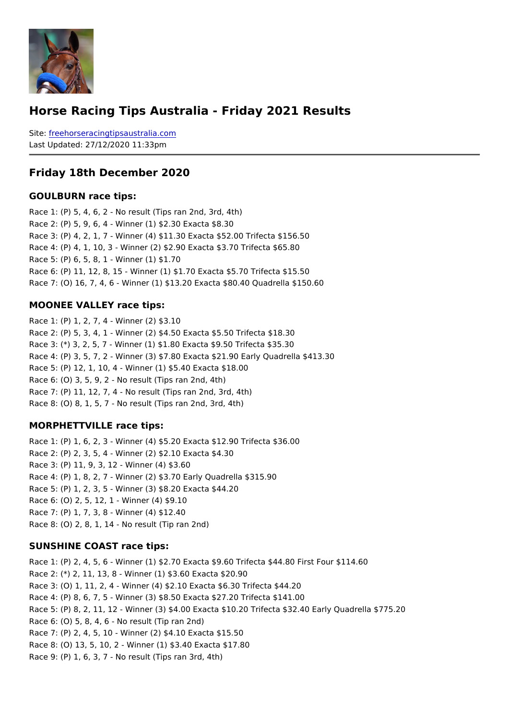#### Horse Racing Tips Australia - Friday 2021 Results

Sitefreehorseracingtipsaustralia.com Last Updated: 27/12/2020 11:33pm

#### Friday 18th December 2020

#### GOULBURN race tips:

Race 1: (P) 5, 4, 6, 2 - No result (Tips ran 2nd, 3rd, 4th) Race 2: (P) 5, 9, 6, 4 - Winner (1) \$2.30 Exacta \$8.30 Race 3: (P) 4, 2, 1, 7 - Winner (4) \$11.30 Exacta \$52.00 Trifecta \$156.50 Race 4: (P) 4, 1, 10, 3 - Winner (2) \$2.90 Exacta \$3.70 Trifecta \$65.80 Race 5: (P) 6, 5, 8, 1 - Winner (1) \$1.70 Race 6: (P) 11, 12, 8, 15 - Winner (1) \$1.70 Exacta \$5.70 Trifecta \$15.50 Race 7: (O) 16, 7, 4, 6 - Winner (1) \$13.20 Exacta \$80.40 Quadrella \$150.60

#### MOONEE VALLEY race tips:

Race 1: (P) 1, 2, 7, 4 - Winner (2) \$3.10 Race 2: (P) 5, 3, 4, 1 - Winner (2) \$4.50 Exacta \$5.50 Trifecta \$18.30 Race 3: (\*) 3, 2, 5, 7 - Winner (1) \$1.80 Exacta \$9.50 Trifecta \$35.30 Race 4: (P) 3, 5, 7, 2 - Winner (3) \$7.80 Exacta \$21.90 Early Quadrella \$413.30 Race 5: (P) 12, 1, 10, 4 - Winner (1) \$5.40 Exacta \$18.00 Race 6: (O) 3, 5, 9, 2 - No result (Tips ran 2nd, 4th) Race 7: (P) 11, 12, 7, 4 - No result (Tips ran 2nd, 3rd, 4th) Race 8: (O) 8, 1, 5, 7 - No result (Tips ran 2nd, 3rd, 4th)

#### MORPHETTVILLE race tips:

Race 1: (P) 1, 6, 2, 3 - Winner (4) \$5.20 Exacta \$12.90 Trifecta \$36.00 Race 2: (P) 2, 3, 5, 4 - Winner (2) \$2.10 Exacta \$4.30 Race 3: (P) 11, 9, 3, 12 - Winner (4) \$3.60 Race 4: (P) 1, 8, 2, 7 - Winner (2) \$3.70 Early Quadrella \$315.90 Race 5: (P) 1, 2, 3, 5 - Winner (3) \$8.20 Exacta \$44.20 Race 6: (O) 2, 5, 12, 1 - Winner (4) \$9.10 Race 7: (P) 1, 7, 3, 8 - Winner (4) \$12.40 Race 8: (O) 2, 8, 1, 14 - No result (Tip ran 2nd)

#### SUNSHINE COAST race tips:

Race 1: (P) 2, 4, 5, 6 - Winner (1) \$2.70 Exacta \$9.60 Trifecta \$44.80 First Four \$114. Race 2: (\*) 2, 11, 13, 8 - Winner (1) \$3.60 Exacta \$20.90 Race 3: (O) 1, 11, 2, 4 - Winner (4) \$2.10 Exacta \$6.30 Trifecta \$44.20 Race 4: (P) 8, 6, 7, 5 - Winner (3) \$8.50 Exacta \$27.20 Trifecta \$141.00 Race 5: (P) 8, 2, 11, 12 - Winner (3) \$4.00 Exacta \$10.20 Trifecta \$32.40 Early Quadre Race 6: (O) 5, 8, 4, 6 - No result (Tip ran 2nd) Race 7: (P) 2, 4, 5, 10 - Winner (2) \$4.10 Exacta \$15.50 Race 8: (O) 13, 5, 10, 2 - Winner (1) \$3.40 Exacta \$17.80 Race 9: (P) 1, 6, 3, 7 - No result (Tips ran 3rd, 4th)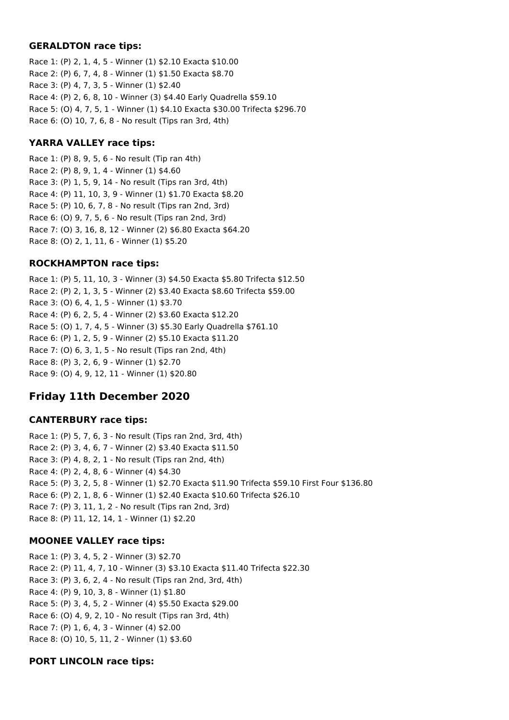### **GERALDTON race tips:**

Race 1: (P) 2, 1, 4, 5 - Winner (1) \$2.10 Exacta \$10.00 Race 2: (P) 6, 7, 4, 8 - Winner (1) \$1.50 Exacta \$8.70 Race 3: (P) 4, 7, 3, 5 - Winner (1) \$2.40 Race 4: (P) 2, 6, 8, 10 - Winner (3) \$4.40 Early Quadrella \$59.10 Race 5: (O) 4, 7, 5, 1 - Winner (1) \$4.10 Exacta \$30.00 Trifecta \$296.70 Race 6: (O) 10, 7, 6, 8 - No result (Tips ran 3rd, 4th)

## **YARRA VALLEY race tips:**

Race 1: (P) 8, 9, 5, 6 - No result (Tip ran 4th) Race 2: (P) 8, 9, 1, 4 - Winner (1) \$4.60 Race 3: (P) 1, 5, 9, 14 - No result (Tips ran 3rd, 4th) Race 4: (P) 11, 10, 3, 9 - Winner (1) \$1.70 Exacta \$8.20 Race 5: (P) 10, 6, 7, 8 - No result (Tips ran 2nd, 3rd) Race 6: (O) 9, 7, 5, 6 - No result (Tips ran 2nd, 3rd) Race 7: (O) 3, 16, 8, 12 - Winner (2) \$6.80 Exacta \$64.20 Race 8: (O) 2, 1, 11, 6 - Winner (1) \$5.20

## **ROCKHAMPTON race tips:**

Race 1: (P) 5, 11, 10, 3 - Winner (3) \$4.50 Exacta \$5.80 Trifecta \$12.50 Race 2: (P) 2, 1, 3, 5 - Winner (2) \$3.40 Exacta \$8.60 Trifecta \$59.00 Race 3: (O) 6, 4, 1, 5 - Winner (1) \$3.70 Race 4: (P) 6, 2, 5, 4 - Winner (2) \$3.60 Exacta \$12.20 Race 5: (O) 1, 7, 4, 5 - Winner (3) \$5.30 Early Quadrella \$761.10 Race 6: (P) 1, 2, 5, 9 - Winner (2) \$5.10 Exacta \$11.20 Race 7: (O) 6, 3, 1, 5 - No result (Tips ran 2nd, 4th) Race 8: (P) 3, 2, 6, 9 - Winner (1) \$2.70 Race 9: (O) 4, 9, 12, 11 - Winner (1) \$20.80

# **Friday 11th December 2020**

## **CANTERBURY race tips:**

Race 1: (P) 5, 7, 6, 3 - No result (Tips ran 2nd, 3rd, 4th) Race 2: (P) 3, 4, 6, 7 - Winner (2) \$3.40 Exacta \$11.50 Race 3: (P) 4, 8, 2, 1 - No result (Tips ran 2nd, 4th) Race 4: (P) 2, 4, 8, 6 - Winner (4) \$4.30 Race 5: (P) 3, 2, 5, 8 - Winner (1) \$2.70 Exacta \$11.90 Trifecta \$59.10 First Four \$136.80 Race 6: (P) 2, 1, 8, 6 - Winner (1) \$2.40 Exacta \$10.60 Trifecta \$26.10 Race 7: (P) 3, 11, 1, 2 - No result (Tips ran 2nd, 3rd) Race 8: (P) 11, 12, 14, 1 - Winner (1) \$2.20

# **MOONEE VALLEY race tips:**

Race 1: (P) 3, 4, 5, 2 - Winner (3) \$2.70 Race 2: (P) 11, 4, 7, 10 - Winner (3) \$3.10 Exacta \$11.40 Trifecta \$22.30 Race 3: (P) 3, 6, 2, 4 - No result (Tips ran 2nd, 3rd, 4th) Race 4: (P) 9, 10, 3, 8 - Winner (1) \$1.80 Race 5: (P) 3, 4, 5, 2 - Winner (4) \$5.50 Exacta \$29.00 Race 6: (O) 4, 9, 2, 10 - No result (Tips ran 3rd, 4th) Race 7: (P) 1, 6, 4, 3 - Winner (4) \$2.00 Race 8: (O) 10, 5, 11, 2 - Winner (1) \$3.60

## **PORT LINCOLN race tips:**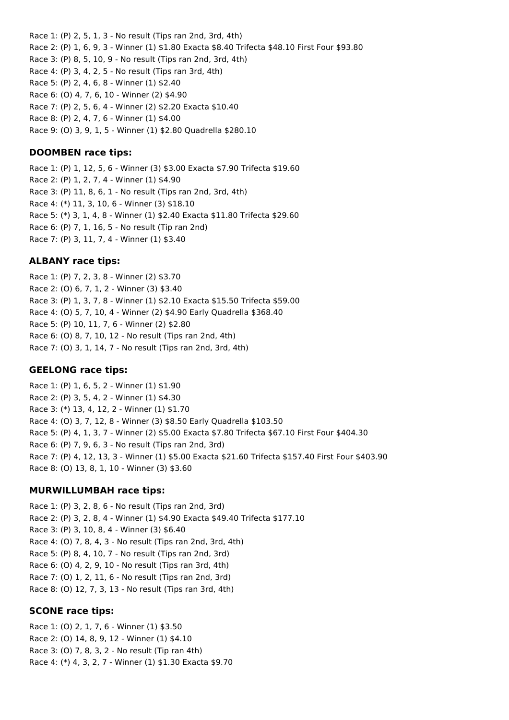Race 1: (P) 2, 5, 1, 3 - No result (Tips ran 2nd, 3rd, 4th) Race 2: (P) 1, 6, 9, 3 - Winner (1) \$1.80 Exacta \$8.40 Trifecta \$48.10 First Four \$93.80 Race 3: (P) 8, 5, 10, 9 - No result (Tips ran 2nd, 3rd, 4th) Race 4: (P) 3, 4, 2, 5 - No result (Tips ran 3rd, 4th) Race 5: (P) 2, 4, 6, 8 - Winner (1) \$2.40 Race 6: (O) 4, 7, 6, 10 - Winner (2) \$4.90 Race 7: (P) 2, 5, 6, 4 - Winner (2) \$2.20 Exacta \$10.40 Race 8: (P) 2, 4, 7, 6 - Winner (1) \$4.00

Race 9: (O) 3, 9, 1, 5 - Winner (1) \$2.80 Quadrella \$280.10

## **DOOMBEN race tips:**

Race 1: (P) 1, 12, 5, 6 - Winner (3) \$3.00 Exacta \$7.90 Trifecta \$19.60 Race 2: (P) 1, 2, 7, 4 - Winner (1) \$4.90 Race 3: (P) 11, 8, 6, 1 - No result (Tips ran 2nd, 3rd, 4th) Race 4: (\*) 11, 3, 10, 6 - Winner (3) \$18.10 Race 5: (\*) 3, 1, 4, 8 - Winner (1) \$2.40 Exacta \$11.80 Trifecta \$29.60 Race 6: (P) 7, 1, 16, 5 - No result (Tip ran 2nd) Race 7: (P) 3, 11, 7, 4 - Winner (1) \$3.40

## **ALBANY race tips:**

Race 1: (P) 7, 2, 3, 8 - Winner (2) \$3.70 Race 2: (O) 6, 7, 1, 2 - Winner (3) \$3.40 Race 3: (P) 1, 3, 7, 8 - Winner (1) \$2.10 Exacta \$15.50 Trifecta \$59.00 Race 4: (O) 5, 7, 10, 4 - Winner (2) \$4.90 Early Quadrella \$368.40 Race 5: (P) 10, 11, 7, 6 - Winner (2) \$2.80 Race 6: (O) 8, 7, 10, 12 - No result (Tips ran 2nd, 4th) Race 7: (O) 3, 1, 14, 7 - No result (Tips ran 2nd, 3rd, 4th)

#### **GEELONG race tips:**

Race 1: (P) 1, 6, 5, 2 - Winner (1) \$1.90 Race 2: (P) 3, 5, 4, 2 - Winner (1) \$4.30 Race 3: (\*) 13, 4, 12, 2 - Winner (1) \$1.70 Race 4: (O) 3, 7, 12, 8 - Winner (3) \$8.50 Early Quadrella \$103.50 Race 5: (P) 4, 1, 3, 7 - Winner (2) \$5.00 Exacta \$7.80 Trifecta \$67.10 First Four \$404.30 Race 6: (P) 7, 9, 6, 3 - No result (Tips ran 2nd, 3rd) Race 7: (P) 4, 12, 13, 3 - Winner (1) \$5.00 Exacta \$21.60 Trifecta \$157.40 First Four \$403.90 Race 8: (O) 13, 8, 1, 10 - Winner (3) \$3.60

#### **MURWILLUMBAH race tips:**

Race 1: (P) 3, 2, 8, 6 - No result (Tips ran 2nd, 3rd) Race 2: (P) 3, 2, 8, 4 - Winner (1) \$4.90 Exacta \$49.40 Trifecta \$177.10 Race 3: (P) 3, 10, 8, 4 - Winner (3) \$6.40 Race 4: (O) 7, 8, 4, 3 - No result (Tips ran 2nd, 3rd, 4th) Race 5: (P) 8, 4, 10, 7 - No result (Tips ran 2nd, 3rd) Race 6: (O) 4, 2, 9, 10 - No result (Tips ran 3rd, 4th) Race 7: (O) 1, 2, 11, 6 - No result (Tips ran 2nd, 3rd) Race 8: (O) 12, 7, 3, 13 - No result (Tips ran 3rd, 4th)

#### **SCONE race tips:**

Race 1: (O) 2, 1, 7, 6 - Winner (1) \$3.50 Race 2: (O) 14, 8, 9, 12 - Winner (1) \$4.10 Race 3: (O) 7, 8, 3, 2 - No result (Tip ran 4th) Race 4: (\*) 4, 3, 2, 7 - Winner (1) \$1.30 Exacta \$9.70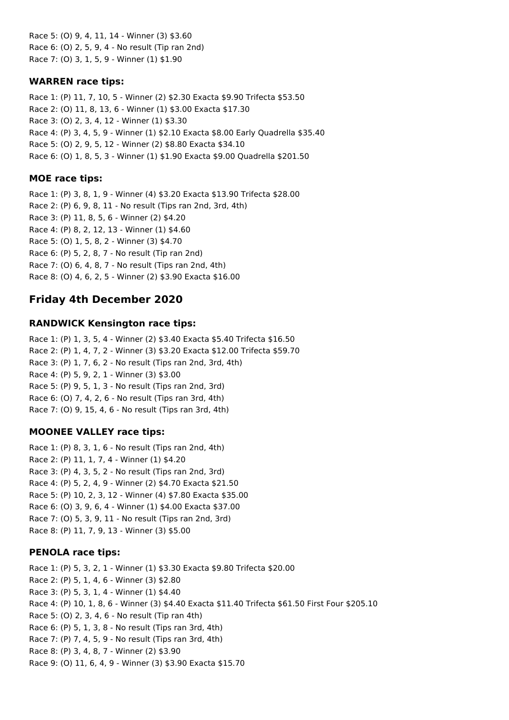Race 5: (O) 9, 4, 11, 14 - Winner (3) \$3.60 Race 6: (O) 2, 5, 9, 4 - No result (Tip ran 2nd) Race 7: (O) 3, 1, 5, 9 - Winner (1) \$1.90

### **WARREN race tips:**

Race 1: (P) 11, 7, 10, 5 - Winner (2) \$2.30 Exacta \$9.90 Trifecta \$53.50 Race 2: (O) 11, 8, 13, 6 - Winner (1) \$3.00 Exacta \$17.30 Race 3: (O) 2, 3, 4, 12 - Winner (1) \$3.30 Race 4: (P) 3, 4, 5, 9 - Winner (1) \$2.10 Exacta \$8.00 Early Quadrella \$35.40 Race 5: (O) 2, 9, 5, 12 - Winner (2) \$8.80 Exacta \$34.10 Race 6: (O) 1, 8, 5, 3 - Winner (1) \$1.90 Exacta \$9.00 Quadrella \$201.50

## **MOE race tips:**

Race 1: (P) 3, 8, 1, 9 - Winner (4) \$3.20 Exacta \$13.90 Trifecta \$28.00 Race 2: (P) 6, 9, 8, 11 - No result (Tips ran 2nd, 3rd, 4th) Race 3: (P) 11, 8, 5, 6 - Winner (2) \$4.20 Race 4: (P) 8, 2, 12, 13 - Winner (1) \$4.60 Race 5: (O) 1, 5, 8, 2 - Winner (3) \$4.70 Race 6: (P) 5, 2, 8, 7 - No result (Tip ran 2nd) Race 7: (O) 6, 4, 8, 7 - No result (Tips ran 2nd, 4th) Race 8: (O) 4, 6, 2, 5 - Winner (2) \$3.90 Exacta \$16.00

# **Friday 4th December 2020**

## **RANDWICK Kensington race tips:**

Race 1: (P) 1, 3, 5, 4 - Winner (2) \$3.40 Exacta \$5.40 Trifecta \$16.50 Race 2: (P) 1, 4, 7, 2 - Winner (3) \$3.20 Exacta \$12.00 Trifecta \$59.70 Race 3: (P) 1, 7, 6, 2 - No result (Tips ran 2nd, 3rd, 4th) Race 4: (P) 5, 9, 2, 1 - Winner (3) \$3.00 Race 5: (P) 9, 5, 1, 3 - No result (Tips ran 2nd, 3rd) Race 6: (O) 7, 4, 2, 6 - No result (Tips ran 3rd, 4th) Race 7: (O) 9, 15, 4, 6 - No result (Tips ran 3rd, 4th)

# **MOONEE VALLEY race tips:**

Race 1: (P) 8, 3, 1, 6 - No result (Tips ran 2nd, 4th) Race 2: (P) 11, 1, 7, 4 - Winner (1) \$4.20 Race 3: (P) 4, 3, 5, 2 - No result (Tips ran 2nd, 3rd) Race 4: (P) 5, 2, 4, 9 - Winner (2) \$4.70 Exacta \$21.50 Race 5: (P) 10, 2, 3, 12 - Winner (4) \$7.80 Exacta \$35.00 Race 6: (O) 3, 9, 6, 4 - Winner (1) \$4.00 Exacta \$37.00 Race 7: (O) 5, 3, 9, 11 - No result (Tips ran 2nd, 3rd) Race 8: (P) 11, 7, 9, 13 - Winner (3) \$5.00

## **PENOLA race tips:**

Race 1: (P) 5, 3, 2, 1 - Winner (1) \$3.30 Exacta \$9.80 Trifecta \$20.00 Race 2: (P) 5, 1, 4, 6 - Winner (3) \$2.80 Race 3: (P) 5, 3, 1, 4 - Winner (1) \$4.40 Race 4: (P) 10, 1, 8, 6 - Winner (3) \$4.40 Exacta \$11.40 Trifecta \$61.50 First Four \$205.10 Race 5: (O) 2, 3, 4, 6 - No result (Tip ran 4th) Race 6: (P) 5, 1, 3, 8 - No result (Tips ran 3rd, 4th) Race 7: (P) 7, 4, 5, 9 - No result (Tips ran 3rd, 4th) Race 8: (P) 3, 4, 8, 7 - Winner (2) \$3.90 Race 9: (O) 11, 6, 4, 9 - Winner (3) \$3.90 Exacta \$15.70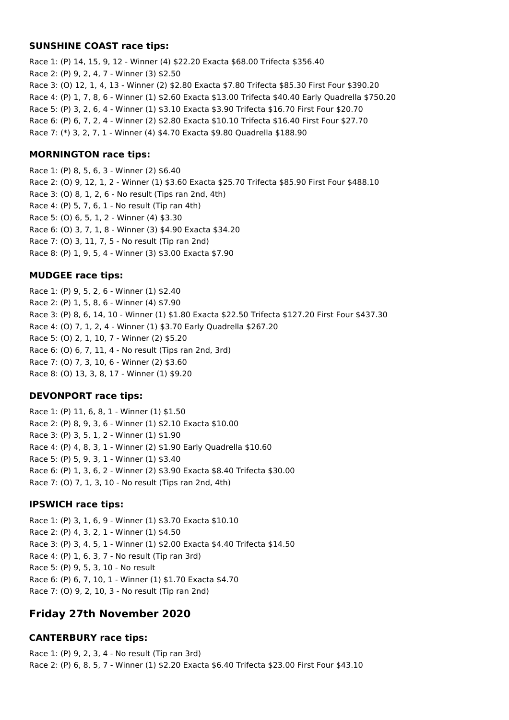#### **SUNSHINE COAST race tips:**

Race 1: (P) 14, 15, 9, 12 - Winner (4) \$22.20 Exacta \$68.00 Trifecta \$356.40 Race 2: (P) 9, 2, 4, 7 - Winner (3) \$2.50 Race 3: (O) 12, 1, 4, 13 - Winner (2) \$2.80 Exacta \$7.80 Trifecta \$85.30 First Four \$390.20 Race 4: (P) 1, 7, 8, 6 - Winner (1) \$2.60 Exacta \$13.00 Trifecta \$40.40 Early Quadrella \$750.20 Race 5: (P) 3, 2, 6, 4 - Winner (1) \$3.10 Exacta \$3.90 Trifecta \$16.70 First Four \$20.70 Race 6: (P) 6, 7, 2, 4 - Winner (2) \$2.80 Exacta \$10.10 Trifecta \$16.40 First Four \$27.70 Race 7: (\*) 3, 2, 7, 1 - Winner (4) \$4.70 Exacta \$9.80 Quadrella \$188.90

#### **MORNINGTON race tips:**

Race 1: (P) 8, 5, 6, 3 - Winner (2) \$6.40 Race 2: (O) 9, 12, 1, 2 - Winner (1) \$3.60 Exacta \$25.70 Trifecta \$85.90 First Four \$488.10 Race 3: (O) 8, 1, 2, 6 - No result (Tips ran 2nd, 4th) Race 4: (P) 5, 7, 6, 1 - No result (Tip ran 4th) Race 5: (O) 6, 5, 1, 2 - Winner (4) \$3.30 Race 6: (O) 3, 7, 1, 8 - Winner (3) \$4.90 Exacta \$34.20 Race 7: (O) 3, 11, 7, 5 - No result (Tip ran 2nd) Race 8: (P) 1, 9, 5, 4 - Winner (3) \$3.00 Exacta \$7.90

#### **MUDGEE race tips:**

Race 1: (P) 9, 5, 2, 6 - Winner (1) \$2.40 Race 2: (P) 1, 5, 8, 6 - Winner (4) \$7.90 Race 3: (P) 8, 6, 14, 10 - Winner (1) \$1.80 Exacta \$22.50 Trifecta \$127.20 First Four \$437.30 Race 4: (O) 7, 1, 2, 4 - Winner (1) \$3.70 Early Quadrella \$267.20 Race 5: (O) 2, 1, 10, 7 - Winner (2) \$5.20 Race 6: (O) 6, 7, 11, 4 - No result (Tips ran 2nd, 3rd) Race 7: (O) 7, 3, 10, 6 - Winner (2) \$3.60 Race 8: (O) 13, 3, 8, 17 - Winner (1) \$9.20

#### **DEVONPORT race tips:**

Race 1: (P) 11, 6, 8, 1 - Winner (1) \$1.50 Race 2: (P) 8, 9, 3, 6 - Winner (1) \$2.10 Exacta \$10.00 Race 3: (P) 3, 5, 1, 2 - Winner (1) \$1.90 Race 4: (P) 4, 8, 3, 1 - Winner (2) \$1.90 Early Quadrella \$10.60 Race 5: (P) 5, 9, 3, 1 - Winner (1) \$3.40 Race 6: (P) 1, 3, 6, 2 - Winner (2) \$3.90 Exacta \$8.40 Trifecta \$30.00 Race 7: (O) 7, 1, 3, 10 - No result (Tips ran 2nd, 4th)

#### **IPSWICH race tips:**

Race 1: (P) 3, 1, 6, 9 - Winner (1) \$3.70 Exacta \$10.10 Race 2: (P) 4, 3, 2, 1 - Winner (1) \$4.50 Race 3: (P) 3, 4, 5, 1 - Winner (1) \$2.00 Exacta \$4.40 Trifecta \$14.50 Race 4: (P) 1, 6, 3, 7 - No result (Tip ran 3rd) Race 5: (P) 9, 5, 3, 10 - No result Race 6: (P) 6, 7, 10, 1 - Winner (1) \$1.70 Exacta \$4.70 Race 7: (O) 9, 2, 10, 3 - No result (Tip ran 2nd)

# **Friday 27th November 2020**

#### **CANTERBURY race tips:**

Race 1: (P) 9, 2, 3, 4 - No result (Tip ran 3rd) Race 2: (P) 6, 8, 5, 7 - Winner (1) \$2.20 Exacta \$6.40 Trifecta \$23.00 First Four \$43.10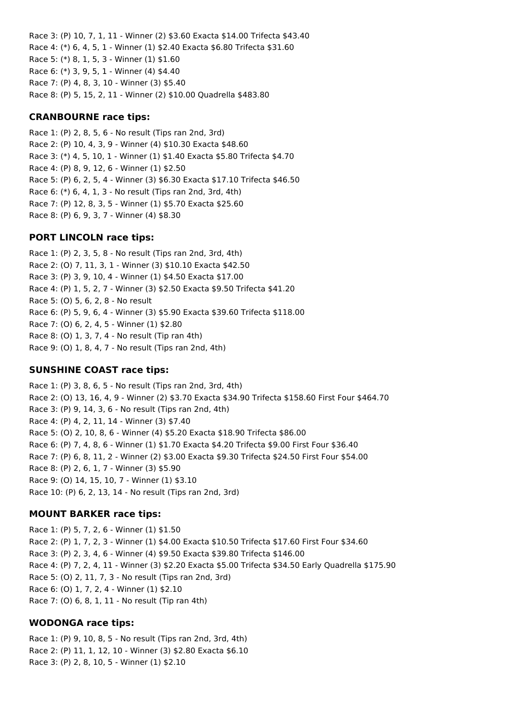Race 3: (P) 10, 7, 1, 11 - Winner (2) \$3.60 Exacta \$14.00 Trifecta \$43.40 Race 4: (\*) 6, 4, 5, 1 - Winner (1) \$2.40 Exacta \$6.80 Trifecta \$31.60 Race 5: (\*) 8, 1, 5, 3 - Winner (1) \$1.60 Race 6: (\*) 3, 9, 5, 1 - Winner (4) \$4.40 Race 7: (P) 4, 8, 3, 10 - Winner (3) \$5.40 Race 8: (P) 5, 15, 2, 11 - Winner (2) \$10.00 Quadrella \$483.80

## **CRANBOURNE race tips:**

Race 1: (P) 2, 8, 5, 6 - No result (Tips ran 2nd, 3rd) Race 2: (P) 10, 4, 3, 9 - Winner (4) \$10.30 Exacta \$48.60 Race 3: (\*) 4, 5, 10, 1 - Winner (1) \$1.40 Exacta \$5.80 Trifecta \$4.70 Race 4: (P) 8, 9, 12, 6 - Winner (1) \$2.50 Race 5: (P) 6, 2, 5, 4 - Winner (3) \$6.30 Exacta \$17.10 Trifecta \$46.50 Race 6: (\*) 6, 4, 1, 3 - No result (Tips ran 2nd, 3rd, 4th) Race 7: (P) 12, 8, 3, 5 - Winner (1) \$5.70 Exacta \$25.60 Race 8: (P) 6, 9, 3, 7 - Winner (4) \$8.30

## **PORT LINCOLN race tips:**

Race 1: (P) 2, 3, 5, 8 - No result (Tips ran 2nd, 3rd, 4th) Race 2: (O) 7, 11, 3, 1 - Winner (3) \$10.10 Exacta \$42.50 Race 3: (P) 3, 9, 10, 4 - Winner (1) \$4.50 Exacta \$17.00 Race 4: (P) 1, 5, 2, 7 - Winner (3) \$2.50 Exacta \$9.50 Trifecta \$41.20 Race 5: (O) 5, 6, 2, 8 - No result Race 6: (P) 5, 9, 6, 4 - Winner (3) \$5.90 Exacta \$39.60 Trifecta \$118.00 Race 7: (O) 6, 2, 4, 5 - Winner (1) \$2.80 Race 8: (O) 1, 3, 7, 4 - No result (Tip ran 4th) Race 9: (O) 1, 8, 4, 7 - No result (Tips ran 2nd, 4th)

## **SUNSHINE COAST race tips:**

Race 1: (P) 3, 8, 6, 5 - No result (Tips ran 2nd, 3rd, 4th) Race 2: (O) 13, 16, 4, 9 - Winner (2) \$3.70 Exacta \$34.90 Trifecta \$158.60 First Four \$464.70 Race 3: (P) 9, 14, 3, 6 - No result (Tips ran 2nd, 4th) Race 4: (P) 4, 2, 11, 14 - Winner (3) \$7.40 Race 5: (O) 2, 10, 8, 6 - Winner (4) \$5.20 Exacta \$18.90 Trifecta \$86.00 Race 6: (P) 7, 4, 8, 6 - Winner (1) \$1.70 Exacta \$4.20 Trifecta \$9.00 First Four \$36.40 Race 7: (P) 6, 8, 11, 2 - Winner (2) \$3.00 Exacta \$9.30 Trifecta \$24.50 First Four \$54.00 Race 8: (P) 2, 6, 1, 7 - Winner (3) \$5.90 Race 9: (O) 14, 15, 10, 7 - Winner (1) \$3.10 Race 10: (P) 6, 2, 13, 14 - No result (Tips ran 2nd, 3rd)

## **MOUNT BARKER race tips:**

Race 1: (P) 5, 7, 2, 6 - Winner (1) \$1.50 Race 2: (P) 1, 7, 2, 3 - Winner (1) \$4.00 Exacta \$10.50 Trifecta \$17.60 First Four \$34.60 Race 3: (P) 2, 3, 4, 6 - Winner (4) \$9.50 Exacta \$39.80 Trifecta \$146.00 Race 4: (P) 7, 2, 4, 11 - Winner (3) \$2.20 Exacta \$5.00 Trifecta \$34.50 Early Quadrella \$175.90 Race 5: (O) 2, 11, 7, 3 - No result (Tips ran 2nd, 3rd) Race 6: (O) 1, 7, 2, 4 - Winner (1) \$2.10 Race 7: (O) 6, 8, 1, 11 - No result (Tip ran 4th)

#### **WODONGA race tips:**

Race 1: (P) 9, 10, 8, 5 - No result (Tips ran 2nd, 3rd, 4th) Race 2: (P) 11, 1, 12, 10 - Winner (3) \$2.80 Exacta \$6.10 Race 3: (P) 2, 8, 10, 5 - Winner (1) \$2.10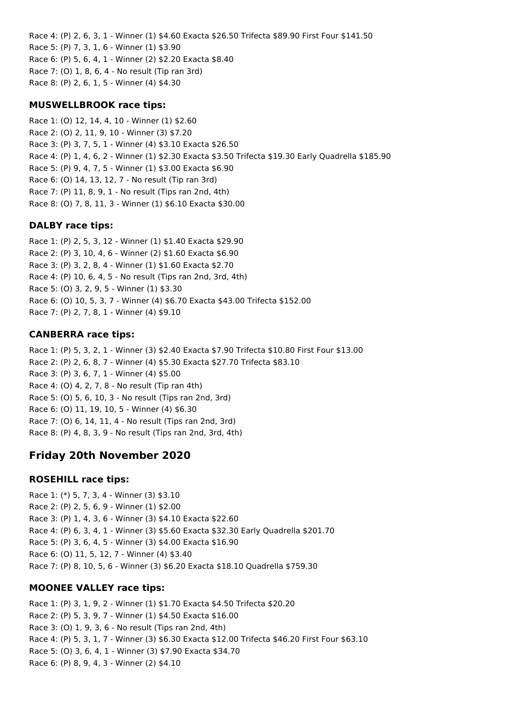Race 4: (P) 2, 6, 3, 1 - Winner (1) \$4.60 Exacta \$26.50 Trifecta \$89.90 First Four \$141.50 Race 5: (P) 7, 3, 1, 6 - Winner (1) \$3.90 Race 6: (P) 5, 6, 4, 1 - Winner (2) \$2.20 Exacta \$8.40 Race 7: (O) 1, 8, 6, 4 - No result (Tip ran 3rd) Race 8: (P) 2, 6, 1, 5 - Winner (4) \$4.30

#### **MUSWELLBROOK race tips:**

Race 1: (O) 12, 14, 4, 10 - Winner (1) \$2.60 Race 2: (O) 2, 11, 9, 10 - Winner (3) \$7.20 Race 3: (P) 3, 7, 5, 1 - Winner (4) \$3.10 Exacta \$26.50 Race 4: (P) 1, 4, 6, 2 - Winner (1) \$2.30 Exacta \$3.50 Trifecta \$19.30 Early Quadrella \$185.90 Race 5: (P) 9, 4, 7, 5 - Winner (1) \$3.00 Exacta \$6.90 Race 6: (O) 14, 13, 12, 7 - No result (Tip ran 3rd) Race 7: (P) 11, 8, 9, 1 - No result (Tips ran 2nd, 4th) Race 8: (O) 7, 8, 11, 3 - Winner (1) \$6.10 Exacta \$30.00

#### **DALBY race tips:**

Race 1: (P) 2, 5, 3, 12 - Winner (1) \$1.40 Exacta \$29.90 Race 2: (P) 3, 10, 4, 6 - Winner (2) \$1.60 Exacta \$6.90 Race 3: (P) 3, 2, 8, 4 - Winner (1) \$1.60 Exacta \$2.70 Race 4: (P) 10, 6, 4, 5 - No result (Tips ran 2nd, 3rd, 4th) Race 5: (O) 3, 2, 9, 5 - Winner (1) \$3.30 Race 6: (O) 10, 5, 3, 7 - Winner (4) \$6.70 Exacta \$43.00 Trifecta \$152.00 Race 7: (P) 2, 7, 8, 1 - Winner (4) \$9.10

#### **CANBERRA race tips:**

Race 1: (P) 5, 3, 2, 1 - Winner (3) \$2.40 Exacta \$7.90 Trifecta \$10.80 First Four \$13.00 Race 2: (P) 2, 6, 8, 7 - Winner (4) \$5.30 Exacta \$27.70 Trifecta \$83.10 Race 3: (P) 3, 6, 7, 1 - Winner (4) \$5.00 Race 4: (O) 4, 2, 7, 8 - No result (Tip ran 4th) Race 5: (O) 5, 6, 10, 3 - No result (Tips ran 2nd, 3rd) Race 6: (O) 11, 19, 10, 5 - Winner (4) \$6.30 Race 7: (O) 6, 14, 11, 4 - No result (Tips ran 2nd, 3rd) Race 8: (P) 4, 8, 3, 9 - No result (Tips ran 2nd, 3rd, 4th)

## **Friday 20th November 2020**

#### **ROSEHILL race tips:**

Race 1: (\*) 5, 7, 3, 4 - Winner (3) \$3.10 Race 2: (P) 2, 5, 6, 9 - Winner (1) \$2.00 Race 3: (P) 1, 4, 3, 6 - Winner (3) \$4.10 Exacta \$22.60 Race 4: (P) 6, 3, 4, 1 - Winner (3) \$5.60 Exacta \$32.30 Early Quadrella \$201.70 Race 5: (P) 3, 6, 4, 5 - Winner (3) \$4.00 Exacta \$16.90 Race 6: (O) 11, 5, 12, 7 - Winner (4) \$3.40 Race 7: (P) 8, 10, 5, 6 - Winner (3) \$6.20 Exacta \$18.10 Quadrella \$759.30

#### **MOONEE VALLEY race tips:**

Race 1: (P) 3, 1, 9, 2 - Winner (1) \$1.70 Exacta \$4.50 Trifecta \$20.20 Race 2: (P) 5, 3, 9, 7 - Winner (1) \$4.50 Exacta \$16.00 Race 3: (O) 1, 9, 3, 6 - No result (Tips ran 2nd, 4th) Race 4: (P) 5, 3, 1, 7 - Winner (3) \$6.30 Exacta \$12.00 Trifecta \$46.20 First Four \$63.10 Race 5: (O) 3, 6, 4, 1 - Winner (3) \$7.90 Exacta \$34.70 Race 6: (P) 8, 9, 4, 3 - Winner (2) \$4.10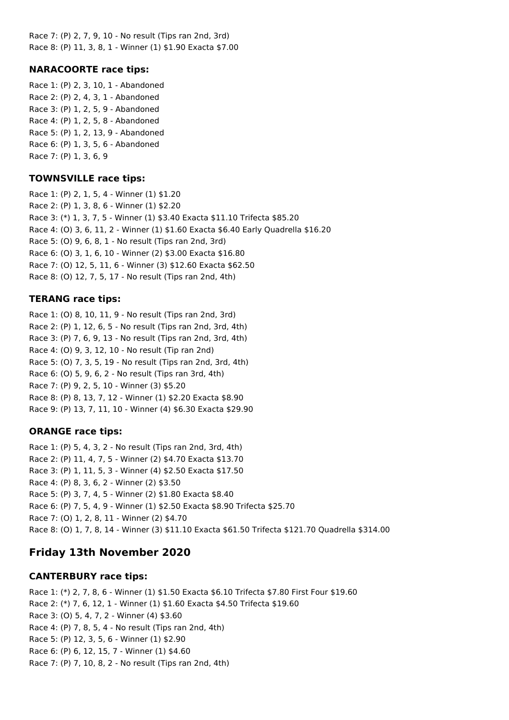Race 7: (P) 2, 7, 9, 10 - No result (Tips ran 2nd, 3rd) Race 8: (P) 11, 3, 8, 1 - Winner (1) \$1.90 Exacta \$7.00

### **NARACOORTE race tips:**

Race 1: (P) 2, 3, 10, 1 - Abandoned Race 2: (P) 2, 4, 3, 1 - Abandoned Race 3: (P) 1, 2, 5, 9 - Abandoned Race 4: (P) 1, 2, 5, 8 - Abandoned Race 5: (P) 1, 2, 13, 9 - Abandoned Race 6: (P) 1, 3, 5, 6 - Abandoned Race 7: (P) 1, 3, 6, 9

### **TOWNSVILLE race tips:**

Race 1: (P) 2, 1, 5, 4 - Winner (1) \$1.20 Race 2: (P) 1, 3, 8, 6 - Winner (1) \$2.20 Race 3: (\*) 1, 3, 7, 5 - Winner (1) \$3.40 Exacta \$11.10 Trifecta \$85.20 Race 4: (O) 3, 6, 11, 2 - Winner (1) \$1.60 Exacta \$6.40 Early Quadrella \$16.20 Race 5: (O) 9, 6, 8, 1 - No result (Tips ran 2nd, 3rd) Race 6: (O) 3, 1, 6, 10 - Winner (2) \$3.00 Exacta \$16.80 Race 7: (O) 12, 5, 11, 6 - Winner (3) \$12.60 Exacta \$62.50 Race 8: (O) 12, 7, 5, 17 - No result (Tips ran 2nd, 4th)

### **TERANG race tips:**

Race 1: (O) 8, 10, 11, 9 - No result (Tips ran 2nd, 3rd) Race 2: (P) 1, 12, 6, 5 - No result (Tips ran 2nd, 3rd, 4th) Race 3: (P) 7, 6, 9, 13 - No result (Tips ran 2nd, 3rd, 4th) Race 4: (O) 9, 3, 12, 10 - No result (Tip ran 2nd) Race 5: (O) 7, 3, 5, 19 - No result (Tips ran 2nd, 3rd, 4th) Race 6: (O) 5, 9, 6, 2 - No result (Tips ran 3rd, 4th) Race 7: (P) 9, 2, 5, 10 - Winner (3) \$5.20 Race 8: (P) 8, 13, 7, 12 - Winner (1) \$2.20 Exacta \$8.90 Race 9: (P) 13, 7, 11, 10 - Winner (4) \$6.30 Exacta \$29.90

## **ORANGE race tips:**

Race 1: (P) 5, 4, 3, 2 - No result (Tips ran 2nd, 3rd, 4th) Race 2: (P) 11, 4, 7, 5 - Winner (2) \$4.70 Exacta \$13.70 Race 3: (P) 1, 11, 5, 3 - Winner (4) \$2.50 Exacta \$17.50 Race 4: (P) 8, 3, 6, 2 - Winner (2) \$3.50 Race 5: (P) 3, 7, 4, 5 - Winner (2) \$1.80 Exacta \$8.40 Race 6: (P) 7, 5, 4, 9 - Winner (1) \$2.50 Exacta \$8.90 Trifecta \$25.70 Race 7: (O) 1, 2, 8, 11 - Winner (2) \$4.70 Race 8: (O) 1, 7, 8, 14 - Winner (3) \$11.10 Exacta \$61.50 Trifecta \$121.70 Quadrella \$314.00

# **Friday 13th November 2020**

## **CANTERBURY race tips:**

Race 1: (\*) 2, 7, 8, 6 - Winner (1) \$1.50 Exacta \$6.10 Trifecta \$7.80 First Four \$19.60 Race 2: (\*) 7, 6, 12, 1 - Winner (1) \$1.60 Exacta \$4.50 Trifecta \$19.60 Race 3: (O) 5, 4, 7, 2 - Winner (4) \$3.60 Race 4: (P) 7, 8, 5, 4 - No result (Tips ran 2nd, 4th) Race 5: (P) 12, 3, 5, 6 - Winner (1) \$2.90 Race 6: (P) 6, 12, 15, 7 - Winner (1) \$4.60 Race 7: (P) 7, 10, 8, 2 - No result (Tips ran 2nd, 4th)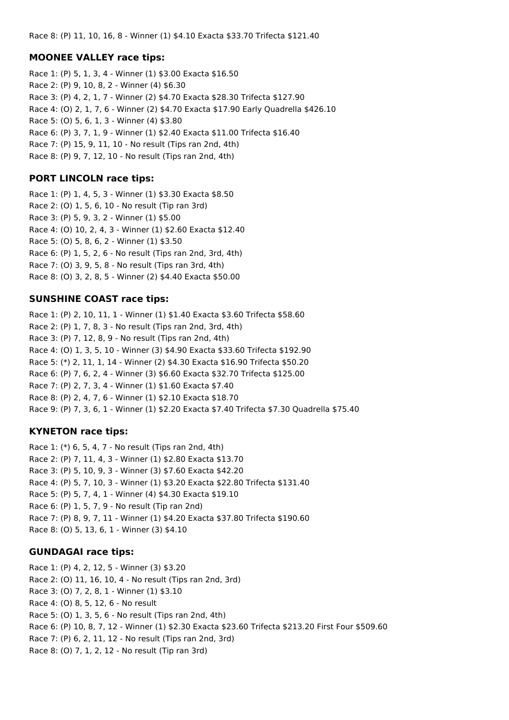### **MOONEE VALLEY race tips:**

Race 1: (P) 5, 1, 3, 4 - Winner (1) \$3.00 Exacta \$16.50 Race 2: (P) 9, 10, 8, 2 - Winner (4) \$6.30 Race 3: (P) 4, 2, 1, 7 - Winner (2) \$4.70 Exacta \$28.30 Trifecta \$127.90 Race 4: (O) 2, 1, 7, 6 - Winner (2) \$4.70 Exacta \$17.90 Early Quadrella \$426.10 Race 5: (O) 5, 6, 1, 3 - Winner (4) \$3.80 Race 6: (P) 3, 7, 1, 9 - Winner (1) \$2.40 Exacta \$11.00 Trifecta \$16.40 Race 7: (P) 15, 9, 11, 10 - No result (Tips ran 2nd, 4th) Race 8: (P) 9, 7, 12, 10 - No result (Tips ran 2nd, 4th)

### **PORT LINCOLN race tips:**

Race 1: (P) 1, 4, 5, 3 - Winner (1) \$3.30 Exacta \$8.50 Race 2: (O) 1, 5, 6, 10 - No result (Tip ran 3rd) Race 3: (P) 5, 9, 3, 2 - Winner (1) \$5.00 Race 4: (O) 10, 2, 4, 3 - Winner (1) \$2.60 Exacta \$12.40 Race 5: (O) 5, 8, 6, 2 - Winner (1) \$3.50 Race 6: (P) 1, 5, 2, 6 - No result (Tips ran 2nd, 3rd, 4th) Race 7: (O) 3, 9, 5, 8 - No result (Tips ran 3rd, 4th) Race 8: (O) 3, 2, 8, 5 - Winner (2) \$4.40 Exacta \$50.00

### **SUNSHINE COAST race tips:**

Race 1: (P) 2, 10, 11, 1 - Winner (1) \$1.40 Exacta \$3.60 Trifecta \$58.60 Race 2: (P) 1, 7, 8, 3 - No result (Tips ran 2nd, 3rd, 4th) Race 3: (P) 7, 12, 8, 9 - No result (Tips ran 2nd, 4th) Race 4: (O) 1, 3, 5, 10 - Winner (3) \$4.90 Exacta \$33.60 Trifecta \$192.90 Race 5: (\*) 2, 11, 1, 14 - Winner (2) \$4.30 Exacta \$16.90 Trifecta \$50.20 Race 6: (P) 7, 6, 2, 4 - Winner (3) \$6.60 Exacta \$32.70 Trifecta \$125.00 Race 7: (P) 2, 7, 3, 4 - Winner (1) \$1.60 Exacta \$7.40 Race 8: (P) 2, 4, 7, 6 - Winner (1) \$2.10 Exacta \$18.70 Race 9: (P) 7, 3, 6, 1 - Winner (1) \$2.20 Exacta \$7.40 Trifecta \$7.30 Quadrella \$75.40

## **KYNETON race tips:**

Race 1: (\*) 6, 5, 4, 7 - No result (Tips ran 2nd, 4th) Race 2: (P) 7, 11, 4, 3 - Winner (1) \$2.80 Exacta \$13.70 Race 3: (P) 5, 10, 9, 3 - Winner (3) \$7.60 Exacta \$42.20 Race 4: (P) 5, 7, 10, 3 - Winner (1) \$3.20 Exacta \$22.80 Trifecta \$131.40 Race 5: (P) 5, 7, 4, 1 - Winner (4) \$4.30 Exacta \$19.10 Race 6: (P) 1, 5, 7, 9 - No result (Tip ran 2nd) Race 7: (P) 8, 9, 7, 11 - Winner (1) \$4.20 Exacta \$37.80 Trifecta \$190.60 Race 8: (O) 5, 13, 6, 1 - Winner (3) \$4.10

#### **GUNDAGAI race tips:**

Race 1: (P) 4, 2, 12, 5 - Winner (3) \$3.20 Race 2: (O) 11, 16, 10, 4 - No result (Tips ran 2nd, 3rd) Race 3: (O) 7, 2, 8, 1 - Winner (1) \$3.10 Race 4: (O) 8, 5, 12, 6 - No result Race 5: (O) 1, 3, 5, 6 - No result (Tips ran 2nd, 4th) Race 6: (P) 10, 8, 7, 12 - Winner (1) \$2.30 Exacta \$23.60 Trifecta \$213.20 First Four \$509.60 Race 7: (P) 6, 2, 11, 12 - No result (Tips ran 2nd, 3rd) Race 8: (O) 7, 1, 2, 12 - No result (Tip ran 3rd)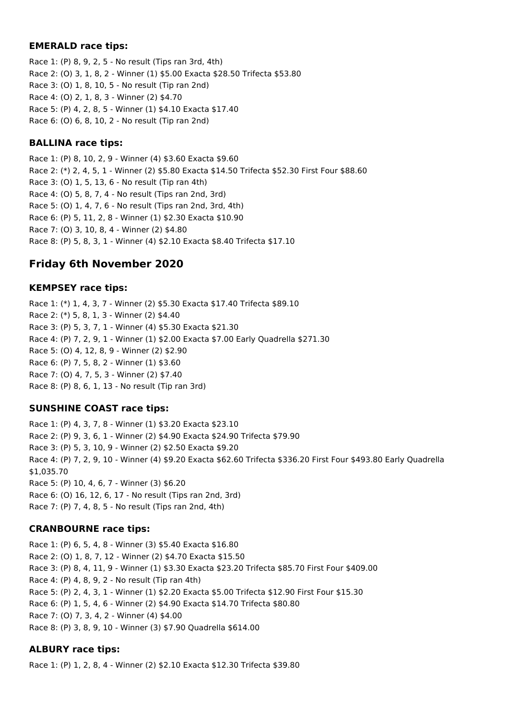### **EMERALD race tips:**

Race 1: (P) 8, 9, 2, 5 - No result (Tips ran 3rd, 4th) Race 2: (O) 3, 1, 8, 2 - Winner (1) \$5.00 Exacta \$28.50 Trifecta \$53.80 Race 3: (O) 1, 8, 10, 5 - No result (Tip ran 2nd) Race 4: (O) 2, 1, 8, 3 - Winner (2) \$4.70 Race 5: (P) 4, 2, 8, 5 - Winner (1) \$4.10 Exacta \$17.40 Race 6: (O) 6, 8, 10, 2 - No result (Tip ran 2nd)

## **BALLINA race tips:**

Race 1: (P) 8, 10, 2, 9 - Winner (4) \$3.60 Exacta \$9.60 Race 2: (\*) 2, 4, 5, 1 - Winner (2) \$5.80 Exacta \$14.50 Trifecta \$52.30 First Four \$88.60 Race 3: (O) 1, 5, 13, 6 - No result (Tip ran 4th) Race 4: (O) 5, 8, 7, 4 - No result (Tips ran 2nd, 3rd) Race 5: (O) 1, 4, 7, 6 - No result (Tips ran 2nd, 3rd, 4th) Race 6: (P) 5, 11, 2, 8 - Winner (1) \$2.30 Exacta \$10.90 Race 7: (O) 3, 10, 8, 4 - Winner (2) \$4.80 Race 8: (P) 5, 8, 3, 1 - Winner (4) \$2.10 Exacta \$8.40 Trifecta \$17.10

# **Friday 6th November 2020**

## **KEMPSEY race tips:**

Race 1: (\*) 1, 4, 3, 7 - Winner (2) \$5.30 Exacta \$17.40 Trifecta \$89.10 Race 2: (\*) 5, 8, 1, 3 - Winner (2) \$4.40 Race 3: (P) 5, 3, 7, 1 - Winner (4) \$5.30 Exacta \$21.30 Race 4: (P) 7, 2, 9, 1 - Winner (1) \$2.00 Exacta \$7.00 Early Quadrella \$271.30 Race 5: (O) 4, 12, 8, 9 - Winner (2) \$2.90 Race 6: (P) 7, 5, 8, 2 - Winner (1) \$3.60 Race 7: (O) 4, 7, 5, 3 - Winner (2) \$7.40 Race 8: (P) 8, 6, 1, 13 - No result (Tip ran 3rd)

## **SUNSHINE COAST race tips:**

Race 1: (P) 4, 3, 7, 8 - Winner (1) \$3.20 Exacta \$23.10 Race 2: (P) 9, 3, 6, 1 - Winner (2) \$4.90 Exacta \$24.90 Trifecta \$79.90 Race 3: (P) 5, 3, 10, 9 - Winner (2) \$2.50 Exacta \$9.20 Race 4: (P) 7, 2, 9, 10 - Winner (4) \$9.20 Exacta \$62.60 Trifecta \$336.20 First Four \$493.80 Early Quadrella \$1,035.70 Race 5: (P) 10, 4, 6, 7 - Winner (3) \$6.20 Race 6: (O) 16, 12, 6, 17 - No result (Tips ran 2nd, 3rd) Race 7: (P) 7, 4, 8, 5 - No result (Tips ran 2nd, 4th)

# **CRANBOURNE race tips:**

Race 1: (P) 6, 5, 4, 8 - Winner (3) \$5.40 Exacta \$16.80 Race 2: (O) 1, 8, 7, 12 - Winner (2) \$4.70 Exacta \$15.50 Race 3: (P) 8, 4, 11, 9 - Winner (1) \$3.30 Exacta \$23.20 Trifecta \$85.70 First Four \$409.00 Race 4: (P) 4, 8, 9, 2 - No result (Tip ran 4th) Race 5: (P) 2, 4, 3, 1 - Winner (1) \$2.20 Exacta \$5.00 Trifecta \$12.90 First Four \$15.30 Race 6: (P) 1, 5, 4, 6 - Winner (2) \$4.90 Exacta \$14.70 Trifecta \$80.80 Race 7: (O) 7, 3, 4, 2 - Winner (4) \$4.00 Race 8: (P) 3, 8, 9, 10 - Winner (3) \$7.90 Quadrella \$614.00

## **ALBURY race tips:**

Race 1: (P) 1, 2, 8, 4 - Winner (2) \$2.10 Exacta \$12.30 Trifecta \$39.80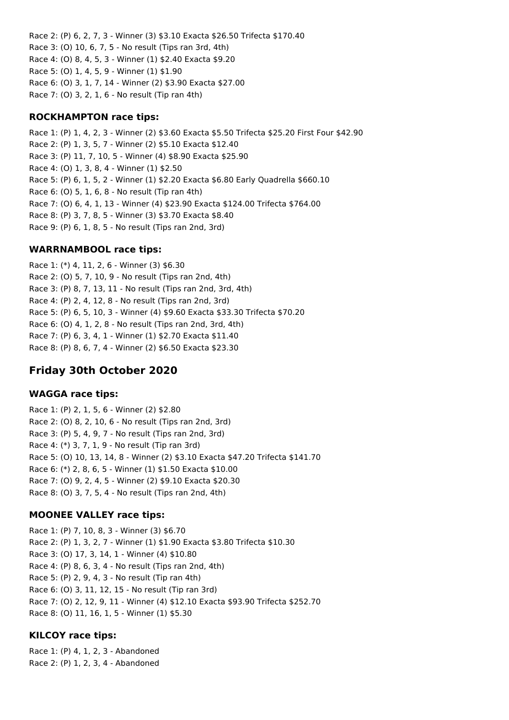Race 2: (P) 6, 2, 7, 3 - Winner (3) \$3.10 Exacta \$26.50 Trifecta \$170.40 Race 3: (O) 10, 6, 7, 5 - No result (Tips ran 3rd, 4th) Race 4: (O) 8, 4, 5, 3 - Winner (1) \$2.40 Exacta \$9.20 Race 5: (O) 1, 4, 5, 9 - Winner (1) \$1.90 Race 6: (O) 3, 1, 7, 14 - Winner (2) \$3.90 Exacta \$27.00 Race 7: (O) 3, 2, 1, 6 - No result (Tip ran 4th)

## **ROCKHAMPTON race tips:**

Race 1: (P) 1, 4, 2, 3 - Winner (2) \$3.60 Exacta \$5.50 Trifecta \$25.20 First Four \$42.90 Race 2: (P) 1, 3, 5, 7 - Winner (2) \$5.10 Exacta \$12.40 Race 3: (P) 11, 7, 10, 5 - Winner (4) \$8.90 Exacta \$25.90 Race 4: (O) 1, 3, 8, 4 - Winner (1) \$2.50 Race 5: (P) 6, 1, 5, 2 - Winner (1) \$2.20 Exacta \$6.80 Early Quadrella \$660.10 Race 6: (O) 5, 1, 6, 8 - No result (Tip ran 4th) Race 7: (O) 6, 4, 1, 13 - Winner (4) \$23.90 Exacta \$124.00 Trifecta \$764.00 Race 8: (P) 3, 7, 8, 5 - Winner (3) \$3.70 Exacta \$8.40 Race 9: (P) 6, 1, 8, 5 - No result (Tips ran 2nd, 3rd)

## **WARRNAMBOOL race tips:**

Race 1: (\*) 4, 11, 2, 6 - Winner (3) \$6.30 Race 2: (O) 5, 7, 10, 9 - No result (Tips ran 2nd, 4th) Race 3: (P) 8, 7, 13, 11 - No result (Tips ran 2nd, 3rd, 4th) Race 4: (P) 2, 4, 12, 8 - No result (Tips ran 2nd, 3rd) Race 5: (P) 6, 5, 10, 3 - Winner (4) \$9.60 Exacta \$33.30 Trifecta \$70.20 Race 6: (O) 4, 1, 2, 8 - No result (Tips ran 2nd, 3rd, 4th) Race 7: (P) 6, 3, 4, 1 - Winner (1) \$2.70 Exacta \$11.40 Race 8: (P) 8, 6, 7, 4 - Winner (2) \$6.50 Exacta \$23.30

# **Friday 30th October 2020**

#### **WAGGA race tips:**

Race 1: (P) 2, 1, 5, 6 - Winner (2) \$2.80 Race 2: (O) 8, 2, 10, 6 - No result (Tips ran 2nd, 3rd) Race 3: (P) 5, 4, 9, 7 - No result (Tips ran 2nd, 3rd) Race 4: (\*) 3, 7, 1, 9 - No result (Tip ran 3rd) Race 5: (O) 10, 13, 14, 8 - Winner (2) \$3.10 Exacta \$47.20 Trifecta \$141.70 Race 6: (\*) 2, 8, 6, 5 - Winner (1) \$1.50 Exacta \$10.00 Race 7: (O) 9, 2, 4, 5 - Winner (2) \$9.10 Exacta \$20.30 Race 8: (O) 3, 7, 5, 4 - No result (Tips ran 2nd, 4th)

## **MOONEE VALLEY race tips:**

Race 1: (P) 7, 10, 8, 3 - Winner (3) \$6.70 Race 2: (P) 1, 3, 2, 7 - Winner (1) \$1.90 Exacta \$3.80 Trifecta \$10.30 Race 3: (O) 17, 3, 14, 1 - Winner (4) \$10.80 Race 4: (P) 8, 6, 3, 4 - No result (Tips ran 2nd, 4th) Race 5: (P) 2, 9, 4, 3 - No result (Tip ran 4th) Race 6: (O) 3, 11, 12, 15 - No result (Tip ran 3rd) Race 7: (O) 2, 12, 9, 11 - Winner (4) \$12.10 Exacta \$93.90 Trifecta \$252.70 Race 8: (O) 11, 16, 1, 5 - Winner (1) \$5.30

# **KILCOY race tips:**

Race 1: (P) 4, 1, 2, 3 - Abandoned Race 2: (P) 1, 2, 3, 4 - Abandoned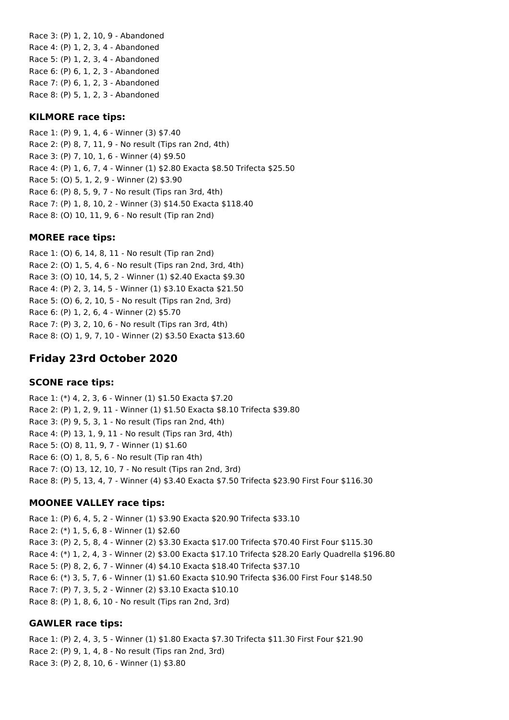Race 3: (P) 1, 2, 10, 9 - Abandoned Race 4: (P) 1, 2, 3, 4 - Abandoned Race 5: (P) 1, 2, 3, 4 - Abandoned Race 6: (P) 6, 1, 2, 3 - Abandoned Race 7: (P) 6, 1, 2, 3 - Abandoned Race 8: (P) 5, 1, 2, 3 - Abandoned

### **KILMORE race tips:**

Race 1: (P) 9, 1, 4, 6 - Winner (3) \$7.40 Race 2: (P) 8, 7, 11, 9 - No result (Tips ran 2nd, 4th) Race 3: (P) 7, 10, 1, 6 - Winner (4) \$9.50 Race 4: (P) 1, 6, 7, 4 - Winner (1) \$2.80 Exacta \$8.50 Trifecta \$25.50 Race 5: (O) 5, 1, 2, 9 - Winner (2) \$3.90 Race 6: (P) 8, 5, 9, 7 - No result (Tips ran 3rd, 4th) Race 7: (P) 1, 8, 10, 2 - Winner (3) \$14.50 Exacta \$118.40 Race 8: (O) 10, 11, 9, 6 - No result (Tip ran 2nd)

#### **MOREE race tips:**

Race 1: (O) 6, 14, 8, 11 - No result (Tip ran 2nd) Race 2: (O) 1, 5, 4, 6 - No result (Tips ran 2nd, 3rd, 4th) Race 3: (O) 10, 14, 5, 2 - Winner (1) \$2.40 Exacta \$9.30 Race 4: (P) 2, 3, 14, 5 - Winner (1) \$3.10 Exacta \$21.50 Race 5: (O) 6, 2, 10, 5 - No result (Tips ran 2nd, 3rd) Race 6: (P) 1, 2, 6, 4 - Winner (2) \$5.70 Race 7: (P) 3, 2, 10, 6 - No result (Tips ran 3rd, 4th) Race 8: (O) 1, 9, 7, 10 - Winner (2) \$3.50 Exacta \$13.60

# **Friday 23rd October 2020**

#### **SCONE race tips:**

Race 1: (\*) 4, 2, 3, 6 - Winner (1) \$1.50 Exacta \$7.20 Race 2: (P) 1, 2, 9, 11 - Winner (1) \$1.50 Exacta \$8.10 Trifecta \$39.80 Race 3: (P) 9, 5, 3, 1 - No result (Tips ran 2nd, 4th) Race 4: (P) 13, 1, 9, 11 - No result (Tips ran 3rd, 4th) Race 5: (O) 8, 11, 9, 7 - Winner (1) \$1.60 Race 6: (O) 1, 8, 5, 6 - No result (Tip ran 4th) Race 7: (O) 13, 12, 10, 7 - No result (Tips ran 2nd, 3rd) Race 8: (P) 5, 13, 4, 7 - Winner (4) \$3.40 Exacta \$7.50 Trifecta \$23.90 First Four \$116.30

## **MOONEE VALLEY race tips:**

Race 1: (P) 6, 4, 5, 2 - Winner (1) \$3.90 Exacta \$20.90 Trifecta \$33.10 Race 2: (\*) 1, 5, 6, 8 - Winner (1) \$2.60 Race 3: (P) 2, 5, 8, 4 - Winner (2) \$3.30 Exacta \$17.00 Trifecta \$70.40 First Four \$115.30 Race 4: (\*) 1, 2, 4, 3 - Winner (2) \$3.00 Exacta \$17.10 Trifecta \$28.20 Early Quadrella \$196.80 Race 5: (P) 8, 2, 6, 7 - Winner (4) \$4.10 Exacta \$18.40 Trifecta \$37.10 Race 6: (\*) 3, 5, 7, 6 - Winner (1) \$1.60 Exacta \$10.90 Trifecta \$36.00 First Four \$148.50 Race 7: (P) 7, 3, 5, 2 - Winner (2) \$3.10 Exacta \$10.10 Race 8: (P) 1, 8, 6, 10 - No result (Tips ran 2nd, 3rd)

#### **GAWLER race tips:**

Race 1: (P) 2, 4, 3, 5 - Winner (1) \$1.80 Exacta \$7.30 Trifecta \$11.30 First Four \$21.90 Race 2: (P) 9, 1, 4, 8 - No result (Tips ran 2nd, 3rd) Race 3: (P) 2, 8, 10, 6 - Winner (1) \$3.80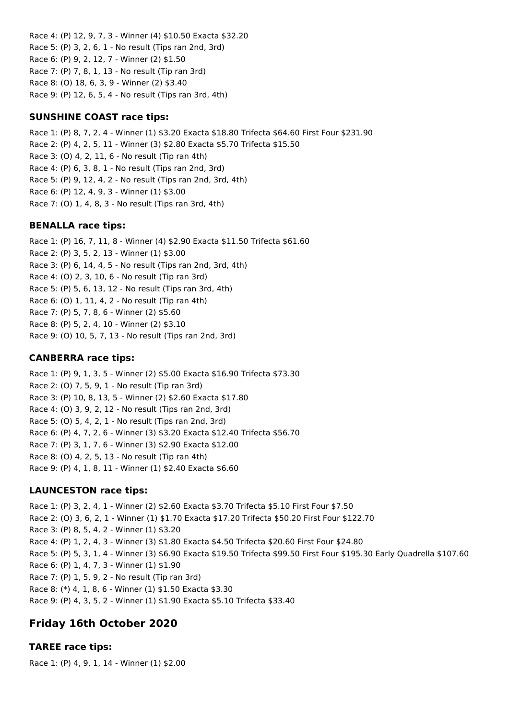Race 4: (P) 12, 9, 7, 3 - Winner (4) \$10.50 Exacta \$32.20 Race 5: (P) 3, 2, 6, 1 - No result (Tips ran 2nd, 3rd) Race 6: (P) 9, 2, 12, 7 - Winner (2) \$1.50 Race 7: (P) 7, 8, 1, 13 - No result (Tip ran 3rd) Race 8: (O) 18, 6, 3, 9 - Winner (2) \$3.40 Race 9: (P) 12, 6, 5, 4 - No result (Tips ran 3rd, 4th)

## **SUNSHINE COAST race tips:**

Race 1: (P) 8, 7, 2, 4 - Winner (1) \$3.20 Exacta \$18.80 Trifecta \$64.60 First Four \$231.90 Race 2: (P) 4, 2, 5, 11 - Winner (3) \$2.80 Exacta \$5.70 Trifecta \$15.50 Race 3: (O) 4, 2, 11, 6 - No result (Tip ran 4th) Race 4: (P) 6, 3, 8, 1 - No result (Tips ran 2nd, 3rd) Race 5: (P) 9, 12, 4, 2 - No result (Tips ran 2nd, 3rd, 4th) Race 6: (P) 12, 4, 9, 3 - Winner (1) \$3.00 Race 7: (O) 1, 4, 8, 3 - No result (Tips ran 3rd, 4th)

#### **BENALLA race tips:**

Race 1: (P) 16, 7, 11, 8 - Winner (4) \$2.90 Exacta \$11.50 Trifecta \$61.60 Race 2: (P) 3, 5, 2, 13 - Winner (1) \$3.00 Race 3: (P) 6, 14, 4, 5 - No result (Tips ran 2nd, 3rd, 4th) Race 4: (O) 2, 3, 10, 6 - No result (Tip ran 3rd) Race 5: (P) 5, 6, 13, 12 - No result (Tips ran 3rd, 4th) Race 6: (O) 1, 11, 4, 2 - No result (Tip ran 4th) Race 7: (P) 5, 7, 8, 6 - Winner (2) \$5.60 Race 8: (P) 5, 2, 4, 10 - Winner (2) \$3.10 Race 9: (O) 10, 5, 7, 13 - No result (Tips ran 2nd, 3rd)

### **CANBERRA race tips:**

Race 1: (P) 9, 1, 3, 5 - Winner (2) \$5.00 Exacta \$16.90 Trifecta \$73.30 Race 2: (O) 7, 5, 9, 1 - No result (Tip ran 3rd) Race 3: (P) 10, 8, 13, 5 - Winner (2) \$2.60 Exacta \$17.80 Race 4: (O) 3, 9, 2, 12 - No result (Tips ran 2nd, 3rd) Race 5: (O) 5, 4, 2, 1 - No result (Tips ran 2nd, 3rd) Race 6: (P) 4, 7, 2, 6 - Winner (3) \$3.20 Exacta \$12.40 Trifecta \$56.70 Race 7: (P) 3, 1, 7, 6 - Winner (3) \$2.90 Exacta \$12.00 Race 8: (O) 4, 2, 5, 13 - No result (Tip ran 4th) Race 9: (P) 4, 1, 8, 11 - Winner (1) \$2.40 Exacta \$6.60

## **LAUNCESTON race tips:**

Race 1: (P) 3, 2, 4, 1 - Winner (2) \$2.60 Exacta \$3.70 Trifecta \$5.10 First Four \$7.50 Race 2: (O) 3, 6, 2, 1 - Winner (1) \$1.70 Exacta \$17.20 Trifecta \$50.20 First Four \$122.70 Race 3: (P) 8, 5, 4, 2 - Winner (1) \$3.20 Race 4: (P) 1, 2, 4, 3 - Winner (3) \$1.80 Exacta \$4.50 Trifecta \$20.60 First Four \$24.80 Race 5: (P) 5, 3, 1, 4 - Winner (3) \$6.90 Exacta \$19.50 Trifecta \$99.50 First Four \$195.30 Early Quadrella \$107.60 Race 6: (P) 1, 4, 7, 3 - Winner (1) \$1.90 Race 7: (P) 1, 5, 9, 2 - No result (Tip ran 3rd) Race 8: (\*) 4, 1, 8, 6 - Winner (1) \$1.50 Exacta \$3.30 Race 9: (P) 4, 3, 5, 2 - Winner (1) \$1.90 Exacta \$5.10 Trifecta \$33.40

# **Friday 16th October 2020**

## **TAREE race tips:**

Race 1: (P) 4, 9, 1, 14 - Winner (1) \$2.00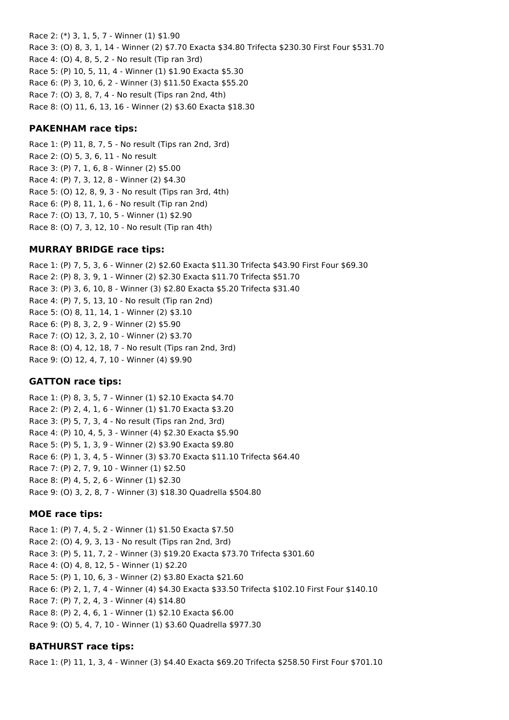Race 2: (\*) 3, 1, 5, 7 - Winner (1) \$1.90 Race 3: (O) 8, 3, 1, 14 - Winner (2) \$7.70 Exacta \$34.80 Trifecta \$230.30 First Four \$531.70 Race 4: (O) 4, 8, 5, 2 - No result (Tip ran 3rd) Race 5: (P) 10, 5, 11, 4 - Winner (1) \$1.90 Exacta \$5.30 Race 6: (P) 3, 10, 6, 2 - Winner (3) \$11.50 Exacta \$55.20 Race 7: (O) 3, 8, 7, 4 - No result (Tips ran 2nd, 4th) Race 8: (O) 11, 6, 13, 16 - Winner (2) \$3.60 Exacta \$18.30

### **PAKENHAM race tips:**

Race 1: (P) 11, 8, 7, 5 - No result (Tips ran 2nd, 3rd) Race 2: (O) 5, 3, 6, 11 - No result Race 3: (P) 7, 1, 6, 8 - Winner (2) \$5.00 Race 4: (P) 7, 3, 12, 8 - Winner (2) \$4.30 Race 5: (O) 12, 8, 9, 3 - No result (Tips ran 3rd, 4th) Race 6: (P) 8, 11, 1, 6 - No result (Tip ran 2nd) Race 7: (O) 13, 7, 10, 5 - Winner (1) \$2.90 Race 8: (O) 7, 3, 12, 10 - No result (Tip ran 4th)

## **MURRAY BRIDGE race tips:**

Race 1: (P) 7, 5, 3, 6 - Winner (2) \$2.60 Exacta \$11.30 Trifecta \$43.90 First Four \$69.30 Race 2: (P) 8, 3, 9, 1 - Winner (2) \$2.30 Exacta \$11.70 Trifecta \$51.70 Race 3: (P) 3, 6, 10, 8 - Winner (3) \$2.80 Exacta \$5.20 Trifecta \$31.40 Race 4: (P) 7, 5, 13, 10 - No result (Tip ran 2nd) Race 5: (O) 8, 11, 14, 1 - Winner (2) \$3.10 Race 6: (P) 8, 3, 2, 9 - Winner (2) \$5.90 Race 7: (O) 12, 3, 2, 10 - Winner (2) \$3.70 Race 8: (O) 4, 12, 18, 7 - No result (Tips ran 2nd, 3rd) Race 9: (O) 12, 4, 7, 10 - Winner (4) \$9.90

## **GATTON race tips:**

Race 1: (P) 8, 3, 5, 7 - Winner (1) \$2.10 Exacta \$4.70 Race 2: (P) 2, 4, 1, 6 - Winner (1) \$1.70 Exacta \$3.20 Race 3: (P) 5, 7, 3, 4 - No result (Tips ran 2nd, 3rd) Race 4: (P) 10, 4, 5, 3 - Winner (4) \$2.30 Exacta \$5.90 Race 5: (P) 5, 1, 3, 9 - Winner (2) \$3.90 Exacta \$9.80 Race 6: (P) 1, 3, 4, 5 - Winner (3) \$3.70 Exacta \$11.10 Trifecta \$64.40 Race 7: (P) 2, 7, 9, 10 - Winner (1) \$2.50 Race 8: (P) 4, 5, 2, 6 - Winner (1) \$2.30 Race 9: (O) 3, 2, 8, 7 - Winner (3) \$18.30 Quadrella \$504.80

#### **MOE race tips:**

Race 1: (P) 7, 4, 5, 2 - Winner (1) \$1.50 Exacta \$7.50 Race 2: (O) 4, 9, 3, 13 - No result (Tips ran 2nd, 3rd) Race 3: (P) 5, 11, 7, 2 - Winner (3) \$19.20 Exacta \$73.70 Trifecta \$301.60 Race 4: (O) 4, 8, 12, 5 - Winner (1) \$2.20 Race 5: (P) 1, 10, 6, 3 - Winner (2) \$3.80 Exacta \$21.60 Race 6: (P) 2, 1, 7, 4 - Winner (4) \$4.30 Exacta \$33.50 Trifecta \$102.10 First Four \$140.10 Race 7: (P) 7, 2, 4, 3 - Winner (4) \$14.80 Race 8: (P) 2, 4, 6, 1 - Winner (1) \$2.10 Exacta \$6.00 Race 9: (O) 5, 4, 7, 10 - Winner (1) \$3.60 Quadrella \$977.30

## **BATHURST race tips:**

Race 1: (P) 11, 1, 3, 4 - Winner (3) \$4.40 Exacta \$69.20 Trifecta \$258.50 First Four \$701.10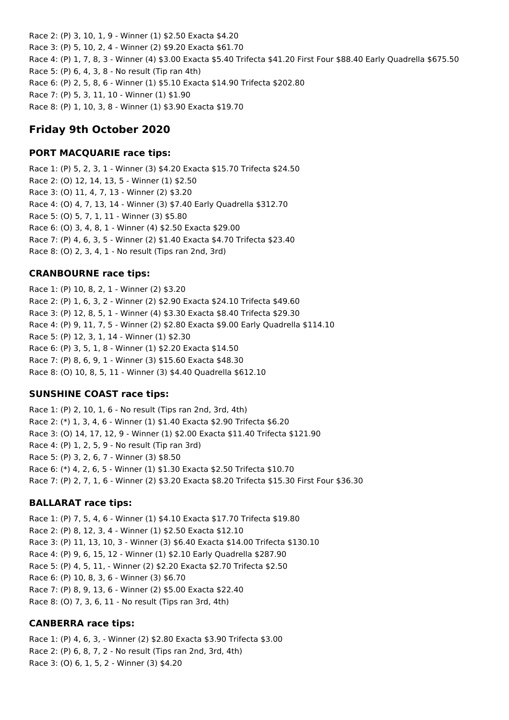Race 2: (P) 3, 10, 1, 9 - Winner (1) \$2.50 Exacta \$4.20 Race 3: (P) 5, 10, 2, 4 - Winner (2) \$9.20 Exacta \$61.70 Race 4: (P) 1, 7, 8, 3 - Winner (4) \$3.00 Exacta \$5.40 Trifecta \$41.20 First Four \$88.40 Early Quadrella \$675.50 Race 5: (P) 6, 4, 3, 8 - No result (Tip ran 4th) Race 6: (P) 2, 5, 8, 6 - Winner (1) \$5.10 Exacta \$14.90 Trifecta \$202.80 Race 7: (P) 5, 3, 11, 10 - Winner (1) \$1.90 Race 8: (P) 1, 10, 3, 8 - Winner (1) \$3.90 Exacta \$19.70

# **Friday 9th October 2020**

## **PORT MACQUARIE race tips:**

Race 1: (P) 5, 2, 3, 1 - Winner (3) \$4.20 Exacta \$15.70 Trifecta \$24.50 Race 2: (O) 12, 14, 13, 5 - Winner (1) \$2.50 Race 3: (O) 11, 4, 7, 13 - Winner (2) \$3.20 Race 4: (O) 4, 7, 13, 14 - Winner (3) \$7.40 Early Quadrella \$312.70 Race 5: (O) 5, 7, 1, 11 - Winner (3) \$5.80 Race 6: (O) 3, 4, 8, 1 - Winner (4) \$2.50 Exacta \$29.00 Race 7: (P) 4, 6, 3, 5 - Winner (2) \$1.40 Exacta \$4.70 Trifecta \$23.40 Race 8: (O) 2, 3, 4, 1 - No result (Tips ran 2nd, 3rd)

## **CRANBOURNE race tips:**

Race 1: (P) 10, 8, 2, 1 - Winner (2) \$3.20 Race 2: (P) 1, 6, 3, 2 - Winner (2) \$2.90 Exacta \$24.10 Trifecta \$49.60 Race 3: (P) 12, 8, 5, 1 - Winner (4) \$3.30 Exacta \$8.40 Trifecta \$29.30 Race 4: (P) 9, 11, 7, 5 - Winner (2) \$2.80 Exacta \$9.00 Early Quadrella \$114.10 Race 5: (P) 12, 3, 1, 14 - Winner (1) \$2.30 Race 6: (P) 3, 5, 1, 8 - Winner (1) \$2.20 Exacta \$14.50 Race 7: (P) 8, 6, 9, 1 - Winner (3) \$15.60 Exacta \$48.30 Race 8: (O) 10, 8, 5, 11 - Winner (3) \$4.40 Quadrella \$612.10

# **SUNSHINE COAST race tips:**

Race 1: (P) 2, 10, 1, 6 - No result (Tips ran 2nd, 3rd, 4th) Race 2: (\*) 1, 3, 4, 6 - Winner (1) \$1.40 Exacta \$2.90 Trifecta \$6.20 Race 3: (O) 14, 17, 12, 9 - Winner (1) \$2.00 Exacta \$11.40 Trifecta \$121.90 Race 4: (P) 1, 2, 5, 9 - No result (Tip ran 3rd) Race 5: (P) 3, 2, 6, 7 - Winner (3) \$8.50 Race 6: (\*) 4, 2, 6, 5 - Winner (1) \$1.30 Exacta \$2.50 Trifecta \$10.70 Race 7: (P) 2, 7, 1, 6 - Winner (2) \$3.20 Exacta \$8.20 Trifecta \$15.30 First Four \$36.30

## **BALLARAT race tips:**

Race 1: (P) 7, 5, 4, 6 - Winner (1) \$4.10 Exacta \$17.70 Trifecta \$19.80 Race 2: (P) 8, 12, 3, 4 - Winner (1) \$2.50 Exacta \$12.10 Race 3: (P) 11, 13, 10, 3 - Winner (3) \$6.40 Exacta \$14.00 Trifecta \$130.10 Race 4: (P) 9, 6, 15, 12 - Winner (1) \$2.10 Early Quadrella \$287.90 Race 5: (P) 4, 5, 11, - Winner (2) \$2.20 Exacta \$2.70 Trifecta \$2.50 Race 6: (P) 10, 8, 3, 6 - Winner (3) \$6.70 Race 7: (P) 8, 9, 13, 6 - Winner (2) \$5.00 Exacta \$22.40 Race 8: (O) 7, 3, 6, 11 - No result (Tips ran 3rd, 4th)

## **CANBERRA race tips:**

Race 1: (P) 4, 6, 3, - Winner (2) \$2.80 Exacta \$3.90 Trifecta \$3.00 Race 2: (P) 6, 8, 7, 2 - No result (Tips ran 2nd, 3rd, 4th) Race 3: (O) 6, 1, 5, 2 - Winner (3) \$4.20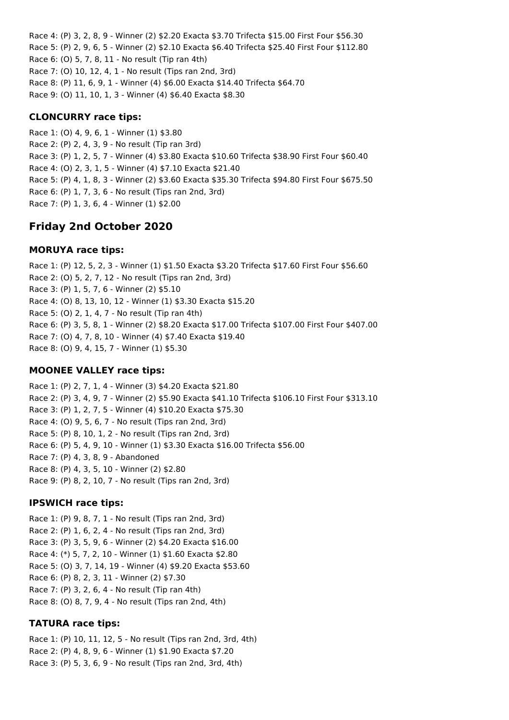Race 4: (P) 3, 2, 8, 9 - Winner (2) \$2.20 Exacta \$3.70 Trifecta \$15.00 First Four \$56.30 Race 5: (P) 2, 9, 6, 5 - Winner (2) \$2.10 Exacta \$6.40 Trifecta \$25.40 First Four \$112.80 Race 6: (O) 5, 7, 8, 11 - No result (Tip ran 4th) Race 7: (O) 10, 12, 4, 1 - No result (Tips ran 2nd, 3rd) Race 8: (P) 11, 6, 9, 1 - Winner (4) \$6.00 Exacta \$14.40 Trifecta \$64.70 Race 9: (O) 11, 10, 1, 3 - Winner (4) \$6.40 Exacta \$8.30

## **CLONCURRY race tips:**

Race 1: (O) 4, 9, 6, 1 - Winner (1) \$3.80 Race 2: (P) 2, 4, 3, 9 - No result (Tip ran 3rd) Race 3: (P) 1, 2, 5, 7 - Winner (4) \$3.80 Exacta \$10.60 Trifecta \$38.90 First Four \$60.40 Race 4: (O) 2, 3, 1, 5 - Winner (4) \$7.10 Exacta \$21.40 Race 5: (P) 4, 1, 8, 3 - Winner (2) \$3.60 Exacta \$35.30 Trifecta \$94.80 First Four \$675.50 Race 6: (P) 1, 7, 3, 6 - No result (Tips ran 2nd, 3rd) Race 7: (P) 1, 3, 6, 4 - Winner (1) \$2.00

# **Friday 2nd October 2020**

## **MORUYA race tips:**

Race 1: (P) 12, 5, 2, 3 - Winner (1) \$1.50 Exacta \$3.20 Trifecta \$17.60 First Four \$56.60 Race 2: (O) 5, 2, 7, 12 - No result (Tips ran 2nd, 3rd) Race 3: (P) 1, 5, 7, 6 - Winner (2) \$5.10 Race 4: (O) 8, 13, 10, 12 - Winner (1) \$3.30 Exacta \$15.20 Race 5: (O) 2, 1, 4, 7 - No result (Tip ran 4th) Race 6: (P) 3, 5, 8, 1 - Winner (2) \$8.20 Exacta \$17.00 Trifecta \$107.00 First Four \$407.00 Race 7: (O) 4, 7, 8, 10 - Winner (4) \$7.40 Exacta \$19.40 Race 8: (O) 9, 4, 15, 7 - Winner (1) \$5.30

# **MOONEE VALLEY race tips:**

Race 1: (P) 2, 7, 1, 4 - Winner (3) \$4.20 Exacta \$21.80 Race 2: (P) 3, 4, 9, 7 - Winner (2) \$5.90 Exacta \$41.10 Trifecta \$106.10 First Four \$313.10 Race 3: (P) 1, 2, 7, 5 - Winner (4) \$10.20 Exacta \$75.30 Race 4: (O) 9, 5, 6, 7 - No result (Tips ran 2nd, 3rd) Race 5: (P) 8, 10, 1, 2 - No result (Tips ran 2nd, 3rd) Race 6: (P) 5, 4, 9, 10 - Winner (1) \$3.30 Exacta \$16.00 Trifecta \$56.00 Race 7: (P) 4, 3, 8, 9 - Abandoned Race 8: (P) 4, 3, 5, 10 - Winner (2) \$2.80 Race 9: (P) 8, 2, 10, 7 - No result (Tips ran 2nd, 3rd)

## **IPSWICH race tips:**

Race 1: (P) 9, 8, 7, 1 - No result (Tips ran 2nd, 3rd) Race 2: (P) 1, 6, 2, 4 - No result (Tips ran 2nd, 3rd) Race 3: (P) 3, 5, 9, 6 - Winner (2) \$4.20 Exacta \$16.00 Race 4: (\*) 5, 7, 2, 10 - Winner (1) \$1.60 Exacta \$2.80 Race 5: (O) 3, 7, 14, 19 - Winner (4) \$9.20 Exacta \$53.60 Race 6: (P) 8, 2, 3, 11 - Winner (2) \$7.30 Race 7: (P) 3, 2, 6, 4 - No result (Tip ran 4th) Race 8: (O) 8, 7, 9, 4 - No result (Tips ran 2nd, 4th)

# **TATURA race tips:**

Race 1: (P) 10, 11, 12, 5 - No result (Tips ran 2nd, 3rd, 4th) Race 2: (P) 4, 8, 9, 6 - Winner (1) \$1.90 Exacta \$7.20 Race 3: (P) 5, 3, 6, 9 - No result (Tips ran 2nd, 3rd, 4th)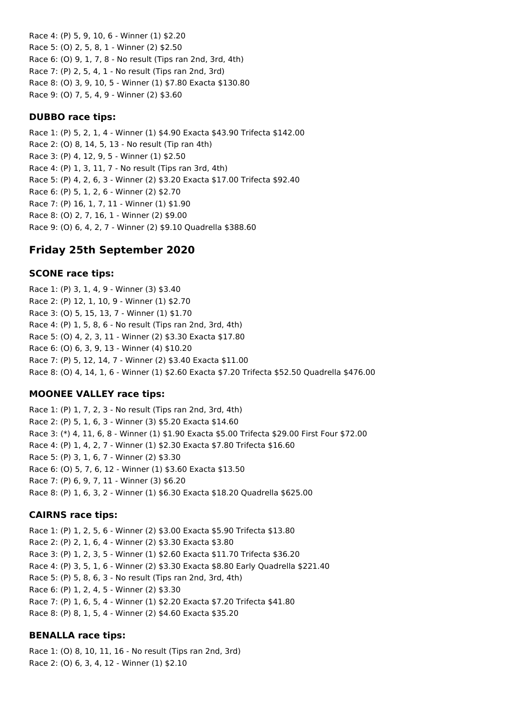Race 4: (P) 5, 9, 10, 6 - Winner (1) \$2.20 Race 5: (O) 2, 5, 8, 1 - Winner (2) \$2.50 Race 6: (O) 9, 1, 7, 8 - No result (Tips ran 2nd, 3rd, 4th) Race 7: (P) 2, 5, 4, 1 - No result (Tips ran 2nd, 3rd) Race 8: (O) 3, 9, 10, 5 - Winner (1) \$7.80 Exacta \$130.80 Race 9: (O) 7, 5, 4, 9 - Winner (2) \$3.60

#### **DUBBO race tips:**

Race 1: (P) 5, 2, 1, 4 - Winner (1) \$4.90 Exacta \$43.90 Trifecta \$142.00 Race 2: (O) 8, 14, 5, 13 - No result (Tip ran 4th) Race 3: (P) 4, 12, 9, 5 - Winner (1) \$2.50 Race 4: (P) 1, 3, 11, 7 - No result (Tips ran 3rd, 4th) Race 5: (P) 4, 2, 6, 3 - Winner (2) \$3.20 Exacta \$17.00 Trifecta \$92.40 Race 6: (P) 5, 1, 2, 6 - Winner (2) \$2.70 Race 7: (P) 16, 1, 7, 11 - Winner (1) \$1.90 Race 8: (O) 2, 7, 16, 1 - Winner (2) \$9.00 Race 9: (O) 6, 4, 2, 7 - Winner (2) \$9.10 Quadrella \$388.60

# **Friday 25th September 2020**

## **SCONE race tips:**

Race 1: (P) 3, 1, 4, 9 - Winner (3) \$3.40 Race 2: (P) 12, 1, 10, 9 - Winner (1) \$2.70 Race 3: (O) 5, 15, 13, 7 - Winner (1) \$1.70 Race 4: (P) 1, 5, 8, 6 - No result (Tips ran 2nd, 3rd, 4th) Race 5: (O) 4, 2, 3, 11 - Winner (2) \$3.30 Exacta \$17.80 Race 6: (O) 6, 3, 9, 13 - Winner (4) \$10.20 Race 7: (P) 5, 12, 14, 7 - Winner (2) \$3.40 Exacta \$11.00 Race 8: (O) 4, 14, 1, 6 - Winner (1) \$2.60 Exacta \$7.20 Trifecta \$52.50 Quadrella \$476.00

## **MOONEE VALLEY race tips:**

Race 1: (P) 1, 7, 2, 3 - No result (Tips ran 2nd, 3rd, 4th) Race 2: (P) 5, 1, 6, 3 - Winner (3) \$5.20 Exacta \$14.60 Race 3: (\*) 4, 11, 6, 8 - Winner (1) \$1.90 Exacta \$5.00 Trifecta \$29.00 First Four \$72.00 Race 4: (P) 1, 4, 2, 7 - Winner (1) \$2.30 Exacta \$7.80 Trifecta \$16.60 Race 5: (P) 3, 1, 6, 7 - Winner (2) \$3.30 Race 6: (O) 5, 7, 6, 12 - Winner (1) \$3.60 Exacta \$13.50 Race 7: (P) 6, 9, 7, 11 - Winner (3) \$6.20 Race 8: (P) 1, 6, 3, 2 - Winner (1) \$6.30 Exacta \$18.20 Quadrella \$625.00

## **CAIRNS race tips:**

Race 1: (P) 1, 2, 5, 6 - Winner (2) \$3.00 Exacta \$5.90 Trifecta \$13.80 Race 2: (P) 2, 1, 6, 4 - Winner (2) \$3.30 Exacta \$3.80 Race 3: (P) 1, 2, 3, 5 - Winner (1) \$2.60 Exacta \$11.70 Trifecta \$36.20 Race 4: (P) 3, 5, 1, 6 - Winner (2) \$3.30 Exacta \$8.80 Early Quadrella \$221.40 Race 5: (P) 5, 8, 6, 3 - No result (Tips ran 2nd, 3rd, 4th) Race 6: (P) 1, 2, 4, 5 - Winner (2) \$3.30 Race 7: (P) 1, 6, 5, 4 - Winner (1) \$2.20 Exacta \$7.20 Trifecta \$41.80 Race 8: (P) 8, 1, 5, 4 - Winner (2) \$4.60 Exacta \$35.20

## **BENALLA race tips:**

Race 1: (O) 8, 10, 11, 16 - No result (Tips ran 2nd, 3rd) Race 2: (O) 6, 3, 4, 12 - Winner (1) \$2.10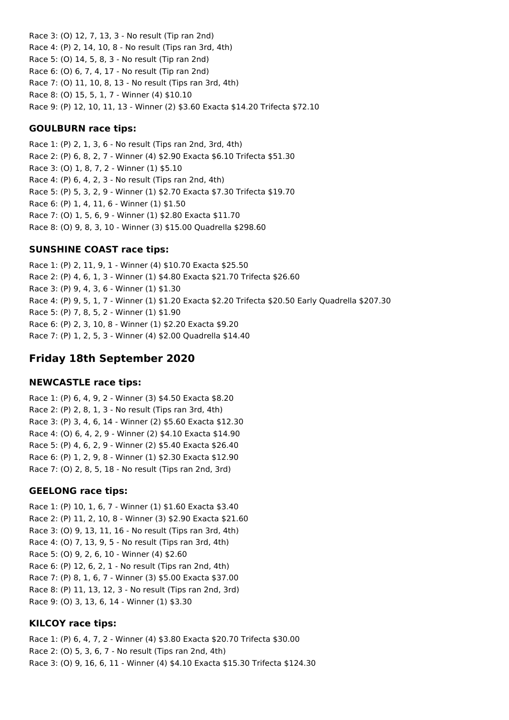Race 3: (O) 12, 7, 13, 3 - No result (Tip ran 2nd) Race 4: (P) 2, 14, 10, 8 - No result (Tips ran 3rd, 4th) Race 5: (O) 14, 5, 8, 3 - No result (Tip ran 2nd) Race 6: (O) 6, 7, 4, 17 - No result (Tip ran 2nd) Race 7: (O) 11, 10, 8, 13 - No result (Tips ran 3rd, 4th) Race 8: (O) 15, 5, 1, 7 - Winner (4) \$10.10 Race 9: (P) 12, 10, 11, 13 - Winner (2) \$3.60 Exacta \$14.20 Trifecta \$72.10

## **GOULBURN race tips:**

Race 1: (P) 2, 1, 3, 6 - No result (Tips ran 2nd, 3rd, 4th) Race 2: (P) 6, 8, 2, 7 - Winner (4) \$2.90 Exacta \$6.10 Trifecta \$51.30 Race 3: (O) 1, 8, 7, 2 - Winner (1) \$5.10 Race 4: (P) 6, 4, 2, 3 - No result (Tips ran 2nd, 4th) Race 5: (P) 5, 3, 2, 9 - Winner (1) \$2.70 Exacta \$7.30 Trifecta \$19.70 Race 6: (P) 1, 4, 11, 6 - Winner (1) \$1.50 Race 7: (O) 1, 5, 6, 9 - Winner (1) \$2.80 Exacta \$11.70 Race 8: (O) 9, 8, 3, 10 - Winner (3) \$15.00 Quadrella \$298.60

## **SUNSHINE COAST race tips:**

Race 1: (P) 2, 11, 9, 1 - Winner (4) \$10.70 Exacta \$25.50 Race 2: (P) 4, 6, 1, 3 - Winner (1) \$4.80 Exacta \$21.70 Trifecta \$26.60 Race 3: (P) 9, 4, 3, 6 - Winner (1) \$1.30 Race 4: (P) 9, 5, 1, 7 - Winner (1) \$1.20 Exacta \$2.20 Trifecta \$20.50 Early Quadrella \$207.30 Race 5: (P) 7, 8, 5, 2 - Winner (1) \$1.90 Race 6: (P) 2, 3, 10, 8 - Winner (1) \$2.20 Exacta \$9.20 Race 7: (P) 1, 2, 5, 3 - Winner (4) \$2.00 Quadrella \$14.40

# **Friday 18th September 2020**

#### **NEWCASTLE race tips:**

Race 1: (P) 6, 4, 9, 2 - Winner (3) \$4.50 Exacta \$8.20 Race 2: (P) 2, 8, 1, 3 - No result (Tips ran 3rd, 4th) Race 3: (P) 3, 4, 6, 14 - Winner (2) \$5.60 Exacta \$12.30 Race 4: (O) 6, 4, 2, 9 - Winner (2) \$4.10 Exacta \$14.90 Race 5: (P) 4, 6, 2, 9 - Winner (2) \$5.40 Exacta \$26.40 Race 6: (P) 1, 2, 9, 8 - Winner (1) \$2.30 Exacta \$12.90 Race 7: (O) 2, 8, 5, 18 - No result (Tips ran 2nd, 3rd)

#### **GEELONG race tips:**

Race 1: (P) 10, 1, 6, 7 - Winner (1) \$1.60 Exacta \$3.40 Race 2: (P) 11, 2, 10, 8 - Winner (3) \$2.90 Exacta \$21.60 Race 3: (O) 9, 13, 11, 16 - No result (Tips ran 3rd, 4th) Race 4: (O) 7, 13, 9, 5 - No result (Tips ran 3rd, 4th) Race 5: (O) 9, 2, 6, 10 - Winner (4) \$2.60 Race 6: (P) 12, 6, 2, 1 - No result (Tips ran 2nd, 4th) Race 7: (P) 8, 1, 6, 7 - Winner (3) \$5.00 Exacta \$37.00 Race 8: (P) 11, 13, 12, 3 - No result (Tips ran 2nd, 3rd) Race 9: (O) 3, 13, 6, 14 - Winner (1) \$3.30

## **KILCOY race tips:**

Race 1: (P) 6, 4, 7, 2 - Winner (4) \$3.80 Exacta \$20.70 Trifecta \$30.00 Race 2: (O) 5, 3, 6, 7 - No result (Tips ran 2nd, 4th) Race 3: (O) 9, 16, 6, 11 - Winner (4) \$4.10 Exacta \$15.30 Trifecta \$124.30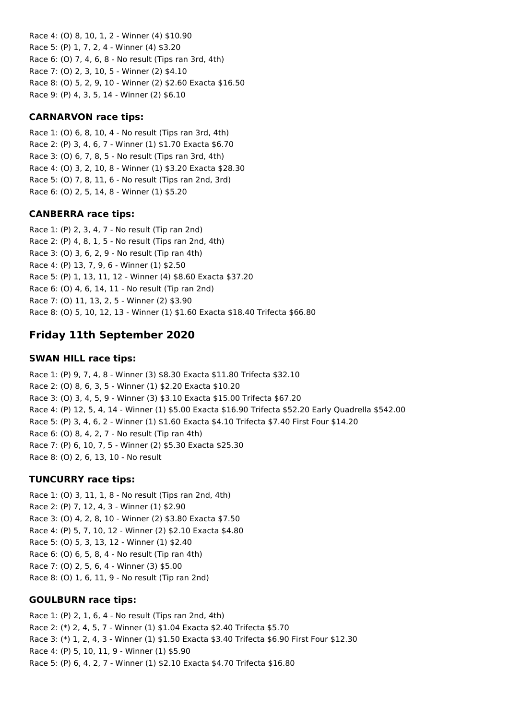Race 4: (O) 8, 10, 1, 2 - Winner (4) \$10.90 Race 5: (P) 1, 7, 2, 4 - Winner (4) \$3.20 Race 6: (O) 7, 4, 6, 8 - No result (Tips ran 3rd, 4th) Race 7: (O) 2, 3, 10, 5 - Winner (2) \$4.10 Race 8: (O) 5, 2, 9, 10 - Winner (2) \$2.60 Exacta \$16.50 Race 9: (P) 4, 3, 5, 14 - Winner (2) \$6.10

## **CARNARVON race tips:**

Race 1: (O) 6, 8, 10, 4 - No result (Tips ran 3rd, 4th) Race 2: (P) 3, 4, 6, 7 - Winner (1) \$1.70 Exacta \$6.70 Race 3: (O) 6, 7, 8, 5 - No result (Tips ran 3rd, 4th) Race 4: (O) 3, 2, 10, 8 - Winner (1) \$3.20 Exacta \$28.30 Race 5: (O) 7, 8, 11, 6 - No result (Tips ran 2nd, 3rd) Race 6: (O) 2, 5, 14, 8 - Winner (1) \$5.20

## **CANBERRA race tips:**

Race 1: (P) 2, 3, 4, 7 - No result (Tip ran 2nd) Race 2: (P) 4, 8, 1, 5 - No result (Tips ran 2nd, 4th) Race 3: (O) 3, 6, 2, 9 - No result (Tip ran 4th) Race 4: (P) 13, 7, 9, 6 - Winner (1) \$2.50 Race 5: (P) 1, 13, 11, 12 - Winner (4) \$8.60 Exacta \$37.20 Race 6: (O) 4, 6, 14, 11 - No result (Tip ran 2nd) Race 7: (O) 11, 13, 2, 5 - Winner (2) \$3.90 Race 8: (O) 5, 10, 12, 13 - Winner (1) \$1.60 Exacta \$18.40 Trifecta \$66.80

# **Friday 11th September 2020**

#### **SWAN HILL race tips:**

Race 1: (P) 9, 7, 4, 8 - Winner (3) \$8.30 Exacta \$11.80 Trifecta \$32.10 Race 2: (O) 8, 6, 3, 5 - Winner (1) \$2.20 Exacta \$10.20 Race 3: (O) 3, 4, 5, 9 - Winner (3) \$3.10 Exacta \$15.00 Trifecta \$67.20 Race 4: (P) 12, 5, 4, 14 - Winner (1) \$5.00 Exacta \$16.90 Trifecta \$52.20 Early Quadrella \$542.00 Race 5: (P) 3, 4, 6, 2 - Winner (1) \$1.60 Exacta \$4.10 Trifecta \$7.40 First Four \$14.20 Race 6: (O) 8, 4, 2, 7 - No result (Tip ran 4th) Race 7: (P) 6, 10, 7, 5 - Winner (2) \$5.30 Exacta \$25.30 Race 8: (O) 2, 6, 13, 10 - No result

#### **TUNCURRY race tips:**

Race 1: (O) 3, 11, 1, 8 - No result (Tips ran 2nd, 4th) Race 2: (P) 7, 12, 4, 3 - Winner (1) \$2.90 Race 3: (O) 4, 2, 8, 10 - Winner (2) \$3.80 Exacta \$7.50 Race 4: (P) 5, 7, 10, 12 - Winner (2) \$2.10 Exacta \$4.80 Race 5: (O) 5, 3, 13, 12 - Winner (1) \$2.40 Race 6: (O) 6, 5, 8, 4 - No result (Tip ran 4th) Race 7: (O) 2, 5, 6, 4 - Winner (3) \$5.00 Race 8: (O) 1, 6, 11, 9 - No result (Tip ran 2nd)

#### **GOULBURN race tips:**

Race 1: (P) 2, 1, 6, 4 - No result (Tips ran 2nd, 4th) Race 2: (\*) 2, 4, 5, 7 - Winner (1) \$1.04 Exacta \$2.40 Trifecta \$5.70 Race 3: (\*) 1, 2, 4, 3 - Winner (1) \$1.50 Exacta \$3.40 Trifecta \$6.90 First Four \$12.30 Race 4: (P) 5, 10, 11, 9 - Winner (1) \$5.90 Race 5: (P) 6, 4, 2, 7 - Winner (1) \$2.10 Exacta \$4.70 Trifecta \$16.80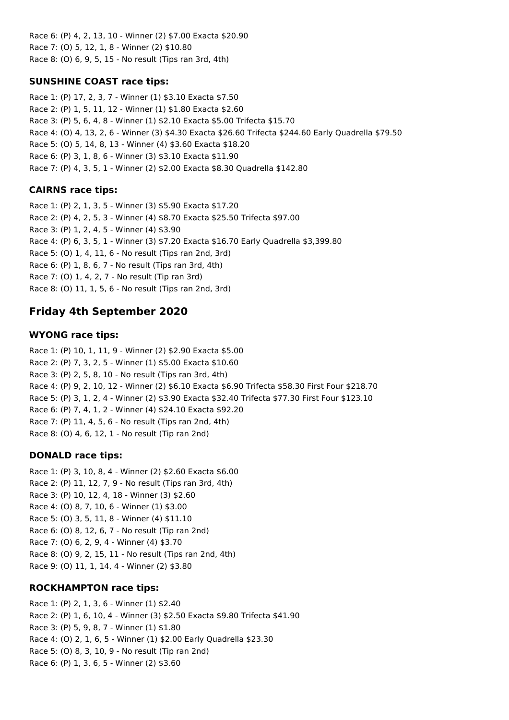Race 6: (P) 4, 2, 13, 10 - Winner (2) \$7.00 Exacta \$20.90 Race 7: (O) 5, 12, 1, 8 - Winner (2) \$10.80 Race 8: (O) 6, 9, 5, 15 - No result (Tips ran 3rd, 4th)

## **SUNSHINE COAST race tips:**

Race 1: (P) 17, 2, 3, 7 - Winner (1) \$3.10 Exacta \$7.50 Race 2: (P) 1, 5, 11, 12 - Winner (1) \$1.80 Exacta \$2.60 Race 3: (P) 5, 6, 4, 8 - Winner (1) \$2.10 Exacta \$5.00 Trifecta \$15.70 Race 4: (O) 4, 13, 2, 6 - Winner (3) \$4.30 Exacta \$26.60 Trifecta \$244.60 Early Quadrella \$79.50 Race 5: (O) 5, 14, 8, 13 - Winner (4) \$3.60 Exacta \$18.20 Race 6: (P) 3, 1, 8, 6 - Winner (3) \$3.10 Exacta \$11.90 Race 7: (P) 4, 3, 5, 1 - Winner (2) \$2.00 Exacta \$8.30 Quadrella \$142.80

# **CAIRNS race tips:**

Race 1: (P) 2, 1, 3, 5 - Winner (3) \$5.90 Exacta \$17.20 Race 2: (P) 4, 2, 5, 3 - Winner (4) \$8.70 Exacta \$25.50 Trifecta \$97.00 Race 3: (P) 1, 2, 4, 5 - Winner (4) \$3.90 Race 4: (P) 6, 3, 5, 1 - Winner (3) \$7.20 Exacta \$16.70 Early Quadrella \$3,399.80 Race 5: (O) 1, 4, 11, 6 - No result (Tips ran 2nd, 3rd) Race 6: (P) 1, 8, 6, 7 - No result (Tips ran 3rd, 4th) Race 7: (O) 1, 4, 2, 7 - No result (Tip ran 3rd) Race 8: (O) 11, 1, 5, 6 - No result (Tips ran 2nd, 3rd)

# **Friday 4th September 2020**

# **WYONG race tips:**

Race 1: (P) 10, 1, 11, 9 - Winner (2) \$2.90 Exacta \$5.00 Race 2: (P) 7, 3, 2, 5 - Winner (1) \$5.00 Exacta \$10.60 Race 3: (P) 2, 5, 8, 10 - No result (Tips ran 3rd, 4th) Race 4: (P) 9, 2, 10, 12 - Winner (2) \$6.10 Exacta \$6.90 Trifecta \$58.30 First Four \$218.70 Race 5: (P) 3, 1, 2, 4 - Winner (2) \$3.90 Exacta \$32.40 Trifecta \$77.30 First Four \$123.10 Race 6: (P) 7, 4, 1, 2 - Winner (4) \$24.10 Exacta \$92.20 Race 7: (P) 11, 4, 5, 6 - No result (Tips ran 2nd, 4th) Race 8: (O) 4, 6, 12, 1 - No result (Tip ran 2nd)

# **DONALD race tips:**

Race 1: (P) 3, 10, 8, 4 - Winner (2) \$2.60 Exacta \$6.00 Race 2: (P) 11, 12, 7, 9 - No result (Tips ran 3rd, 4th) Race 3: (P) 10, 12, 4, 18 - Winner (3) \$2.60 Race 4: (O) 8, 7, 10, 6 - Winner (1) \$3.00 Race 5: (O) 3, 5, 11, 8 - Winner (4) \$11.10 Race 6: (O) 8, 12, 6, 7 - No result (Tip ran 2nd) Race 7: (O) 6, 2, 9, 4 - Winner (4) \$3.70 Race 8: (O) 9, 2, 15, 11 - No result (Tips ran 2nd, 4th) Race 9: (O) 11, 1, 14, 4 - Winner (2) \$3.80

# **ROCKHAMPTON race tips:**

Race 1: (P) 2, 1, 3, 6 - Winner (1) \$2.40 Race 2: (P) 1, 6, 10, 4 - Winner (3) \$2.50 Exacta \$9.80 Trifecta \$41.90 Race 3: (P) 5, 9, 8, 7 - Winner (1) \$1.80 Race 4: (O) 2, 1, 6, 5 - Winner (1) \$2.00 Early Quadrella \$23.30 Race 5: (O) 8, 3, 10, 9 - No result (Tip ran 2nd) Race 6: (P) 1, 3, 6, 5 - Winner (2) \$3.60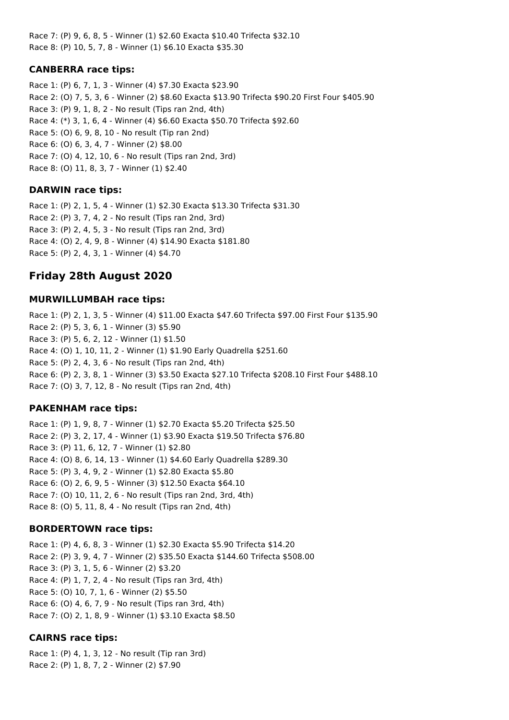Race 7: (P) 9, 6, 8, 5 - Winner (1) \$2.60 Exacta \$10.40 Trifecta \$32.10 Race 8: (P) 10, 5, 7, 8 - Winner (1) \$6.10 Exacta \$35.30

## **CANBERRA race tips:**

Race 1: (P) 6, 7, 1, 3 - Winner (4) \$7.30 Exacta \$23.90 Race 2: (O) 7, 5, 3, 6 - Winner (2) \$8.60 Exacta \$13.90 Trifecta \$90.20 First Four \$405.90 Race 3: (P) 9, 1, 8, 2 - No result (Tips ran 2nd, 4th) Race 4: (\*) 3, 1, 6, 4 - Winner (4) \$6.60 Exacta \$50.70 Trifecta \$92.60 Race 5: (O) 6, 9, 8, 10 - No result (Tip ran 2nd) Race 6: (O) 6, 3, 4, 7 - Winner (2) \$8.00 Race 7: (O) 4, 12, 10, 6 - No result (Tips ran 2nd, 3rd) Race 8: (O) 11, 8, 3, 7 - Winner (1) \$2.40

## **DARWIN race tips:**

Race 1: (P) 2, 1, 5, 4 - Winner (1) \$2.30 Exacta \$13.30 Trifecta \$31.30 Race 2: (P) 3, 7, 4, 2 - No result (Tips ran 2nd, 3rd) Race 3: (P) 2, 4, 5, 3 - No result (Tips ran 2nd, 3rd) Race 4: (O) 2, 4, 9, 8 - Winner (4) \$14.90 Exacta \$181.80 Race 5: (P) 2, 4, 3, 1 - Winner (4) \$4.70

# **Friday 28th August 2020**

### **MURWILLUMBAH race tips:**

Race 1: (P) 2, 1, 3, 5 - Winner (4) \$11.00 Exacta \$47.60 Trifecta \$97.00 First Four \$135.90 Race 2: (P) 5, 3, 6, 1 - Winner (3) \$5.90 Race 3: (P) 5, 6, 2, 12 - Winner (1) \$1.50 Race 4: (O) 1, 10, 11, 2 - Winner (1) \$1.90 Early Quadrella \$251.60 Race 5: (P) 2, 4, 3, 6 - No result (Tips ran 2nd, 4th) Race 6: (P) 2, 3, 8, 1 - Winner (3) \$3.50 Exacta \$27.10 Trifecta \$208.10 First Four \$488.10 Race 7: (O) 3, 7, 12, 8 - No result (Tips ran 2nd, 4th)

## **PAKENHAM race tips:**

Race 1: (P) 1, 9, 8, 7 - Winner (1) \$2.70 Exacta \$5.20 Trifecta \$25.50 Race 2: (P) 3, 2, 17, 4 - Winner (1) \$3.90 Exacta \$19.50 Trifecta \$76.80 Race 3: (P) 11, 6, 12, 7 - Winner (1) \$2.80 Race 4: (O) 8, 6, 14, 13 - Winner (1) \$4.60 Early Quadrella \$289.30 Race 5: (P) 3, 4, 9, 2 - Winner (1) \$2.80 Exacta \$5.80 Race 6: (O) 2, 6, 9, 5 - Winner (3) \$12.50 Exacta \$64.10 Race 7: (O) 10, 11, 2, 6 - No result (Tips ran 2nd, 3rd, 4th) Race 8: (O) 5, 11, 8, 4 - No result (Tips ran 2nd, 4th)

## **BORDERTOWN race tips:**

Race 1: (P) 4, 6, 8, 3 - Winner (1) \$2.30 Exacta \$5.90 Trifecta \$14.20 Race 2: (P) 3, 9, 4, 7 - Winner (2) \$35.50 Exacta \$144.60 Trifecta \$508.00 Race 3: (P) 3, 1, 5, 6 - Winner (2) \$3.20 Race 4: (P) 1, 7, 2, 4 - No result (Tips ran 3rd, 4th) Race 5: (O) 10, 7, 1, 6 - Winner (2) \$5.50 Race 6: (O) 4, 6, 7, 9 - No result (Tips ran 3rd, 4th) Race 7: (O) 2, 1, 8, 9 - Winner (1) \$3.10 Exacta \$8.50

## **CAIRNS race tips:**

Race 1: (P) 4, 1, 3, 12 - No result (Tip ran 3rd) Race 2: (P) 1, 8, 7, 2 - Winner (2) \$7.90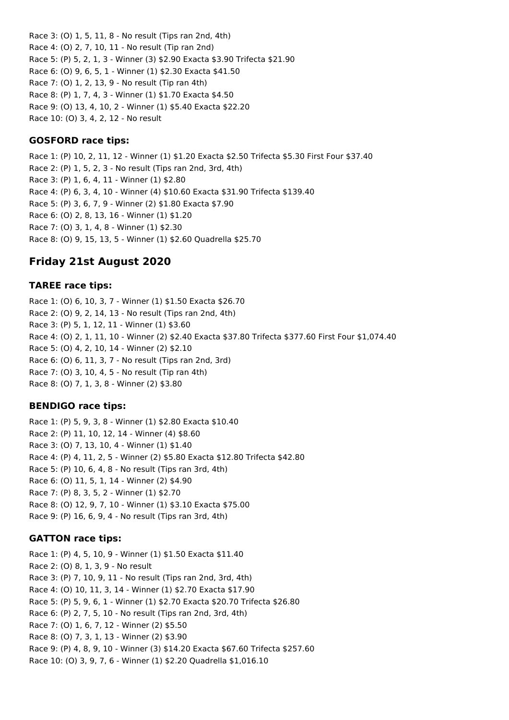Race 3: (O) 1, 5, 11, 8 - No result (Tips ran 2nd, 4th) Race 4: (O) 2, 7, 10, 11 - No result (Tip ran 2nd) Race 5: (P) 5, 2, 1, 3 - Winner (3) \$2.90 Exacta \$3.90 Trifecta \$21.90 Race 6: (O) 9, 6, 5, 1 - Winner (1) \$2.30 Exacta \$41.50 Race 7: (O) 1, 2, 13, 9 - No result (Tip ran 4th) Race 8: (P) 1, 7, 4, 3 - Winner (1) \$1.70 Exacta \$4.50 Race 9: (O) 13, 4, 10, 2 - Winner (1) \$5.40 Exacta \$22.20

Race 10: (O) 3, 4, 2, 12 - No result

## **GOSFORD race tips:**

Race 1: (P) 10, 2, 11, 12 - Winner (1) \$1.20 Exacta \$2.50 Trifecta \$5.30 First Four \$37.40 Race 2: (P) 1, 5, 2, 3 - No result (Tips ran 2nd, 3rd, 4th) Race 3: (P) 1, 6, 4, 11 - Winner (1) \$2.80 Race 4: (P) 6, 3, 4, 10 - Winner (4) \$10.60 Exacta \$31.90 Trifecta \$139.40 Race 5: (P) 3, 6, 7, 9 - Winner (2) \$1.80 Exacta \$7.90 Race 6: (O) 2, 8, 13, 16 - Winner (1) \$1.20 Race 7: (O) 3, 1, 4, 8 - Winner (1) \$2.30 Race 8: (O) 9, 15, 13, 5 - Winner (1) \$2.60 Quadrella \$25.70

# **Friday 21st August 2020**

#### **TAREE race tips:**

Race 1: (O) 6, 10, 3, 7 - Winner (1) \$1.50 Exacta \$26.70 Race 2: (O) 9, 2, 14, 13 - No result (Tips ran 2nd, 4th) Race 3: (P) 5, 1, 12, 11 - Winner (1) \$3.60 Race 4: (O) 2, 1, 11, 10 - Winner (2) \$2.40 Exacta \$37.80 Trifecta \$377.60 First Four \$1,074.40 Race 5: (O) 4, 2, 10, 14 - Winner (2) \$2.10 Race 6: (O) 6, 11, 3, 7 - No result (Tips ran 2nd, 3rd) Race 7: (O) 3, 10, 4, 5 - No result (Tip ran 4th) Race 8: (O) 7, 1, 3, 8 - Winner (2) \$3.80

#### **BENDIGO race tips:**

Race 1: (P) 5, 9, 3, 8 - Winner (1) \$2.80 Exacta \$10.40 Race 2: (P) 11, 10, 12, 14 - Winner (4) \$8.60 Race 3: (O) 7, 13, 10, 4 - Winner (1) \$1.40 Race 4: (P) 4, 11, 2, 5 - Winner (2) \$5.80 Exacta \$12.80 Trifecta \$42.80 Race 5: (P) 10, 6, 4, 8 - No result (Tips ran 3rd, 4th) Race 6: (O) 11, 5, 1, 14 - Winner (2) \$4.90 Race 7: (P) 8, 3, 5, 2 - Winner (1) \$2.70 Race 8: (O) 12, 9, 7, 10 - Winner (1) \$3.10 Exacta \$75.00 Race 9: (P) 16, 6, 9, 4 - No result (Tips ran 3rd, 4th)

#### **GATTON race tips:**

Race 1: (P) 4, 5, 10, 9 - Winner (1) \$1.50 Exacta \$11.40 Race 2: (O) 8, 1, 3, 9 - No result Race 3: (P) 7, 10, 9, 11 - No result (Tips ran 2nd, 3rd, 4th) Race 4: (O) 10, 11, 3, 14 - Winner (1) \$2.70 Exacta \$17.90 Race 5: (P) 5, 9, 6, 1 - Winner (1) \$2.70 Exacta \$20.70 Trifecta \$26.80 Race 6: (P) 2, 7, 5, 10 - No result (Tips ran 2nd, 3rd, 4th) Race 7: (O) 1, 6, 7, 12 - Winner (2) \$5.50 Race 8: (O) 7, 3, 1, 13 - Winner (2) \$3.90 Race 9: (P) 4, 8, 9, 10 - Winner (3) \$14.20 Exacta \$67.60 Trifecta \$257.60 Race 10: (O) 3, 9, 7, 6 - Winner (1) \$2.20 Quadrella \$1,016.10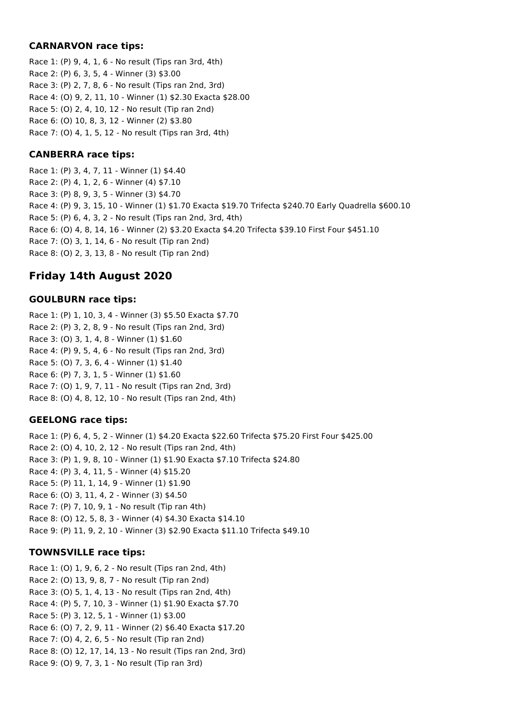## **CARNARVON race tips:**

Race 1: (P) 9, 4, 1, 6 - No result (Tips ran 3rd, 4th) Race 2: (P) 6, 3, 5, 4 - Winner (3) \$3.00 Race 3: (P) 2, 7, 8, 6 - No result (Tips ran 2nd, 3rd) Race 4: (O) 9, 2, 11, 10 - Winner (1) \$2.30 Exacta \$28.00 Race 5: (O) 2, 4, 10, 12 - No result (Tip ran 2nd) Race 6: (O) 10, 8, 3, 12 - Winner (2) \$3.80 Race 7: (O) 4, 1, 5, 12 - No result (Tips ran 3rd, 4th)

## **CANBERRA race tips:**

Race 1: (P) 3, 4, 7, 11 - Winner (1) \$4.40 Race 2: (P) 4, 1, 2, 6 - Winner (4) \$7.10 Race 3: (P) 8, 9, 3, 5 - Winner (3) \$4.70 Race 4: (P) 9, 3, 15, 10 - Winner (1) \$1.70 Exacta \$19.70 Trifecta \$240.70 Early Quadrella \$600.10 Race 5: (P) 6, 4, 3, 2 - No result (Tips ran 2nd, 3rd, 4th) Race 6: (O) 4, 8, 14, 16 - Winner (2) \$3.20 Exacta \$4.20 Trifecta \$39.10 First Four \$451.10 Race 7: (O) 3, 1, 14, 6 - No result (Tip ran 2nd) Race 8: (O) 2, 3, 13, 8 - No result (Tip ran 2nd)

# **Friday 14th August 2020**

## **GOULBURN race tips:**

Race 1: (P) 1, 10, 3, 4 - Winner (3) \$5.50 Exacta \$7.70 Race 2: (P) 3, 2, 8, 9 - No result (Tips ran 2nd, 3rd) Race 3: (O) 3, 1, 4, 8 - Winner (1) \$1.60 Race 4: (P) 9, 5, 4, 6 - No result (Tips ran 2nd, 3rd) Race 5: (O) 7, 3, 6, 4 - Winner (1) \$1.40 Race 6: (P) 7, 3, 1, 5 - Winner (1) \$1.60 Race 7: (O) 1, 9, 7, 11 - No result (Tips ran 2nd, 3rd) Race 8: (O) 4, 8, 12, 10 - No result (Tips ran 2nd, 4th)

# **GEELONG race tips:**

Race 1: (P) 6, 4, 5, 2 - Winner (1) \$4.20 Exacta \$22.60 Trifecta \$75.20 First Four \$425.00 Race 2: (O) 4, 10, 2, 12 - No result (Tips ran 2nd, 4th) Race 3: (P) 1, 9, 8, 10 - Winner (1) \$1.90 Exacta \$7.10 Trifecta \$24.80 Race 4: (P) 3, 4, 11, 5 - Winner (4) \$15.20 Race 5: (P) 11, 1, 14, 9 - Winner (1) \$1.90 Race 6: (O) 3, 11, 4, 2 - Winner (3) \$4.50 Race 7: (P) 7, 10, 9, 1 - No result (Tip ran 4th) Race 8: (O) 12, 5, 8, 3 - Winner (4) \$4.30 Exacta \$14.10 Race 9: (P) 11, 9, 2, 10 - Winner (3) \$2.90 Exacta \$11.10 Trifecta \$49.10

## **TOWNSVILLE race tips:**

Race 1: (O) 1, 9, 6, 2 - No result (Tips ran 2nd, 4th) Race 2: (O) 13, 9, 8, 7 - No result (Tip ran 2nd) Race 3: (O) 5, 1, 4, 13 - No result (Tips ran 2nd, 4th) Race 4: (P) 5, 7, 10, 3 - Winner (1) \$1.90 Exacta \$7.70 Race 5: (P) 3, 12, 5, 1 - Winner (1) \$3.00 Race 6: (O) 7, 2, 9, 11 - Winner (2) \$6.40 Exacta \$17.20 Race 7: (O) 4, 2, 6, 5 - No result (Tip ran 2nd) Race 8: (O) 12, 17, 14, 13 - No result (Tips ran 2nd, 3rd) Race 9: (O) 9, 7, 3, 1 - No result (Tip ran 3rd)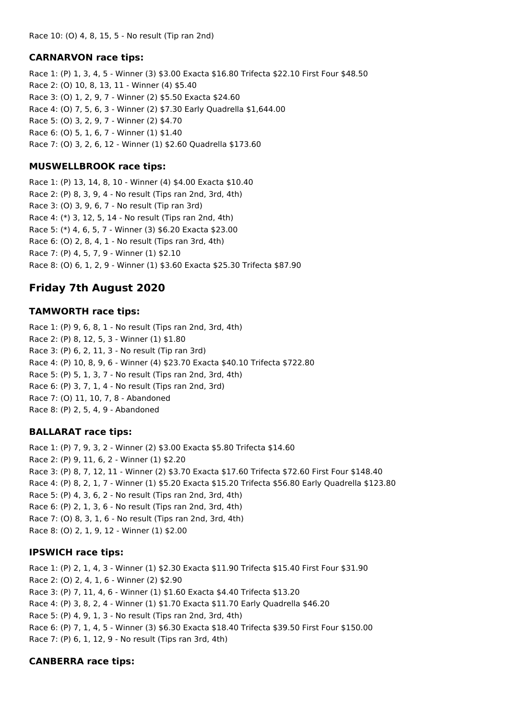#### **CARNARVON race tips:**

Race 1: (P) 1, 3, 4, 5 - Winner (3) \$3.00 Exacta \$16.80 Trifecta \$22.10 First Four \$48.50 Race 2: (O) 10, 8, 13, 11 - Winner (4) \$5.40 Race 3: (O) 1, 2, 9, 7 - Winner (2) \$5.50 Exacta \$24.60 Race 4: (O) 7, 5, 6, 3 - Winner (2) \$7.30 Early Quadrella \$1,644.00 Race 5: (O) 3, 2, 9, 7 - Winner (2) \$4.70 Race 6: (O) 5, 1, 6, 7 - Winner (1) \$1.40 Race 7: (O) 3, 2, 6, 12 - Winner (1) \$2.60 Quadrella \$173.60

## **MUSWELLBROOK race tips:**

Race 1: (P) 13, 14, 8, 10 - Winner (4) \$4.00 Exacta \$10.40 Race 2: (P) 8, 3, 9, 4 - No result (Tips ran 2nd, 3rd, 4th) Race 3: (O) 3, 9, 6, 7 - No result (Tip ran 3rd) Race 4: (\*) 3, 12, 5, 14 - No result (Tips ran 2nd, 4th) Race 5: (\*) 4, 6, 5, 7 - Winner (3) \$6.20 Exacta \$23.00 Race 6: (O) 2, 8, 4, 1 - No result (Tips ran 3rd, 4th) Race 7: (P) 4, 5, 7, 9 - Winner (1) \$2.10 Race 8: (O) 6, 1, 2, 9 - Winner (1) \$3.60 Exacta \$25.30 Trifecta \$87.90

# **Friday 7th August 2020**

### **TAMWORTH race tips:**

Race 1: (P) 9, 6, 8, 1 - No result (Tips ran 2nd, 3rd, 4th) Race 2: (P) 8, 12, 5, 3 - Winner (1) \$1.80 Race 3: (P) 6, 2, 11, 3 - No result (Tip ran 3rd) Race 4: (P) 10, 8, 9, 6 - Winner (4) \$23.70 Exacta \$40.10 Trifecta \$722.80 Race 5: (P) 5, 1, 3, 7 - No result (Tips ran 2nd, 3rd, 4th) Race 6: (P) 3, 7, 1, 4 - No result (Tips ran 2nd, 3rd) Race 7: (O) 11, 10, 7, 8 - Abandoned Race 8: (P) 2, 5, 4, 9 - Abandoned

## **BALLARAT race tips:**

Race 1: (P) 7, 9, 3, 2 - Winner (2) \$3.00 Exacta \$5.80 Trifecta \$14.60 Race 2: (P) 9, 11, 6, 2 - Winner (1) \$2.20 Race 3: (P) 8, 7, 12, 11 - Winner (2) \$3.70 Exacta \$17.60 Trifecta \$72.60 First Four \$148.40 Race 4: (P) 8, 2, 1, 7 - Winner (1) \$5.20 Exacta \$15.20 Trifecta \$56.80 Early Quadrella \$123.80 Race 5: (P) 4, 3, 6, 2 - No result (Tips ran 2nd, 3rd, 4th) Race 6: (P) 2, 1, 3, 6 - No result (Tips ran 2nd, 3rd, 4th) Race 7: (O) 8, 3, 1, 6 - No result (Tips ran 2nd, 3rd, 4th) Race 8: (O) 2, 1, 9, 12 - Winner (1) \$2.00

#### **IPSWICH race tips:**

Race 1: (P) 2, 1, 4, 3 - Winner (1) \$2.30 Exacta \$11.90 Trifecta \$15.40 First Four \$31.90 Race 2: (O) 2, 4, 1, 6 - Winner (2) \$2.90 Race 3: (P) 7, 11, 4, 6 - Winner (1) \$1.60 Exacta \$4.40 Trifecta \$13.20 Race 4: (P) 3, 8, 2, 4 - Winner (1) \$1.70 Exacta \$11.70 Early Quadrella \$46.20 Race 5: (P) 4, 9, 1, 3 - No result (Tips ran 2nd, 3rd, 4th) Race 6: (P) 7, 1, 4, 5 - Winner (3) \$6.30 Exacta \$18.40 Trifecta \$39.50 First Four \$150.00 Race 7: (P) 6, 1, 12, 9 - No result (Tips ran 3rd, 4th)

## **CANBERRA race tips:**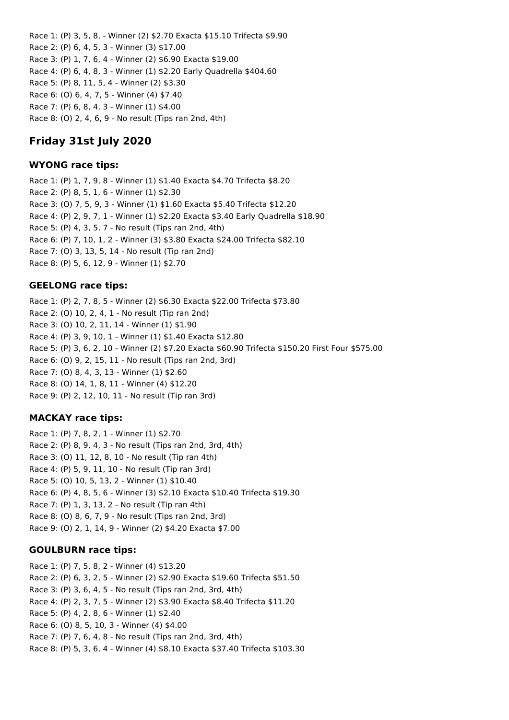Race 1: (P) 3, 5, 8, - Winner (2) \$2.70 Exacta \$15.10 Trifecta \$9.90 Race 2: (P) 6, 4, 5, 3 - Winner (3) \$17.00 Race 3: (P) 1, 7, 6, 4 - Winner (2) \$6.90 Exacta \$19.00 Race 4: (P) 6, 4, 8, 3 - Winner (1) \$2.20 Early Quadrella \$404.60 Race 5: (P) 8, 11, 5, 4 - Winner (2) \$3.30 Race 6: (O) 6, 4, 7, 5 - Winner (4) \$7.40 Race 7: (P) 6, 8, 4, 3 - Winner (1) \$4.00 Race 8: (O) 2, 4, 6, 9 - No result (Tips ran 2nd, 4th)

# **Friday 31st July 2020**

### **WYONG race tips:**

Race 1: (P) 1, 7, 9, 8 - Winner (1) \$1.40 Exacta \$4.70 Trifecta \$8.20 Race 2: (P) 8, 5, 1, 6 - Winner (1) \$2.30 Race 3: (O) 7, 5, 9, 3 - Winner (1) \$1.60 Exacta \$5.40 Trifecta \$12.20 Race 4: (P) 2, 9, 7, 1 - Winner (1) \$2.20 Exacta \$3.40 Early Quadrella \$18.90 Race 5: (P) 4, 3, 5, 7 - No result (Tips ran 2nd, 4th) Race 6: (P) 7, 10, 1, 2 - Winner (3) \$3.80 Exacta \$24.00 Trifecta \$82.10 Race 7: (O) 3, 13, 5, 14 - No result (Tip ran 2nd) Race 8: (P) 5, 6, 12, 9 - Winner (1) \$2.70

## **GEELONG race tips:**

Race 1: (P) 2, 7, 8, 5 - Winner (2) \$6.30 Exacta \$22.00 Trifecta \$73.80 Race 2: (O) 10, 2, 4, 1 - No result (Tip ran 2nd) Race 3: (O) 10, 2, 11, 14 - Winner (1) \$1.90 Race 4: (P) 3, 9, 10, 1 - Winner (1) \$1.40 Exacta \$12.80 Race 5: (P) 3, 6, 2, 10 - Winner (2) \$7.20 Exacta \$60.90 Trifecta \$150.20 First Four \$575.00 Race 6: (O) 9, 2, 15, 11 - No result (Tips ran 2nd, 3rd) Race 7: (O) 8, 4, 3, 13 - Winner (1) \$2.60 Race 8: (O) 14, 1, 8, 11 - Winner (4) \$12.20 Race 9: (P) 2, 12, 10, 11 - No result (Tip ran 3rd)

## **MACKAY race tips:**

Race 1: (P) 7, 8, 2, 1 - Winner (1) \$2.70 Race 2: (P) 8, 9, 4, 3 - No result (Tips ran 2nd, 3rd, 4th) Race 3: (O) 11, 12, 8, 10 - No result (Tip ran 4th) Race 4: (P) 5, 9, 11, 10 - No result (Tip ran 3rd) Race 5: (O) 10, 5, 13, 2 - Winner (1) \$10.40 Race 6: (P) 4, 8, 5, 6 - Winner (3) \$2.10 Exacta \$10.40 Trifecta \$19.30 Race 7: (P) 1, 3, 13, 2 - No result (Tip ran 4th) Race 8: (O) 8, 6, 7, 9 - No result (Tips ran 2nd, 3rd) Race 9: (O) 2, 1, 14, 9 - Winner (2) \$4.20 Exacta \$7.00

#### **GOULBURN race tips:**

Race 1: (P) 7, 5, 8, 2 - Winner (4) \$13.20 Race 2: (P) 6, 3, 2, 5 - Winner (2) \$2.90 Exacta \$19.60 Trifecta \$51.50 Race 3: (P) 3, 6, 4, 5 - No result (Tips ran 2nd, 3rd, 4th) Race 4: (P) 2, 3, 7, 5 - Winner (2) \$3.90 Exacta \$8.40 Trifecta \$11.20 Race 5: (P) 4, 2, 8, 6 - Winner (1) \$2.40 Race 6: (O) 8, 5, 10, 3 - Winner (4) \$4.00 Race 7: (P) 7, 6, 4, 8 - No result (Tips ran 2nd, 3rd, 4th) Race 8: (P) 5, 3, 6, 4 - Winner (4) \$8.10 Exacta \$37.40 Trifecta \$103.30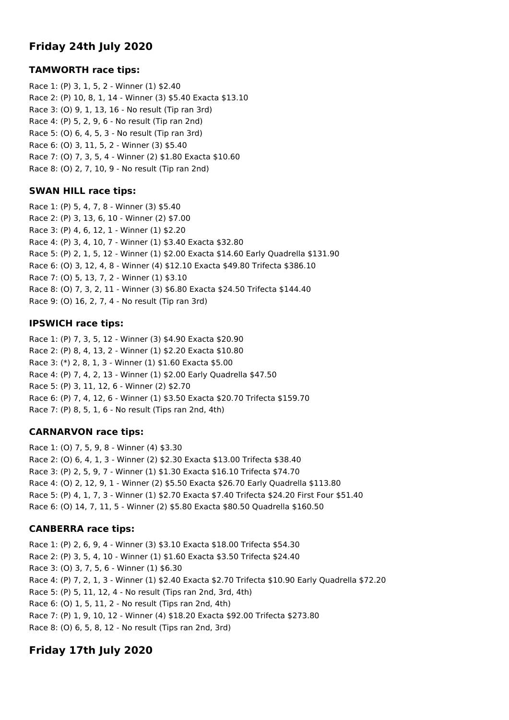# **Friday 24th July 2020**

## **TAMWORTH race tips:**

Race 1: (P) 3, 1, 5, 2 - Winner (1) \$2.40 Race 2: (P) 10, 8, 1, 14 - Winner (3) \$5.40 Exacta \$13.10 Race 3: (O) 9, 1, 13, 16 - No result (Tip ran 3rd) Race 4: (P) 5, 2, 9, 6 - No result (Tip ran 2nd) Race 5: (O) 6, 4, 5, 3 - No result (Tip ran 3rd) Race 6: (O) 3, 11, 5, 2 - Winner (3) \$5.40 Race 7: (O) 7, 3, 5, 4 - Winner (2) \$1.80 Exacta \$10.60 Race 8: (O) 2, 7, 10, 9 - No result (Tip ran 2nd)

## **SWAN HILL race tips:**

Race 1: (P) 5, 4, 7, 8 - Winner (3) \$5.40 Race 2: (P) 3, 13, 6, 10 - Winner (2) \$7.00 Race 3: (P) 4, 6, 12, 1 - Winner (1) \$2.20 Race 4: (P) 3, 4, 10, 7 - Winner (1) \$3.40 Exacta \$32.80 Race 5: (P) 2, 1, 5, 12 - Winner (1) \$2.00 Exacta \$14.60 Early Quadrella \$131.90 Race 6: (O) 3, 12, 4, 8 - Winner (4) \$12.10 Exacta \$49.80 Trifecta \$386.10 Race 7: (O) 5, 13, 7, 2 - Winner (1) \$3.10 Race 8: (O) 7, 3, 2, 11 - Winner (3) \$6.80 Exacta \$24.50 Trifecta \$144.40 Race 9: (O) 16, 2, 7, 4 - No result (Tip ran 3rd)

# **IPSWICH race tips:**

Race 1: (P) 7, 3, 5, 12 - Winner (3) \$4.90 Exacta \$20.90 Race 2: (P) 8, 4, 13, 2 - Winner (1) \$2.20 Exacta \$10.80 Race 3: (\*) 2, 8, 1, 3 - Winner (1) \$1.60 Exacta \$5.00 Race 4: (P) 7, 4, 2, 13 - Winner (1) \$2.00 Early Quadrella \$47.50 Race 5: (P) 3, 11, 12, 6 - Winner (2) \$2.70 Race 6: (P) 7, 4, 12, 6 - Winner (1) \$3.50 Exacta \$20.70 Trifecta \$159.70 Race 7: (P) 8, 5, 1, 6 - No result (Tips ran 2nd, 4th)

# **CARNARVON race tips:**

Race 1: (O) 7, 5, 9, 8 - Winner (4) \$3.30 Race 2: (O) 6, 4, 1, 3 - Winner (2) \$2.30 Exacta \$13.00 Trifecta \$38.40 Race 3: (P) 2, 5, 9, 7 - Winner (1) \$1.30 Exacta \$16.10 Trifecta \$74.70 Race 4: (O) 2, 12, 9, 1 - Winner (2) \$5.50 Exacta \$26.70 Early Quadrella \$113.80 Race 5: (P) 4, 1, 7, 3 - Winner (1) \$2.70 Exacta \$7.40 Trifecta \$24.20 First Four \$51.40 Race 6: (O) 14, 7, 11, 5 - Winner (2) \$5.80 Exacta \$80.50 Quadrella \$160.50

# **CANBERRA race tips:**

Race 1: (P) 2, 6, 9, 4 - Winner (3) \$3.10 Exacta \$18.00 Trifecta \$54.30 Race 2: (P) 3, 5, 4, 10 - Winner (1) \$1.60 Exacta \$3.50 Trifecta \$24.40 Race 3: (O) 3, 7, 5, 6 - Winner (1) \$6.30 Race 4: (P) 7, 2, 1, 3 - Winner (1) \$2.40 Exacta \$2.70 Trifecta \$10.90 Early Quadrella \$72.20 Race 5: (P) 5, 11, 12, 4 - No result (Tips ran 2nd, 3rd, 4th) Race 6: (O) 1, 5, 11, 2 - No result (Tips ran 2nd, 4th) Race 7: (P) 1, 9, 10, 12 - Winner (4) \$18.20 Exacta \$92.00 Trifecta \$273.80 Race 8: (O) 6, 5, 8, 12 - No result (Tips ran 2nd, 3rd)

# **Friday 17th July 2020**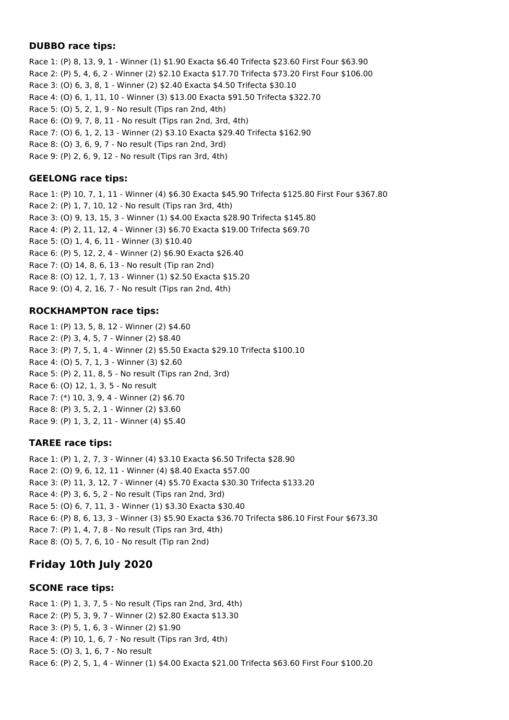## **DUBBO race tips:**

Race 1: (P) 8, 13, 9, 1 - Winner (1) \$1.90 Exacta \$6.40 Trifecta \$23.60 First Four \$63.90 Race 2: (P) 5, 4, 6, 2 - Winner (2) \$2.10 Exacta \$17.70 Trifecta \$73.20 First Four \$106.00 Race 3: (O) 6, 3, 8, 1 - Winner (2) \$2.40 Exacta \$4.50 Trifecta \$30.10 Race 4: (O) 6, 1, 11, 10 - Winner (3) \$13.00 Exacta \$91.50 Trifecta \$322.70 Race 5: (O) 5, 2, 1, 9 - No result (Tips ran 2nd, 4th) Race 6: (O) 9, 7, 8, 11 - No result (Tips ran 2nd, 3rd, 4th) Race 7: (O) 6, 1, 2, 13 - Winner (2) \$3.10 Exacta \$29.40 Trifecta \$162.90 Race 8: (O) 3, 6, 9, 7 - No result (Tips ran 2nd, 3rd) Race 9: (P) 2, 6, 9, 12 - No result (Tips ran 3rd, 4th)

## **GEELONG race tips:**

Race 1: (P) 10, 7, 1, 11 - Winner (4) \$6.30 Exacta \$45.90 Trifecta \$125.80 First Four \$367.80 Race 2: (P) 1, 7, 10, 12 - No result (Tips ran 3rd, 4th) Race 3: (O) 9, 13, 15, 3 - Winner (1) \$4.00 Exacta \$28.90 Trifecta \$145.80 Race 4: (P) 2, 11, 12, 4 - Winner (3) \$6.70 Exacta \$19.00 Trifecta \$69.70 Race 5: (O) 1, 4, 6, 11 - Winner (3) \$10.40 Race 6: (P) 5, 12, 2, 4 - Winner (2) \$6.90 Exacta \$26.40 Race 7: (O) 14, 8, 6, 13 - No result (Tip ran 2nd) Race 8: (O) 12, 1, 7, 13 - Winner (1) \$2.50 Exacta \$15.20 Race 9: (O) 4, 2, 16, 7 - No result (Tips ran 2nd, 4th)

## **ROCKHAMPTON race tips:**

Race 1: (P) 13, 5, 8, 12 - Winner (2) \$4.60 Race 2: (P) 3, 4, 5, 7 - Winner (2) \$8.40 Race 3: (P) 7, 5, 1, 4 - Winner (2) \$5.50 Exacta \$29.10 Trifecta \$100.10 Race 4: (O) 5, 7, 1, 3 - Winner (3) \$2.60 Race 5: (P) 2, 11, 8, 5 - No result (Tips ran 2nd, 3rd) Race 6: (O) 12, 1, 3, 5 - No result Race 7: (\*) 10, 3, 9, 4 - Winner (2) \$6.70 Race 8: (P) 3, 5, 2, 1 - Winner (2) \$3.60 Race 9: (P) 1, 3, 2, 11 - Winner (4) \$5.40

# **TAREE race tips:**

Race 1: (P) 1, 2, 7, 3 - Winner (4) \$3.10 Exacta \$6.50 Trifecta \$28.90 Race 2: (O) 9, 6, 12, 11 - Winner (4) \$8.40 Exacta \$57.00 Race 3: (P) 11, 3, 12, 7 - Winner (4) \$5.70 Exacta \$30.30 Trifecta \$133.20 Race 4: (P) 3, 6, 5, 2 - No result (Tips ran 2nd, 3rd) Race 5: (O) 6, 7, 11, 3 - Winner (1) \$3.30 Exacta \$30.40 Race 6: (P) 8, 6, 13, 3 - Winner (3) \$5.90 Exacta \$36.70 Trifecta \$86.10 First Four \$673.30 Race 7: (P) 1, 4, 7, 8 - No result (Tips ran 3rd, 4th) Race 8: (O) 5, 7, 6, 10 - No result (Tip ran 2nd)

# **Friday 10th July 2020**

## **SCONE race tips:**

Race 1: (P) 1, 3, 7, 5 - No result (Tips ran 2nd, 3rd, 4th) Race 2: (P) 5, 3, 9, 7 - Winner (2) \$2.80 Exacta \$13.30 Race 3: (P) 5, 1, 6, 3 - Winner (2) \$1.90 Race 4: (P) 10, 1, 6, 7 - No result (Tips ran 3rd, 4th) Race 5: (O) 3, 1, 6, 7 - No result Race 6: (P) 2, 5, 1, 4 - Winner (1) \$4.00 Exacta \$21.00 Trifecta \$63.60 First Four \$100.20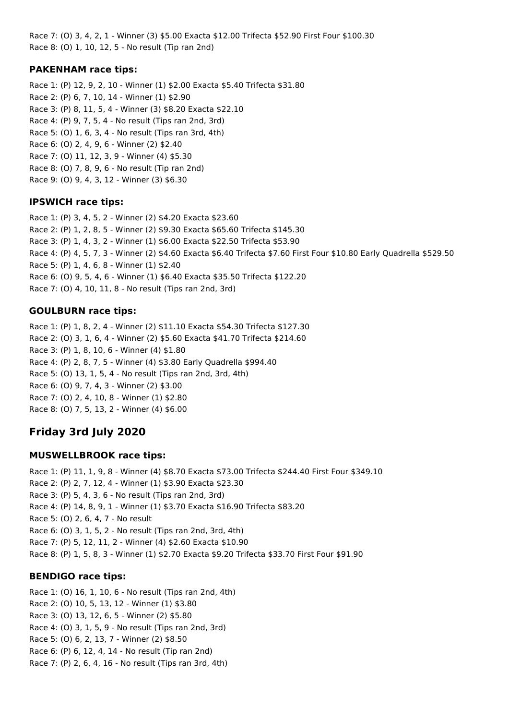Race 7: (O) 3, 4, 2, 1 - Winner (3) \$5.00 Exacta \$12.00 Trifecta \$52.90 First Four \$100.30 Race 8: (O) 1, 10, 12, 5 - No result (Tip ran 2nd)

## **PAKENHAM race tips:**

Race 1: (P) 12, 9, 2, 10 - Winner (1) \$2.00 Exacta \$5.40 Trifecta \$31.80 Race 2: (P) 6, 7, 10, 14 - Winner (1) \$2.90 Race 3: (P) 8, 11, 5, 4 - Winner (3) \$8.20 Exacta \$22.10 Race 4: (P) 9, 7, 5, 4 - No result (Tips ran 2nd, 3rd) Race 5: (O) 1, 6, 3, 4 - No result (Tips ran 3rd, 4th) Race 6: (O) 2, 4, 9, 6 - Winner (2) \$2.40 Race 7: (O) 11, 12, 3, 9 - Winner (4) \$5.30 Race 8: (O) 7, 8, 9, 6 - No result (Tip ran 2nd) Race 9: (O) 9, 4, 3, 12 - Winner (3) \$6.30

## **IPSWICH race tips:**

Race 1: (P) 3, 4, 5, 2 - Winner (2) \$4.20 Exacta \$23.60 Race 2: (P) 1, 2, 8, 5 - Winner (2) \$9.30 Exacta \$65.60 Trifecta \$145.30 Race 3: (P) 1, 4, 3, 2 - Winner (1) \$6.00 Exacta \$22.50 Trifecta \$53.90 Race 4: (P) 4, 5, 7, 3 - Winner (2) \$4.60 Exacta \$6.40 Trifecta \$7.60 First Four \$10.80 Early Quadrella \$529.50 Race 5: (P) 1, 4, 6, 8 - Winner (1) \$2.40 Race 6: (O) 9, 5, 4, 6 - Winner (1) \$6.40 Exacta \$35.50 Trifecta \$122.20 Race 7: (O) 4, 10, 11, 8 - No result (Tips ran 2nd, 3rd)

## **GOULBURN race tips:**

Race 1: (P) 1, 8, 2, 4 - Winner (2) \$11.10 Exacta \$54.30 Trifecta \$127.30 Race 2: (O) 3, 1, 6, 4 - Winner (2) \$5.60 Exacta \$41.70 Trifecta \$214.60 Race 3: (P) 1, 8, 10, 6 - Winner (4) \$1.80 Race 4: (P) 2, 8, 7, 5 - Winner (4) \$3.80 Early Quadrella \$994.40 Race 5: (O) 13, 1, 5, 4 - No result (Tips ran 2nd, 3rd, 4th) Race 6: (O) 9, 7, 4, 3 - Winner (2) \$3.00 Race 7: (O) 2, 4, 10, 8 - Winner (1) \$2.80 Race 8: (O) 7, 5, 13, 2 - Winner (4) \$6.00

# **Friday 3rd July 2020**

# **MUSWELLBROOK race tips:**

Race 1: (P) 11, 1, 9, 8 - Winner (4) \$8.70 Exacta \$73.00 Trifecta \$244.40 First Four \$349.10 Race 2: (P) 2, 7, 12, 4 - Winner (1) \$3.90 Exacta \$23.30 Race 3: (P) 5, 4, 3, 6 - No result (Tips ran 2nd, 3rd) Race 4: (P) 14, 8, 9, 1 - Winner (1) \$3.70 Exacta \$16.90 Trifecta \$83.20 Race 5: (O) 2, 6, 4, 7 - No result Race 6: (O) 3, 1, 5, 2 - No result (Tips ran 2nd, 3rd, 4th) Race 7: (P) 5, 12, 11, 2 - Winner (4) \$2.60 Exacta \$10.90 Race 8: (P) 1, 5, 8, 3 - Winner (1) \$2.70 Exacta \$9.20 Trifecta \$33.70 First Four \$91.90

# **BENDIGO race tips:**

Race 1: (O) 16, 1, 10, 6 - No result (Tips ran 2nd, 4th) Race 2: (O) 10, 5, 13, 12 - Winner (1) \$3.80 Race 3: (O) 13, 12, 6, 5 - Winner (2) \$5.80 Race 4: (O) 3, 1, 5, 9 - No result (Tips ran 2nd, 3rd) Race 5: (O) 6, 2, 13, 7 - Winner (2) \$8.50 Race 6: (P) 6, 12, 4, 14 - No result (Tip ran 2nd) Race 7: (P) 2, 6, 4, 16 - No result (Tips ran 3rd, 4th)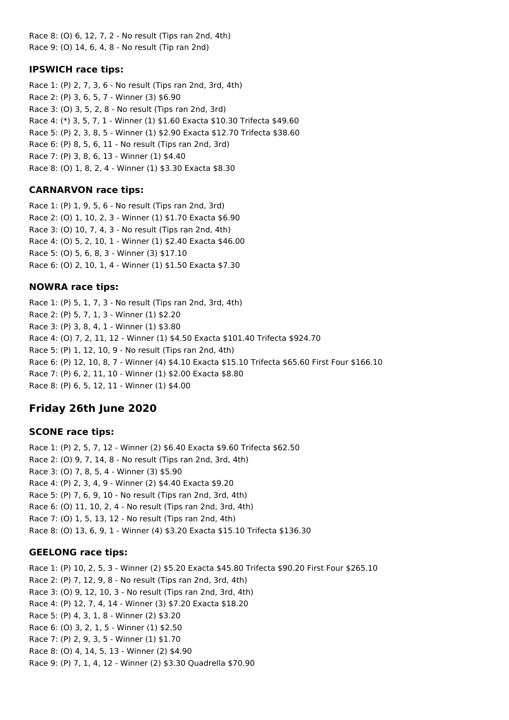Race 8: (O) 6, 12, 7, 2 - No result (Tips ran 2nd, 4th) Race 9: (O) 14, 6, 4, 8 - No result (Tip ran 2nd)

### **IPSWICH race tips:**

Race 1: (P) 2, 7, 3, 6 - No result (Tips ran 2nd, 3rd, 4th) Race 2: (P) 3, 6, 5, 7 - Winner (3) \$6.90 Race 3: (O) 3, 5, 2, 8 - No result (Tips ran 2nd, 3rd) Race 4: (\*) 3, 5, 7, 1 - Winner (1) \$1.60 Exacta \$10.30 Trifecta \$49.60 Race 5: (P) 2, 3, 8, 5 - Winner (1) \$2.90 Exacta \$12.70 Trifecta \$38.60 Race 6: (P) 8, 5, 6, 11 - No result (Tips ran 2nd, 3rd) Race 7: (P) 3, 8, 6, 13 - Winner (1) \$4.40 Race 8: (O) 1, 8, 2, 4 - Winner (1) \$3.30 Exacta \$8.30

## **CARNARVON race tips:**

Race 1: (P) 1, 9, 5, 6 - No result (Tips ran 2nd, 3rd) Race 2: (O) 1, 10, 2, 3 - Winner (1) \$1.70 Exacta \$6.90 Race 3: (O) 10, 7, 4, 3 - No result (Tips ran 2nd, 4th) Race 4: (O) 5, 2, 10, 1 - Winner (1) \$2.40 Exacta \$46.00 Race 5: (O) 5, 6, 8, 3 - Winner (3) \$17.10 Race 6: (O) 2, 10, 1, 4 - Winner (1) \$1.50 Exacta \$7.30

## **NOWRA race tips:**

Race 1: (P) 5, 1, 7, 3 - No result (Tips ran 2nd, 3rd, 4th) Race 2: (P) 5, 7, 1, 3 - Winner (1) \$2.20 Race 3: (P) 3, 8, 4, 1 - Winner (1) \$3.80 Race 4: (O) 7, 2, 11, 12 - Winner (1) \$4.50 Exacta \$101.40 Trifecta \$924.70 Race 5: (P) 1, 12, 10, 9 - No result (Tips ran 2nd, 4th) Race 6: (P) 12, 10, 8, 7 - Winner (4) \$4.10 Exacta \$15.10 Trifecta \$65.60 First Four \$166.10 Race 7: (P) 6, 2, 11, 10 - Winner (1) \$2.00 Exacta \$8.80 Race 8: (P) 6, 5, 12, 11 - Winner (1) \$4.00

# **Friday 26th June 2020**

## **SCONE race tips:**

Race 1: (P) 2, 5, 7, 12 - Winner (2) \$6.40 Exacta \$9.60 Trifecta \$62.50 Race 2: (O) 9, 7, 14, 8 - No result (Tips ran 2nd, 3rd, 4th) Race 3: (O) 7, 8, 5, 4 - Winner (3) \$5.90 Race 4: (P) 2, 3, 4, 9 - Winner (2) \$4.40 Exacta \$9.20 Race 5: (P) 7, 6, 9, 10 - No result (Tips ran 2nd, 3rd, 4th) Race 6: (O) 11, 10, 2, 4 - No result (Tips ran 2nd, 3rd, 4th) Race 7: (O) 1, 5, 13, 12 - No result (Tips ran 2nd, 4th) Race 8: (O) 13, 6, 9, 1 - Winner (4) \$3.20 Exacta \$15.10 Trifecta \$136.30

#### **GEELONG race tips:**

Race 1: (P) 10, 2, 5, 3 - Winner (2) \$5.20 Exacta \$45.80 Trifecta \$90.20 First Four \$265.10 Race 2: (P) 7, 12, 9, 8 - No result (Tips ran 2nd, 3rd, 4th) Race 3: (O) 9, 12, 10, 3 - No result (Tips ran 2nd, 3rd, 4th) Race 4: (P) 12, 7, 4, 14 - Winner (3) \$7.20 Exacta \$18.20 Race 5: (P) 4, 3, 1, 8 - Winner (2) \$3.20 Race 6: (O) 3, 2, 1, 5 - Winner (1) \$2.50 Race 7: (P) 2, 9, 3, 5 - Winner (1) \$1.70 Race 8: (O) 4, 14, 5, 13 - Winner (2) \$4.90 Race 9: (P) 7, 1, 4, 12 - Winner (2) \$3.30 Quadrella \$70.90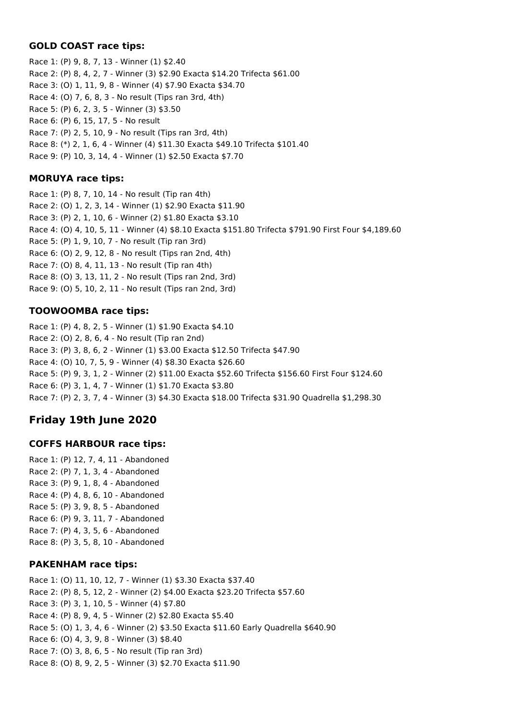## **GOLD COAST race tips:**

Race 1: (P) 9, 8, 7, 13 - Winner (1) \$2.40 Race 2: (P) 8, 4, 2, 7 - Winner (3) \$2.90 Exacta \$14.20 Trifecta \$61.00 Race 3: (O) 1, 11, 9, 8 - Winner (4) \$7.90 Exacta \$34.70 Race 4: (O) 7, 6, 8, 3 - No result (Tips ran 3rd, 4th) Race 5: (P) 6, 2, 3, 5 - Winner (3) \$3.50 Race 6: (P) 6, 15, 17, 5 - No result Race 7: (P) 2, 5, 10, 9 - No result (Tips ran 3rd, 4th) Race 8: (\*) 2, 1, 6, 4 - Winner (4) \$11.30 Exacta \$49.10 Trifecta \$101.40 Race 9: (P) 10, 3, 14, 4 - Winner (1) \$2.50 Exacta \$7.70

## **MORUYA race tips:**

Race 1: (P) 8, 7, 10, 14 - No result (Tip ran 4th) Race 2: (O) 1, 2, 3, 14 - Winner (1) \$2.90 Exacta \$11.90 Race 3: (P) 2, 1, 10, 6 - Winner (2) \$1.80 Exacta \$3.10 Race 4: (O) 4, 10, 5, 11 - Winner (4) \$8.10 Exacta \$151.80 Trifecta \$791.90 First Four \$4,189.60 Race 5: (P) 1, 9, 10, 7 - No result (Tip ran 3rd) Race 6: (O) 2, 9, 12, 8 - No result (Tips ran 2nd, 4th) Race 7: (O) 8, 4, 11, 13 - No result (Tip ran 4th) Race 8: (O) 3, 13, 11, 2 - No result (Tips ran 2nd, 3rd) Race 9: (O) 5, 10, 2, 11 - No result (Tips ran 2nd, 3rd)

# **TOOWOOMBA race tips:**

Race 1: (P) 4, 8, 2, 5 - Winner (1) \$1.90 Exacta \$4.10 Race 2: (O) 2, 8, 6, 4 - No result (Tip ran 2nd) Race 3: (P) 3, 8, 6, 2 - Winner (1) \$3.00 Exacta \$12.50 Trifecta \$47.90 Race 4: (O) 10, 7, 5, 9 - Winner (4) \$8.30 Exacta \$26.60 Race 5: (P) 9, 3, 1, 2 - Winner (2) \$11.00 Exacta \$52.60 Trifecta \$156.60 First Four \$124.60 Race 6: (P) 3, 1, 4, 7 - Winner (1) \$1.70 Exacta \$3.80 Race 7: (P) 2, 3, 7, 4 - Winner (3) \$4.30 Exacta \$18.00 Trifecta \$31.90 Quadrella \$1,298.30

# **Friday 19th June 2020**

## **COFFS HARBOUR race tips:**

Race 1: (P) 12, 7, 4, 11 - Abandoned Race 2: (P) 7, 1, 3, 4 - Abandoned Race 3: (P) 9, 1, 8, 4 - Abandoned Race 4: (P) 4, 8, 6, 10 - Abandoned Race 5: (P) 3, 9, 8, 5 - Abandoned Race 6: (P) 9, 3, 11, 7 - Abandoned Race 7: (P) 4, 3, 5, 6 - Abandoned Race 8: (P) 3, 5, 8, 10 - Abandoned

## **PAKENHAM race tips:**

Race 1: (O) 11, 10, 12, 7 - Winner (1) \$3.30 Exacta \$37.40 Race 2: (P) 8, 5, 12, 2 - Winner (2) \$4.00 Exacta \$23.20 Trifecta \$57.60 Race 3: (P) 3, 1, 10, 5 - Winner (4) \$7.80 Race 4: (P) 8, 9, 4, 5 - Winner (2) \$2.80 Exacta \$5.40 Race 5: (O) 1, 3, 4, 6 - Winner (2) \$3.50 Exacta \$11.60 Early Quadrella \$640.90 Race 6: (O) 4, 3, 9, 8 - Winner (3) \$8.40 Race 7: (O) 3, 8, 6, 5 - No result (Tip ran 3rd) Race 8: (O) 8, 9, 2, 5 - Winner (3) \$2.70 Exacta \$11.90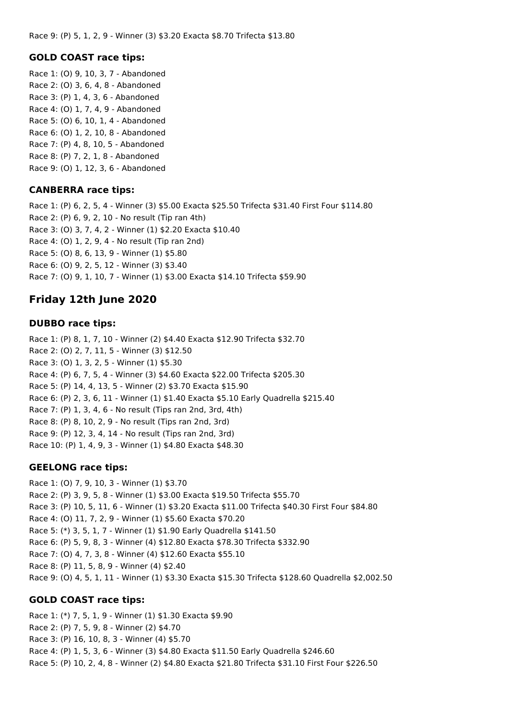### **GOLD COAST race tips:**

Race 1: (O) 9, 10, 3, 7 - Abandoned Race 2: (O) 3, 6, 4, 8 - Abandoned Race 3: (P) 1, 4, 3, 6 - Abandoned Race 4: (O) 1, 7, 4, 9 - Abandoned Race 5: (O) 6, 10, 1, 4 - Abandoned Race 6: (O) 1, 2, 10, 8 - Abandoned Race 7: (P) 4, 8, 10, 5 - Abandoned Race 8: (P) 7, 2, 1, 8 - Abandoned Race 9: (O) 1, 12, 3, 6 - Abandoned

### **CANBERRA race tips:**

Race 1: (P) 6, 2, 5, 4 - Winner (3) \$5.00 Exacta \$25.50 Trifecta \$31.40 First Four \$114.80 Race 2: (P) 6, 9, 2, 10 - No result (Tip ran 4th) Race 3: (O) 3, 7, 4, 2 - Winner (1) \$2.20 Exacta \$10.40 Race 4: (O) 1, 2, 9, 4 - No result (Tip ran 2nd) Race 5: (O) 8, 6, 13, 9 - Winner (1) \$5.80 Race 6: (O) 9, 2, 5, 12 - Winner (3) \$3.40 Race 7: (O) 9, 1, 10, 7 - Winner (1) \$3.00 Exacta \$14.10 Trifecta \$59.90

# **Friday 12th June 2020**

### **DUBBO race tips:**

Race 1: (P) 8, 1, 7, 10 - Winner (2) \$4.40 Exacta \$12.90 Trifecta \$32.70 Race 2: (O) 2, 7, 11, 5 - Winner (3) \$12.50 Race 3: (O) 1, 3, 2, 5 - Winner (1) \$5.30 Race 4: (P) 6, 7, 5, 4 - Winner (3) \$4.60 Exacta \$22.00 Trifecta \$205.30 Race 5: (P) 14, 4, 13, 5 - Winner (2) \$3.70 Exacta \$15.90 Race 6: (P) 2, 3, 6, 11 - Winner (1) \$1.40 Exacta \$5.10 Early Quadrella \$215.40 Race 7: (P) 1, 3, 4, 6 - No result (Tips ran 2nd, 3rd, 4th) Race 8: (P) 8, 10, 2, 9 - No result (Tips ran 2nd, 3rd) Race 9: (P) 12, 3, 4, 14 - No result (Tips ran 2nd, 3rd) Race 10: (P) 1, 4, 9, 3 - Winner (1) \$4.80 Exacta \$48.30

## **GEELONG race tips:**

Race 1: (O) 7, 9, 10, 3 - Winner (1) \$3.70 Race 2: (P) 3, 9, 5, 8 - Winner (1) \$3.00 Exacta \$19.50 Trifecta \$55.70 Race 3: (P) 10, 5, 11, 6 - Winner (1) \$3.20 Exacta \$11.00 Trifecta \$40.30 First Four \$84.80 Race 4: (O) 11, 7, 2, 9 - Winner (1) \$5.60 Exacta \$70.20 Race 5: (\*) 3, 5, 1, 7 - Winner (1) \$1.90 Early Quadrella \$141.50 Race 6: (P) 5, 9, 8, 3 - Winner (4) \$12.80 Exacta \$78.30 Trifecta \$332.90 Race 7: (O) 4, 7, 3, 8 - Winner (4) \$12.60 Exacta \$55.10 Race 8: (P) 11, 5, 8, 9 - Winner (4) \$2.40 Race 9: (O) 4, 5, 1, 11 - Winner (1) \$3.30 Exacta \$15.30 Trifecta \$128.60 Quadrella \$2,002.50

## **GOLD COAST race tips:**

Race 1: (\*) 7, 5, 1, 9 - Winner (1) \$1.30 Exacta \$9.90 Race 2: (P) 7, 5, 9, 8 - Winner (2) \$4.70 Race 3: (P) 16, 10, 8, 3 - Winner (4) \$5.70 Race 4: (P) 1, 5, 3, 6 - Winner (3) \$4.80 Exacta \$11.50 Early Quadrella \$246.60 Race 5: (P) 10, 2, 4, 8 - Winner (2) \$4.80 Exacta \$21.80 Trifecta \$31.10 First Four \$226.50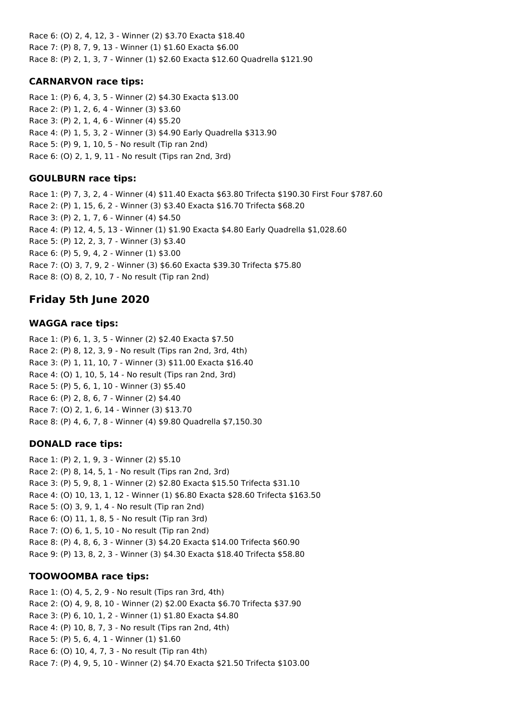Race 6: (O) 2, 4, 12, 3 - Winner (2) \$3.70 Exacta \$18.40 Race 7: (P) 8, 7, 9, 13 - Winner (1) \$1.60 Exacta \$6.00 Race 8: (P) 2, 1, 3, 7 - Winner (1) \$2.60 Exacta \$12.60 Quadrella \$121.90

## **CARNARVON race tips:**

Race 1: (P) 6, 4, 3, 5 - Winner (2) \$4.30 Exacta \$13.00 Race 2: (P) 1, 2, 6, 4 - Winner (3) \$3.60 Race 3: (P) 2, 1, 4, 6 - Winner (4) \$5.20 Race 4: (P) 1, 5, 3, 2 - Winner (3) \$4.90 Early Quadrella \$313.90 Race 5: (P) 9, 1, 10, 5 - No result (Tip ran 2nd) Race 6: (O) 2, 1, 9, 11 - No result (Tips ran 2nd, 3rd)

## **GOULBURN race tips:**

Race 1: (P) 7, 3, 2, 4 - Winner (4) \$11.40 Exacta \$63.80 Trifecta \$190.30 First Four \$787.60 Race 2: (P) 1, 15, 6, 2 - Winner (3) \$3.40 Exacta \$16.70 Trifecta \$68.20 Race 3: (P) 2, 1, 7, 6 - Winner (4) \$4.50 Race 4: (P) 12, 4, 5, 13 - Winner (1) \$1.90 Exacta \$4.80 Early Quadrella \$1,028.60 Race 5: (P) 12, 2, 3, 7 - Winner (3) \$3.40 Race 6: (P) 5, 9, 4, 2 - Winner (1) \$3.00 Race 7: (O) 3, 7, 9, 2 - Winner (3) \$6.60 Exacta \$39.30 Trifecta \$75.80 Race 8: (O) 8, 2, 10, 7 - No result (Tip ran 2nd)

# **Friday 5th June 2020**

# **WAGGA race tips:**

Race 1: (P) 6, 1, 3, 5 - Winner (2) \$2.40 Exacta \$7.50 Race 2: (P) 8, 12, 3, 9 - No result (Tips ran 2nd, 3rd, 4th) Race 3: (P) 1, 11, 10, 7 - Winner (3) \$11.00 Exacta \$16.40 Race 4: (O) 1, 10, 5, 14 - No result (Tips ran 2nd, 3rd) Race 5: (P) 5, 6, 1, 10 - Winner (3) \$5.40 Race 6: (P) 2, 8, 6, 7 - Winner (2) \$4.40 Race 7: (O) 2, 1, 6, 14 - Winner (3) \$13.70 Race 8: (P) 4, 6, 7, 8 - Winner (4) \$9.80 Quadrella \$7,150.30

# **DONALD race tips:**

Race 1: (P) 2, 1, 9, 3 - Winner (2) \$5.10 Race 2: (P) 8, 14, 5, 1 - No result (Tips ran 2nd, 3rd) Race 3: (P) 5, 9, 8, 1 - Winner (2) \$2.80 Exacta \$15.50 Trifecta \$31.10 Race 4: (O) 10, 13, 1, 12 - Winner (1) \$6.80 Exacta \$28.60 Trifecta \$163.50 Race 5: (O) 3, 9, 1, 4 - No result (Tip ran 2nd) Race 6: (O) 11, 1, 8, 5 - No result (Tip ran 3rd) Race 7: (O) 6, 1, 5, 10 - No result (Tip ran 2nd) Race 8: (P) 4, 8, 6, 3 - Winner (3) \$4.20 Exacta \$14.00 Trifecta \$60.90 Race 9: (P) 13, 8, 2, 3 - Winner (3) \$4.30 Exacta \$18.40 Trifecta \$58.80

# **TOOWOOMBA race tips:**

Race 1: (O) 4, 5, 2, 9 - No result (Tips ran 3rd, 4th) Race 2: (O) 4, 9, 8, 10 - Winner (2) \$2.00 Exacta \$6.70 Trifecta \$37.90 Race 3: (P) 6, 10, 1, 2 - Winner (1) \$1.80 Exacta \$4.80 Race 4: (P) 10, 8, 7, 3 - No result (Tips ran 2nd, 4th) Race 5: (P) 5, 6, 4, 1 - Winner (1) \$1.60 Race 6: (O) 10, 4, 7, 3 - No result (Tip ran 4th) Race 7: (P) 4, 9, 5, 10 - Winner (2) \$4.70 Exacta \$21.50 Trifecta \$103.00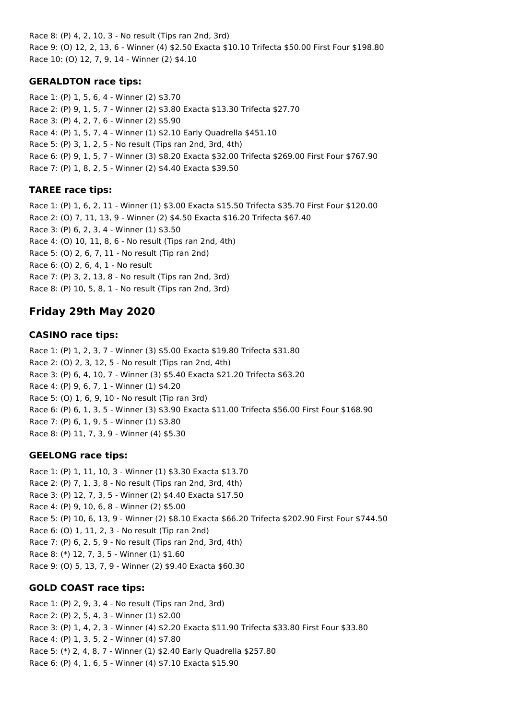Race 8: (P) 4, 2, 10, 3 - No result (Tips ran 2nd, 3rd) Race 9: (O) 12, 2, 13, 6 - Winner (4) \$2.50 Exacta \$10.10 Trifecta \$50.00 First Four \$198.80 Race 10: (O) 12, 7, 9, 14 - Winner (2) \$4.10

## **GERALDTON race tips:**

Race 1: (P) 1, 5, 6, 4 - Winner (2) \$3.70 Race 2: (P) 9, 1, 5, 7 - Winner (2) \$3.80 Exacta \$13.30 Trifecta \$27.70 Race 3: (P) 4, 2, 7, 6 - Winner (2) \$5.90 Race 4: (P) 1, 5, 7, 4 - Winner (1) \$2.10 Early Quadrella \$451.10 Race 5: (P) 3, 1, 2, 5 - No result (Tips ran 2nd, 3rd, 4th) Race 6: (P) 9, 1, 5, 7 - Winner (3) \$8.20 Exacta \$32.00 Trifecta \$269.00 First Four \$767.90 Race 7: (P) 1, 8, 2, 5 - Winner (2) \$4.40 Exacta \$39.50

# **TAREE race tips:**

Race 1: (P) 1, 6, 2, 11 - Winner (1) \$3.00 Exacta \$15.50 Trifecta \$35.70 First Four \$120.00 Race 2: (O) 7, 11, 13, 9 - Winner (2) \$4.50 Exacta \$16.20 Trifecta \$67.40 Race 3: (P) 6, 2, 3, 4 - Winner (1) \$3.50 Race 4: (O) 10, 11, 8, 6 - No result (Tips ran 2nd, 4th) Race 5: (O) 2, 6, 7, 11 - No result (Tip ran 2nd) Race 6: (O) 2, 6, 4, 1 - No result Race 7: (P) 3, 2, 13, 8 - No result (Tips ran 2nd, 3rd) Race 8: (P) 10, 5, 8, 1 - No result (Tips ran 2nd, 3rd)

# **Friday 29th May 2020**

# **CASINO race tips:**

Race 1: (P) 1, 2, 3, 7 - Winner (3) \$5.00 Exacta \$19.80 Trifecta \$31.80 Race 2: (O) 2, 3, 12, 5 - No result (Tips ran 2nd, 4th) Race 3: (P) 6, 4, 10, 7 - Winner (3) \$5.40 Exacta \$21.20 Trifecta \$63.20 Race 4: (P) 9, 6, 7, 1 - Winner (1) \$4.20 Race 5: (O) 1, 6, 9, 10 - No result (Tip ran 3rd) Race 6: (P) 6, 1, 3, 5 - Winner (3) \$3.90 Exacta \$11.00 Trifecta \$56.00 First Four \$168.90 Race 7: (P) 6, 1, 9, 5 - Winner (1) \$3.80 Race 8: (P) 11, 7, 3, 9 - Winner (4) \$5.30

# **GEELONG race tips:**

Race 1: (P) 1, 11, 10, 3 - Winner (1) \$3.30 Exacta \$13.70 Race 2: (P) 7, 1, 3, 8 - No result (Tips ran 2nd, 3rd, 4th) Race 3: (P) 12, 7, 3, 5 - Winner (2) \$4.40 Exacta \$17.50 Race 4: (P) 9, 10, 6, 8 - Winner (2) \$5.00 Race 5: (P) 10, 6, 13, 9 - Winner (2) \$8.10 Exacta \$66.20 Trifecta \$202.90 First Four \$744.50 Race 6: (O) 1, 11, 2, 3 - No result (Tip ran 2nd) Race 7: (P) 6, 2, 5, 9 - No result (Tips ran 2nd, 3rd, 4th) Race 8: (\*) 12, 7, 3, 5 - Winner (1) \$1.60 Race 9: (O) 5, 13, 7, 9 - Winner (2) \$9.40 Exacta \$60.30

# **GOLD COAST race tips:**

Race 1: (P) 2, 9, 3, 4 - No result (Tips ran 2nd, 3rd) Race 2: (P) 2, 5, 4, 3 - Winner (1) \$2.00 Race 3: (P) 1, 4, 2, 3 - Winner (4) \$2.20 Exacta \$11.90 Trifecta \$33.80 First Four \$33.80 Race 4: (P) 1, 3, 5, 2 - Winner (4) \$7.80 Race 5: (\*) 2, 4, 8, 7 - Winner (1) \$2.40 Early Quadrella \$257.80 Race 6: (P) 4, 1, 6, 5 - Winner (4) \$7.10 Exacta \$15.90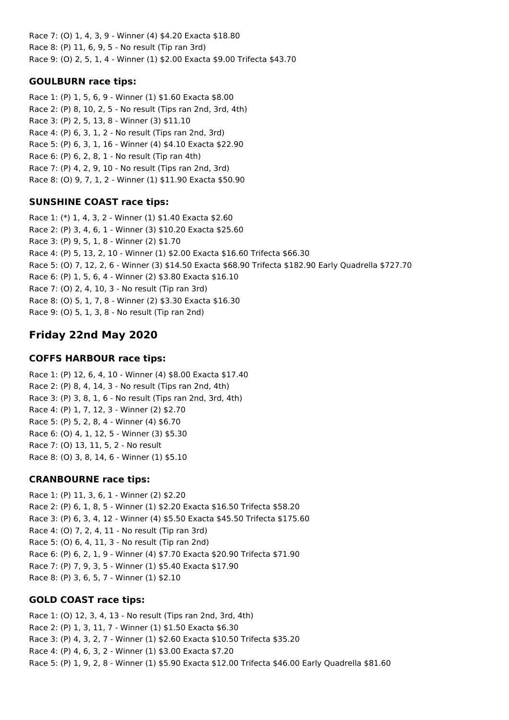Race 7: (O) 1, 4, 3, 9 - Winner (4) \$4.20 Exacta \$18.80 Race 8: (P) 11, 6, 9, 5 - No result (Tip ran 3rd) Race 9: (O) 2, 5, 1, 4 - Winner (1) \$2.00 Exacta \$9.00 Trifecta \$43.70

## **GOULBURN race tips:**

Race 1: (P) 1, 5, 6, 9 - Winner (1) \$1.60 Exacta \$8.00 Race 2: (P) 8, 10, 2, 5 - No result (Tips ran 2nd, 3rd, 4th) Race 3: (P) 2, 5, 13, 8 - Winner (3) \$11.10 Race 4: (P) 6, 3, 1, 2 - No result (Tips ran 2nd, 3rd) Race 5: (P) 6, 3, 1, 16 - Winner (4) \$4.10 Exacta \$22.90 Race 6: (P) 6, 2, 8, 1 - No result (Tip ran 4th) Race 7: (P) 4, 2, 9, 10 - No result (Tips ran 2nd, 3rd) Race 8: (O) 9, 7, 1, 2 - Winner (1) \$11.90 Exacta \$50.90

# **SUNSHINE COAST race tips:**

Race 1: (\*) 1, 4, 3, 2 - Winner (1) \$1.40 Exacta \$2.60 Race 2: (P) 3, 4, 6, 1 - Winner (3) \$10.20 Exacta \$25.60 Race 3: (P) 9, 5, 1, 8 - Winner (2) \$1.70 Race 4: (P) 5, 13, 2, 10 - Winner (1) \$2.00 Exacta \$16.60 Trifecta \$66.30 Race 5: (O) 7, 12, 2, 6 - Winner (3) \$14.50 Exacta \$68.90 Trifecta \$182.90 Early Quadrella \$727.70 Race 6: (P) 1, 5, 6, 4 - Winner (2) \$3.80 Exacta \$16.10 Race 7: (O) 2, 4, 10, 3 - No result (Tip ran 3rd) Race 8: (O) 5, 1, 7, 8 - Winner (2) \$3.30 Exacta \$16.30 Race 9: (O) 5, 1, 3, 8 - No result (Tip ran 2nd)

# **Friday 22nd May 2020**

## **COFFS HARBOUR race tips:**

Race 1: (P) 12, 6, 4, 10 - Winner (4) \$8.00 Exacta \$17.40 Race 2: (P) 8, 4, 14, 3 - No result (Tips ran 2nd, 4th) Race 3: (P) 3, 8, 1, 6 - No result (Tips ran 2nd, 3rd, 4th) Race 4: (P) 1, 7, 12, 3 - Winner (2) \$2.70 Race 5: (P) 5, 2, 8, 4 - Winner (4) \$6.70 Race 6: (O) 4, 1, 12, 5 - Winner (3) \$5.30 Race 7: (O) 13, 11, 5, 2 - No result Race 8: (O) 3, 8, 14, 6 - Winner (1) \$5.10

## **CRANBOURNE race tips:**

Race 1: (P) 11, 3, 6, 1 - Winner (2) \$2.20 Race 2: (P) 6, 1, 8, 5 - Winner (1) \$2.20 Exacta \$16.50 Trifecta \$58.20 Race 3: (P) 6, 3, 4, 12 - Winner (4) \$5.50 Exacta \$45.50 Trifecta \$175.60 Race 4: (O) 7, 2, 4, 11 - No result (Tip ran 3rd) Race 5: (O) 6, 4, 11, 3 - No result (Tip ran 2nd) Race 6: (P) 6, 2, 1, 9 - Winner (4) \$7.70 Exacta \$20.90 Trifecta \$71.90 Race 7: (P) 7, 9, 3, 5 - Winner (1) \$5.40 Exacta \$17.90 Race 8: (P) 3, 6, 5, 7 - Winner (1) \$2.10

# **GOLD COAST race tips:**

Race 1: (O) 12, 3, 4, 13 - No result (Tips ran 2nd, 3rd, 4th) Race 2: (P) 1, 3, 11, 7 - Winner (1) \$1.50 Exacta \$6.30 Race 3: (P) 4, 3, 2, 7 - Winner (1) \$2.60 Exacta \$10.50 Trifecta \$35.20 Race 4: (P) 4, 6, 3, 2 - Winner (1) \$3.00 Exacta \$7.20 Race 5: (P) 1, 9, 2, 8 - Winner (1) \$5.90 Exacta \$12.00 Trifecta \$46.00 Early Quadrella \$81.60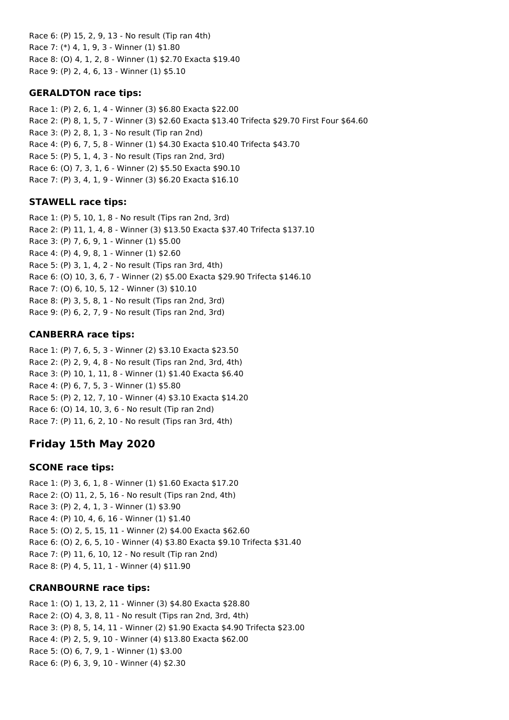Race 6: (P) 15, 2, 9, 13 - No result (Tip ran 4th) Race 7: (\*) 4, 1, 9, 3 - Winner (1) \$1.80 Race 8: (O) 4, 1, 2, 8 - Winner (1) \$2.70 Exacta \$19.40 Race 9: (P) 2, 4, 6, 13 - Winner (1) \$5.10

## **GERALDTON race tips:**

Race 1: (P) 2, 6, 1, 4 - Winner (3) \$6.80 Exacta \$22.00 Race 2: (P) 8, 1, 5, 7 - Winner (3) \$2.60 Exacta \$13.40 Trifecta \$29.70 First Four \$64.60 Race 3: (P) 2, 8, 1, 3 - No result (Tip ran 2nd) Race 4: (P) 6, 7, 5, 8 - Winner (1) \$4.30 Exacta \$10.40 Trifecta \$43.70 Race 5: (P) 5, 1, 4, 3 - No result (Tips ran 2nd, 3rd) Race 6: (O) 7, 3, 1, 6 - Winner (2) \$5.50 Exacta \$90.10 Race 7: (P) 3, 4, 1, 9 - Winner (3) \$6.20 Exacta \$16.10

# **STAWELL race tips:**

Race 1: (P) 5, 10, 1, 8 - No result (Tips ran 2nd, 3rd) Race 2: (P) 11, 1, 4, 8 - Winner (3) \$13.50 Exacta \$37.40 Trifecta \$137.10 Race 3: (P) 7, 6, 9, 1 - Winner (1) \$5.00 Race 4: (P) 4, 9, 8, 1 - Winner (1) \$2.60 Race 5: (P) 3, 1, 4, 2 - No result (Tips ran 3rd, 4th) Race 6: (O) 10, 3, 6, 7 - Winner (2) \$5.00 Exacta \$29.90 Trifecta \$146.10 Race 7: (O) 6, 10, 5, 12 - Winner (3) \$10.10 Race 8: (P) 3, 5, 8, 1 - No result (Tips ran 2nd, 3rd) Race 9: (P) 6, 2, 7, 9 - No result (Tips ran 2nd, 3rd)

# **CANBERRA race tips:**

Race 1: (P) 7, 6, 5, 3 - Winner (2) \$3.10 Exacta \$23.50 Race 2: (P) 2, 9, 4, 8 - No result (Tips ran 2nd, 3rd, 4th) Race 3: (P) 10, 1, 11, 8 - Winner (1) \$1.40 Exacta \$6.40 Race 4: (P) 6, 7, 5, 3 - Winner (1) \$5.80 Race 5: (P) 2, 12, 7, 10 - Winner (4) \$3.10 Exacta \$14.20 Race 6: (O) 14, 10, 3, 6 - No result (Tip ran 2nd) Race 7: (P) 11, 6, 2, 10 - No result (Tips ran 3rd, 4th)

# **Friday 15th May 2020**

# **SCONE race tips:**

Race 1: (P) 3, 6, 1, 8 - Winner (1) \$1.60 Exacta \$17.20 Race 2: (O) 11, 2, 5, 16 - No result (Tips ran 2nd, 4th) Race 3: (P) 2, 4, 1, 3 - Winner (1) \$3.90 Race 4: (P) 10, 4, 6, 16 - Winner (1) \$1.40 Race 5: (O) 2, 5, 15, 11 - Winner (2) \$4.00 Exacta \$62.60 Race 6: (O) 2, 6, 5, 10 - Winner (4) \$3.80 Exacta \$9.10 Trifecta \$31.40 Race 7: (P) 11, 6, 10, 12 - No result (Tip ran 2nd) Race 8: (P) 4, 5, 11, 1 - Winner (4) \$11.90

# **CRANBOURNE race tips:**

Race 1: (O) 1, 13, 2, 11 - Winner (3) \$4.80 Exacta \$28.80 Race 2: (O) 4, 3, 8, 11 - No result (Tips ran 2nd, 3rd, 4th) Race 3: (P) 8, 5, 14, 11 - Winner (2) \$1.90 Exacta \$4.90 Trifecta \$23.00 Race 4: (P) 2, 5, 9, 10 - Winner (4) \$13.80 Exacta \$62.00 Race 5: (O) 6, 7, 9, 1 - Winner (1) \$3.00 Race 6: (P) 6, 3, 9, 10 - Winner (4) \$2.30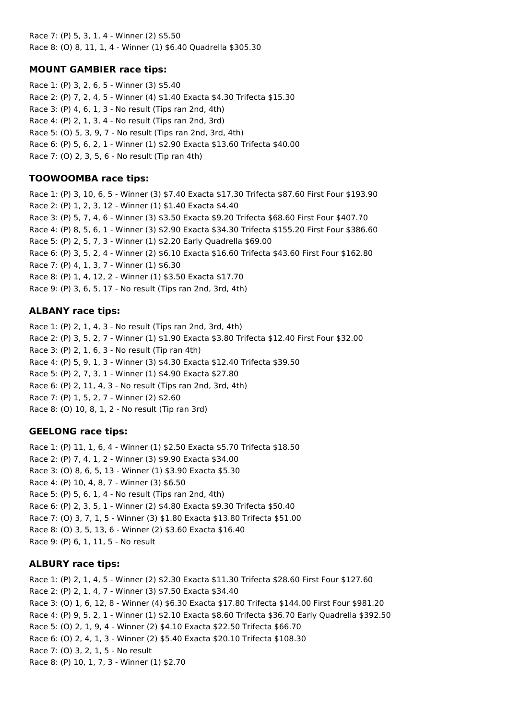Race 7: (P) 5, 3, 1, 4 - Winner (2) \$5.50 Race 8: (O) 8, 11, 1, 4 - Winner (1) \$6.40 Quadrella \$305.30

## **MOUNT GAMBIER race tips:**

Race 1: (P) 3, 2, 6, 5 - Winner (3) \$5.40 Race 2: (P) 7, 2, 4, 5 - Winner (4) \$1.40 Exacta \$4.30 Trifecta \$15.30 Race 3: (P) 4, 6, 1, 3 - No result (Tips ran 2nd, 4th) Race 4: (P) 2, 1, 3, 4 - No result (Tips ran 2nd, 3rd) Race 5: (O) 5, 3, 9, 7 - No result (Tips ran 2nd, 3rd, 4th) Race 6: (P) 5, 6, 2, 1 - Winner (1) \$2.90 Exacta \$13.60 Trifecta \$40.00 Race 7: (O) 2, 3, 5, 6 - No result (Tip ran 4th)

## **TOOWOOMBA race tips:**

Race 1: (P) 3, 10, 6, 5 - Winner (3) \$7.40 Exacta \$17.30 Trifecta \$87.60 First Four \$193.90 Race 2: (P) 1, 2, 3, 12 - Winner (1) \$1.40 Exacta \$4.40 Race 3: (P) 5, 7, 4, 6 - Winner (3) \$3.50 Exacta \$9.20 Trifecta \$68.60 First Four \$407.70 Race 4: (P) 8, 5, 6, 1 - Winner (3) \$2.90 Exacta \$34.30 Trifecta \$155.20 First Four \$386.60 Race 5: (P) 2, 5, 7, 3 - Winner (1) \$2.20 Early Quadrella \$69.00 Race 6: (P) 3, 5, 2, 4 - Winner (2) \$6.10 Exacta \$16.60 Trifecta \$43.60 First Four \$162.80 Race 7: (P) 4, 1, 3, 7 - Winner (1) \$6.30 Race 8: (P) 1, 4, 12, 2 - Winner (1) \$3.50 Exacta \$17.70 Race 9: (P) 3, 6, 5, 17 - No result (Tips ran 2nd, 3rd, 4th)

# **ALBANY race tips:**

Race 1: (P) 2, 1, 4, 3 - No result (Tips ran 2nd, 3rd, 4th) Race 2: (P) 3, 5, 2, 7 - Winner (1) \$1.90 Exacta \$3.80 Trifecta \$12.40 First Four \$32.00 Race 3: (P) 2, 1, 6, 3 - No result (Tip ran 4th) Race 4: (P) 5, 9, 1, 3 - Winner (3) \$4.30 Exacta \$12.40 Trifecta \$39.50 Race 5: (P) 2, 7, 3, 1 - Winner (1) \$4.90 Exacta \$27.80 Race 6: (P) 2, 11, 4, 3 - No result (Tips ran 2nd, 3rd, 4th) Race 7: (P) 1, 5, 2, 7 - Winner (2) \$2.60 Race 8: (O) 10, 8, 1, 2 - No result (Tip ran 3rd)

# **GEELONG race tips:**

Race 1: (P) 11, 1, 6, 4 - Winner (1) \$2.50 Exacta \$5.70 Trifecta \$18.50 Race 2: (P) 7, 4, 1, 2 - Winner (3) \$9.90 Exacta \$34.00 Race 3: (O) 8, 6, 5, 13 - Winner (1) \$3.90 Exacta \$5.30 Race 4: (P) 10, 4, 8, 7 - Winner (3) \$6.50 Race 5: (P) 5, 6, 1, 4 - No result (Tips ran 2nd, 4th) Race 6: (P) 2, 3, 5, 1 - Winner (2) \$4.80 Exacta \$9.30 Trifecta \$50.40 Race 7: (O) 3, 7, 1, 5 - Winner (3) \$1.80 Exacta \$13.80 Trifecta \$51.00 Race 8: (O) 3, 5, 13, 6 - Winner (2) \$3.60 Exacta \$16.40 Race 9: (P) 6, 1, 11, 5 - No result

# **ALBURY race tips:**

Race 1: (P) 2, 1, 4, 5 - Winner (2) \$2.30 Exacta \$11.30 Trifecta \$28.60 First Four \$127.60 Race 2: (P) 2, 1, 4, 7 - Winner (3) \$7.50 Exacta \$34.40 Race 3: (O) 1, 6, 12, 8 - Winner (4) \$6.30 Exacta \$17.80 Trifecta \$144.00 First Four \$981.20 Race 4: (P) 9, 5, 2, 1 - Winner (1) \$2.10 Exacta \$8.60 Trifecta \$36.70 Early Quadrella \$392.50 Race 5: (O) 2, 1, 9, 4 - Winner (2) \$4.10 Exacta \$22.50 Trifecta \$66.70 Race 6: (O) 2, 4, 1, 3 - Winner (2) \$5.40 Exacta \$20.10 Trifecta \$108.30 Race 7: (O) 3, 2, 1, 5 - No result Race 8: (P) 10, 1, 7, 3 - Winner (1) \$2.70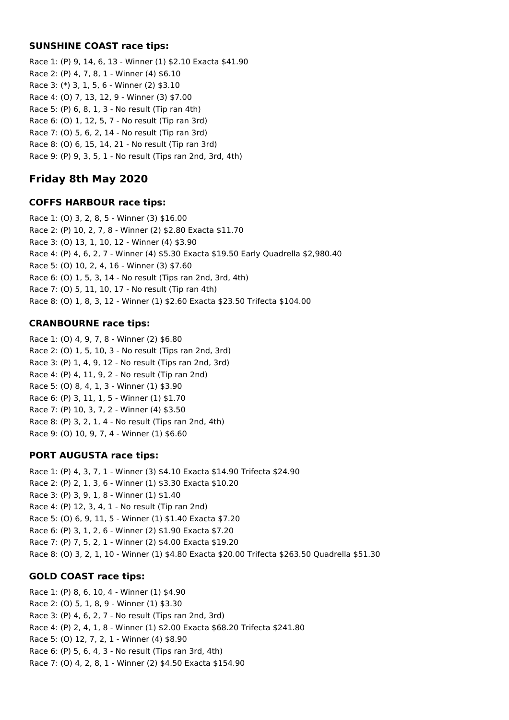### **SUNSHINE COAST race tips:**

Race 1: (P) 9, 14, 6, 13 - Winner (1) \$2.10 Exacta \$41.90 Race 2: (P) 4, 7, 8, 1 - Winner (4) \$6.10 Race 3: (\*) 3, 1, 5, 6 - Winner (2) \$3.10 Race 4: (O) 7, 13, 12, 9 - Winner (3) \$7.00 Race 5: (P) 6, 8, 1, 3 - No result (Tip ran 4th) Race 6: (O) 1, 12, 5, 7 - No result (Tip ran 3rd) Race 7: (O) 5, 6, 2, 14 - No result (Tip ran 3rd) Race 8: (O) 6, 15, 14, 21 - No result (Tip ran 3rd) Race 9: (P) 9, 3, 5, 1 - No result (Tips ran 2nd, 3rd, 4th)

# **Friday 8th May 2020**

## **COFFS HARBOUR race tips:**

Race 1: (O) 3, 2, 8, 5 - Winner (3) \$16.00 Race 2: (P) 10, 2, 7, 8 - Winner (2) \$2.80 Exacta \$11.70 Race 3: (O) 13, 1, 10, 12 - Winner (4) \$3.90 Race 4: (P) 4, 6, 2, 7 - Winner (4) \$5.30 Exacta \$19.50 Early Quadrella \$2,980.40 Race 5: (O) 10, 2, 4, 16 - Winner (3) \$7.60 Race 6: (O) 1, 5, 3, 14 - No result (Tips ran 2nd, 3rd, 4th) Race 7: (O) 5, 11, 10, 17 - No result (Tip ran 4th) Race 8: (O) 1, 8, 3, 12 - Winner (1) \$2.60 Exacta \$23.50 Trifecta \$104.00

## **CRANBOURNE race tips:**

Race 1: (O) 4, 9, 7, 8 - Winner (2) \$6.80 Race 2: (O) 1, 5, 10, 3 - No result (Tips ran 2nd, 3rd) Race 3: (P) 1, 4, 9, 12 - No result (Tips ran 2nd, 3rd) Race 4: (P) 4, 11, 9, 2 - No result (Tip ran 2nd) Race 5: (O) 8, 4, 1, 3 - Winner (1) \$3.90 Race 6: (P) 3, 11, 1, 5 - Winner (1) \$1.70 Race 7: (P) 10, 3, 7, 2 - Winner (4) \$3.50 Race 8: (P) 3, 2, 1, 4 - No result (Tips ran 2nd, 4th) Race 9: (O) 10, 9, 7, 4 - Winner (1) \$6.60

## **PORT AUGUSTA race tips:**

Race 1: (P) 4, 3, 7, 1 - Winner (3) \$4.10 Exacta \$14.90 Trifecta \$24.90 Race 2: (P) 2, 1, 3, 6 - Winner (1) \$3.30 Exacta \$10.20 Race 3: (P) 3, 9, 1, 8 - Winner (1) \$1.40 Race 4: (P) 12, 3, 4, 1 - No result (Tip ran 2nd) Race 5: (O) 6, 9, 11, 5 - Winner (1) \$1.40 Exacta \$7.20 Race 6: (P) 3, 1, 2, 6 - Winner (2) \$1.90 Exacta \$7.20 Race 7: (P) 7, 5, 2, 1 - Winner (2) \$4.00 Exacta \$19.20 Race 8: (O) 3, 2, 1, 10 - Winner (1) \$4.80 Exacta \$20.00 Trifecta \$263.50 Quadrella \$51.30

## **GOLD COAST race tips:**

Race 1: (P) 8, 6, 10, 4 - Winner (1) \$4.90 Race 2: (O) 5, 1, 8, 9 - Winner (1) \$3.30 Race 3: (P) 4, 6, 2, 7 - No result (Tips ran 2nd, 3rd) Race 4: (P) 2, 4, 1, 8 - Winner (1) \$2.00 Exacta \$68.20 Trifecta \$241.80 Race 5: (O) 12, 7, 2, 1 - Winner (4) \$8.90 Race 6: (P) 5, 6, 4, 3 - No result (Tips ran 3rd, 4th) Race 7: (O) 4, 2, 8, 1 - Winner (2) \$4.50 Exacta \$154.90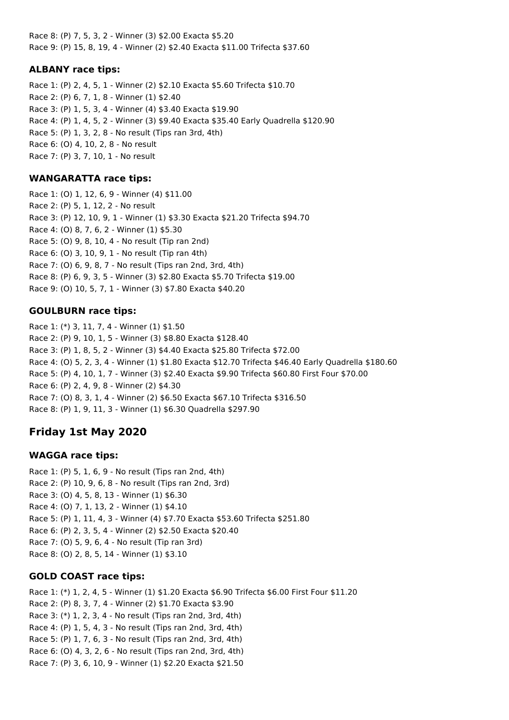Race 8: (P) 7, 5, 3, 2 - Winner (3) \$2.00 Exacta \$5.20 Race 9: (P) 15, 8, 19, 4 - Winner (2) \$2.40 Exacta \$11.00 Trifecta \$37.60

## **ALBANY race tips:**

Race 1: (P) 2, 4, 5, 1 - Winner (2) \$2.10 Exacta \$5.60 Trifecta \$10.70 Race 2: (P) 6, 7, 1, 8 - Winner (1) \$2.40 Race 3: (P) 1, 5, 3, 4 - Winner (4) \$3.40 Exacta \$19.90 Race 4: (P) 1, 4, 5, 2 - Winner (3) \$9.40 Exacta \$35.40 Early Quadrella \$120.90 Race 5: (P) 1, 3, 2, 8 - No result (Tips ran 3rd, 4th) Race 6: (O) 4, 10, 2, 8 - No result Race 7: (P) 3, 7, 10, 1 - No result

### **WANGARATTA race tips:**

Race 1: (O) 1, 12, 6, 9 - Winner (4) \$11.00 Race 2: (P) 5, 1, 12, 2 - No result Race 3: (P) 12, 10, 9, 1 - Winner (1) \$3.30 Exacta \$21.20 Trifecta \$94.70 Race 4: (O) 8, 7, 6, 2 - Winner (1) \$5.30 Race 5: (O) 9, 8, 10, 4 - No result (Tip ran 2nd) Race 6: (O) 3, 10, 9, 1 - No result (Tip ran 4th) Race 7: (O) 6, 9, 8, 7 - No result (Tips ran 2nd, 3rd, 4th) Race 8: (P) 6, 9, 3, 5 - Winner (3) \$2.80 Exacta \$5.70 Trifecta \$19.00 Race 9: (O) 10, 5, 7, 1 - Winner (3) \$7.80 Exacta \$40.20

## **GOULBURN race tips:**

Race 1: (\*) 3, 11, 7, 4 - Winner (1) \$1.50 Race 2: (P) 9, 10, 1, 5 - Winner (3) \$8.80 Exacta \$128.40 Race 3: (P) 1, 8, 5, 2 - Winner (3) \$4.40 Exacta \$25.80 Trifecta \$72.00 Race 4: (O) 5, 2, 3, 4 - Winner (1) \$1.80 Exacta \$12.70 Trifecta \$46.40 Early Quadrella \$180.60 Race 5: (P) 4, 10, 1, 7 - Winner (3) \$2.40 Exacta \$9.90 Trifecta \$60.80 First Four \$70.00 Race 6: (P) 2, 4, 9, 8 - Winner (2) \$4.30 Race 7: (O) 8, 3, 1, 4 - Winner (2) \$6.50 Exacta \$67.10 Trifecta \$316.50 Race 8: (P) 1, 9, 11, 3 - Winner (1) \$6.30 Quadrella \$297.90

# **Friday 1st May 2020**

## **WAGGA race tips:**

Race 1: (P) 5, 1, 6, 9 - No result (Tips ran 2nd, 4th) Race 2: (P) 10, 9, 6, 8 - No result (Tips ran 2nd, 3rd) Race 3: (O) 4, 5, 8, 13 - Winner (1) \$6.30 Race 4: (O) 7, 1, 13, 2 - Winner (1) \$4.10 Race 5: (P) 1, 11, 4, 3 - Winner (4) \$7.70 Exacta \$53.60 Trifecta \$251.80 Race 6: (P) 2, 3, 5, 4 - Winner (2) \$2.50 Exacta \$20.40 Race 7: (O) 5, 9, 6, 4 - No result (Tip ran 3rd) Race 8: (O) 2, 8, 5, 14 - Winner (1) \$3.10

## **GOLD COAST race tips:**

Race 1: (\*) 1, 2, 4, 5 - Winner (1) \$1.20 Exacta \$6.90 Trifecta \$6.00 First Four \$11.20 Race 2: (P) 8, 3, 7, 4 - Winner (2) \$1.70 Exacta \$3.90 Race 3: (\*) 1, 2, 3, 4 - No result (Tips ran 2nd, 3rd, 4th) Race 4: (P) 1, 5, 4, 3 - No result (Tips ran 2nd, 3rd, 4th) Race 5: (P) 1, 7, 6, 3 - No result (Tips ran 2nd, 3rd, 4th) Race 6: (O) 4, 3, 2, 6 - No result (Tips ran 2nd, 3rd, 4th) Race 7: (P) 3, 6, 10, 9 - Winner (1) \$2.20 Exacta \$21.50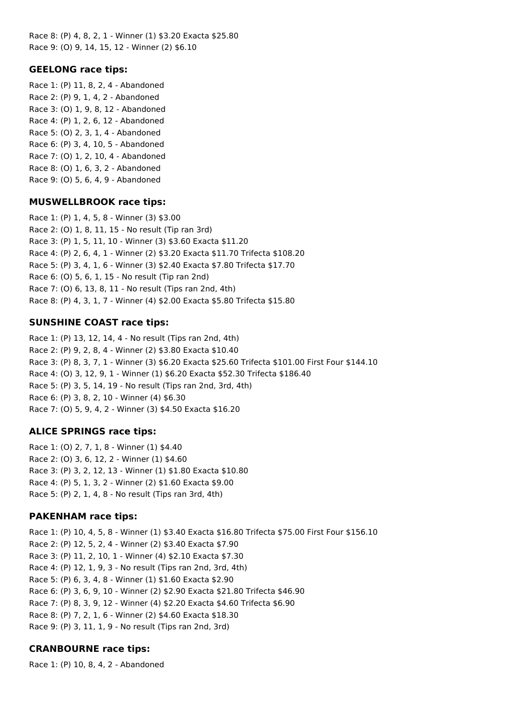Race 8: (P) 4, 8, 2, 1 - Winner (1) \$3.20 Exacta \$25.80 Race 9: (O) 9, 14, 15, 12 - Winner (2) \$6.10

### **GEELONG race tips:**

Race 1: (P) 11, 8, 2, 4 - Abandoned Race 2: (P) 9, 1, 4, 2 - Abandoned Race 3: (O) 1, 9, 8, 12 - Abandoned Race 4: (P) 1, 2, 6, 12 - Abandoned Race 5: (O) 2, 3, 1, 4 - Abandoned Race 6: (P) 3, 4, 10, 5 - Abandoned Race 7: (O) 1, 2, 10, 4 - Abandoned Race 8: (O) 1, 6, 3, 2 - Abandoned Race 9: (O) 5, 6, 4, 9 - Abandoned

#### **MUSWELLBROOK race tips:**

Race 1: (P) 1, 4, 5, 8 - Winner (3) \$3.00 Race 2: (O) 1, 8, 11, 15 - No result (Tip ran 3rd) Race 3: (P) 1, 5, 11, 10 - Winner (3) \$3.60 Exacta \$11.20 Race 4: (P) 2, 6, 4, 1 - Winner (2) \$3.20 Exacta \$11.70 Trifecta \$108.20 Race 5: (P) 3, 4, 1, 6 - Winner (3) \$2.40 Exacta \$7.80 Trifecta \$17.70 Race 6: (O) 5, 6, 1, 15 - No result (Tip ran 2nd) Race 7: (O) 6, 13, 8, 11 - No result (Tips ran 2nd, 4th) Race 8: (P) 4, 3, 1, 7 - Winner (4) \$2.00 Exacta \$5.80 Trifecta \$15.80

### **SUNSHINE COAST race tips:**

Race 1: (P) 13, 12, 14, 4 - No result (Tips ran 2nd, 4th) Race 2: (P) 9, 2, 8, 4 - Winner (2) \$3.80 Exacta \$10.40 Race 3: (P) 8, 3, 7, 1 - Winner (3) \$6.20 Exacta \$25.60 Trifecta \$101.00 First Four \$144.10 Race 4: (O) 3, 12, 9, 1 - Winner (1) \$6.20 Exacta \$52.30 Trifecta \$186.40 Race 5: (P) 3, 5, 14, 19 - No result (Tips ran 2nd, 3rd, 4th) Race 6: (P) 3, 8, 2, 10 - Winner (4) \$6.30 Race 7: (O) 5, 9, 4, 2 - Winner (3) \$4.50 Exacta \$16.20

#### **ALICE SPRINGS race tips:**

Race 1: (O) 2, 7, 1, 8 - Winner (1) \$4.40 Race 2: (O) 3, 6, 12, 2 - Winner (1) \$4.60 Race 3: (P) 3, 2, 12, 13 - Winner (1) \$1.80 Exacta \$10.80 Race 4: (P) 5, 1, 3, 2 - Winner (2) \$1.60 Exacta \$9.00 Race 5: (P) 2, 1, 4, 8 - No result (Tips ran 3rd, 4th)

#### **PAKENHAM race tips:**

Race 1: (P) 10, 4, 5, 8 - Winner (1) \$3.40 Exacta \$16.80 Trifecta \$75.00 First Four \$156.10 Race 2: (P) 12, 5, 2, 4 - Winner (2) \$3.40 Exacta \$7.90 Race 3: (P) 11, 2, 10, 1 - Winner (4) \$2.10 Exacta \$7.30 Race 4: (P) 12, 1, 9, 3 - No result (Tips ran 2nd, 3rd, 4th) Race 5: (P) 6, 3, 4, 8 - Winner (1) \$1.60 Exacta \$2.90 Race 6: (P) 3, 6, 9, 10 - Winner (2) \$2.90 Exacta \$21.80 Trifecta \$46.90 Race 7: (P) 8, 3, 9, 12 - Winner (4) \$2.20 Exacta \$4.60 Trifecta \$6.90 Race 8: (P) 7, 2, 1, 6 - Winner (2) \$4.60 Exacta \$18.30 Race 9: (P) 3, 11, 1, 9 - No result (Tips ran 2nd, 3rd)

## **CRANBOURNE race tips:**

Race 1: (P) 10, 8, 4, 2 - Abandoned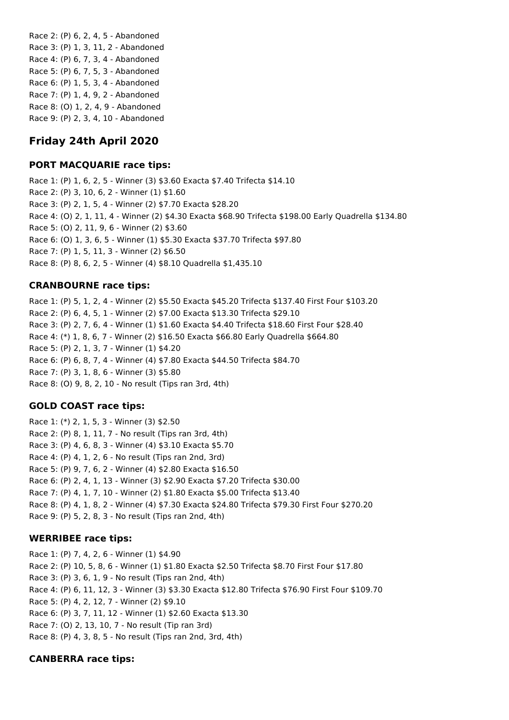Race 2: (P) 6, 2, 4, 5 - Abandoned Race 3: (P) 1, 3, 11, 2 - Abandoned Race 4: (P) 6, 7, 3, 4 - Abandoned Race 5: (P) 6, 7, 5, 3 - Abandoned Race 6: (P) 1, 5, 3, 4 - Abandoned Race 7: (P) 1, 4, 9, 2 - Abandoned Race 8: (O) 1, 2, 4, 9 - Abandoned Race 9: (P) 2, 3, 4, 10 - Abandoned

# **Friday 24th April 2020**

## **PORT MACQUARIE race tips:**

Race 1: (P) 1, 6, 2, 5 - Winner (3) \$3.60 Exacta \$7.40 Trifecta \$14.10 Race 2: (P) 3, 10, 6, 2 - Winner (1) \$1.60 Race 3: (P) 2, 1, 5, 4 - Winner (2) \$7.70 Exacta \$28.20 Race 4: (O) 2, 1, 11, 4 - Winner (2) \$4.30 Exacta \$68.90 Trifecta \$198.00 Early Quadrella \$134.80 Race 5: (O) 2, 11, 9, 6 - Winner (2) \$3.60 Race 6: (O) 1, 3, 6, 5 - Winner (1) \$5.30 Exacta \$37.70 Trifecta \$97.80 Race 7: (P) 1, 5, 11, 3 - Winner (2) \$6.50 Race 8: (P) 8, 6, 2, 5 - Winner (4) \$8.10 Quadrella \$1,435.10

## **CRANBOURNE race tips:**

Race 1: (P) 5, 1, 2, 4 - Winner (2) \$5.50 Exacta \$45.20 Trifecta \$137.40 First Four \$103.20 Race 2: (P) 6, 4, 5, 1 - Winner (2) \$7.00 Exacta \$13.30 Trifecta \$29.10 Race 3: (P) 2, 7, 6, 4 - Winner (1) \$1.60 Exacta \$4.40 Trifecta \$18.60 First Four \$28.40 Race 4: (\*) 1, 8, 6, 7 - Winner (2) \$16.50 Exacta \$66.80 Early Quadrella \$664.80 Race 5: (P) 2, 1, 3, 7 - Winner (1) \$4.20 Race 6: (P) 6, 8, 7, 4 - Winner (4) \$7.80 Exacta \$44.50 Trifecta \$84.70 Race 7: (P) 3, 1, 8, 6 - Winner (3) \$5.80 Race 8: (O) 9, 8, 2, 10 - No result (Tips ran 3rd, 4th)

## **GOLD COAST race tips:**

Race 1: (\*) 2, 1, 5, 3 - Winner (3) \$2.50 Race 2: (P) 8, 1, 11, 7 - No result (Tips ran 3rd, 4th) Race 3: (P) 4, 6, 8, 3 - Winner (4) \$3.10 Exacta \$5.70 Race 4: (P) 4, 1, 2, 6 - No result (Tips ran 2nd, 3rd) Race 5: (P) 9, 7, 6, 2 - Winner (4) \$2.80 Exacta \$16.50 Race 6: (P) 2, 4, 1, 13 - Winner (3) \$2.90 Exacta \$7.20 Trifecta \$30.00 Race 7: (P) 4, 1, 7, 10 - Winner (2) \$1.80 Exacta \$5.00 Trifecta \$13.40 Race 8: (P) 4, 1, 8, 2 - Winner (4) \$7.30 Exacta \$24.80 Trifecta \$79.30 First Four \$270.20 Race 9: (P) 5, 2, 8, 3 - No result (Tips ran 2nd, 4th)

#### **WERRIBEE race tips:**

Race 1: (P) 7, 4, 2, 6 - Winner (1) \$4.90 Race 2: (P) 10, 5, 8, 6 - Winner (1) \$1.80 Exacta \$2.50 Trifecta \$8.70 First Four \$17.80 Race 3: (P) 3, 6, 1, 9 - No result (Tips ran 2nd, 4th) Race 4: (P) 6, 11, 12, 3 - Winner (3) \$3.30 Exacta \$12.80 Trifecta \$76.90 First Four \$109.70 Race 5: (P) 4, 2, 12, 7 - Winner (2) \$9.10 Race 6: (P) 3, 7, 11, 12 - Winner (1) \$2.60 Exacta \$13.30 Race 7: (O) 2, 13, 10, 7 - No result (Tip ran 3rd) Race 8: (P) 4, 3, 8, 5 - No result (Tips ran 2nd, 3rd, 4th)

# **CANBERRA race tips:**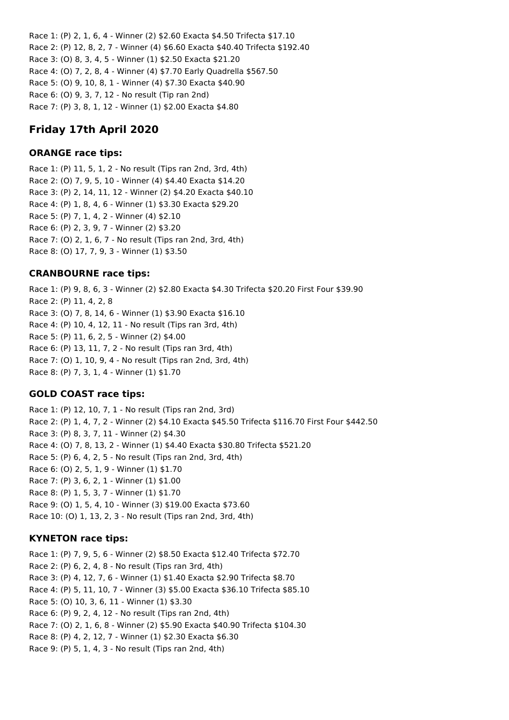Race 1: (P) 2, 1, 6, 4 - Winner (2) \$2.60 Exacta \$4.50 Trifecta \$17.10 Race 2: (P) 12, 8, 2, 7 - Winner (4) \$6.60 Exacta \$40.40 Trifecta \$192.40 Race 3: (O) 8, 3, 4, 5 - Winner (1) \$2.50 Exacta \$21.20 Race 4: (O) 7, 2, 8, 4 - Winner (4) \$7.70 Early Quadrella \$567.50 Race 5: (O) 9, 10, 8, 1 - Winner (4) \$7.30 Exacta \$40.90 Race 6: (O) 9, 3, 7, 12 - No result (Tip ran 2nd) Race 7: (P) 3, 8, 1, 12 - Winner (1) \$2.00 Exacta \$4.80

# **Friday 17th April 2020**

# **ORANGE race tips:**

Race 1: (P) 11, 5, 1, 2 - No result (Tips ran 2nd, 3rd, 4th) Race 2: (O) 7, 9, 5, 10 - Winner (4) \$4.40 Exacta \$14.20 Race 3: (P) 2, 14, 11, 12 - Winner (2) \$4.20 Exacta \$40.10 Race 4: (P) 1, 8, 4, 6 - Winner (1) \$3.30 Exacta \$29.20 Race 5: (P) 7, 1, 4, 2 - Winner (4) \$2.10 Race 6: (P) 2, 3, 9, 7 - Winner (2) \$3.20 Race 7: (O) 2, 1, 6, 7 - No result (Tips ran 2nd, 3rd, 4th) Race 8: (O) 17, 7, 9, 3 - Winner (1) \$3.50

## **CRANBOURNE race tips:**

Race 1: (P) 9, 8, 6, 3 - Winner (2) \$2.80 Exacta \$4.30 Trifecta \$20.20 First Four \$39.90 Race 2: (P) 11, 4, 2, 8 Race 3: (O) 7, 8, 14, 6 - Winner (1) \$3.90 Exacta \$16.10 Race 4: (P) 10, 4, 12, 11 - No result (Tips ran 3rd, 4th) Race 5: (P) 11, 6, 2, 5 - Winner (2) \$4.00 Race 6: (P) 13, 11, 7, 2 - No result (Tips ran 3rd, 4th) Race 7: (O) 1, 10, 9, 4 - No result (Tips ran 2nd, 3rd, 4th) Race 8: (P) 7, 3, 1, 4 - Winner (1) \$1.70

# **GOLD COAST race tips:**

Race 1: (P) 12, 10, 7, 1 - No result (Tips ran 2nd, 3rd) Race 2: (P) 1, 4, 7, 2 - Winner (2) \$4.10 Exacta \$45.50 Trifecta \$116.70 First Four \$442.50 Race 3: (P) 8, 3, 7, 11 - Winner (2) \$4.30 Race 4: (O) 7, 8, 13, 2 - Winner (1) \$4.40 Exacta \$30.80 Trifecta \$521.20 Race 5: (P) 6, 4, 2, 5 - No result (Tips ran 2nd, 3rd, 4th) Race 6: (O) 2, 5, 1, 9 - Winner (1) \$1.70 Race 7: (P) 3, 6, 2, 1 - Winner (1) \$1.00 Race 8: (P) 1, 5, 3, 7 - Winner (1) \$1.70 Race 9: (O) 1, 5, 4, 10 - Winner (3) \$19.00 Exacta \$73.60 Race 10: (O) 1, 13, 2, 3 - No result (Tips ran 2nd, 3rd, 4th)

## **KYNETON race tips:**

Race 1: (P) 7, 9, 5, 6 - Winner (2) \$8.50 Exacta \$12.40 Trifecta \$72.70 Race 2: (P) 6, 2, 4, 8 - No result (Tips ran 3rd, 4th) Race 3: (P) 4, 12, 7, 6 - Winner (1) \$1.40 Exacta \$2.90 Trifecta \$8.70 Race 4: (P) 5, 11, 10, 7 - Winner (3) \$5.00 Exacta \$36.10 Trifecta \$85.10 Race 5: (O) 10, 3, 6, 11 - Winner (1) \$3.30 Race 6: (P) 9, 2, 4, 12 - No result (Tips ran 2nd, 4th) Race 7: (O) 2, 1, 6, 8 - Winner (2) \$5.90 Exacta \$40.90 Trifecta \$104.30 Race 8: (P) 4, 2, 12, 7 - Winner (1) \$2.30 Exacta \$6.30 Race 9: (P) 5, 1, 4, 3 - No result (Tips ran 2nd, 4th)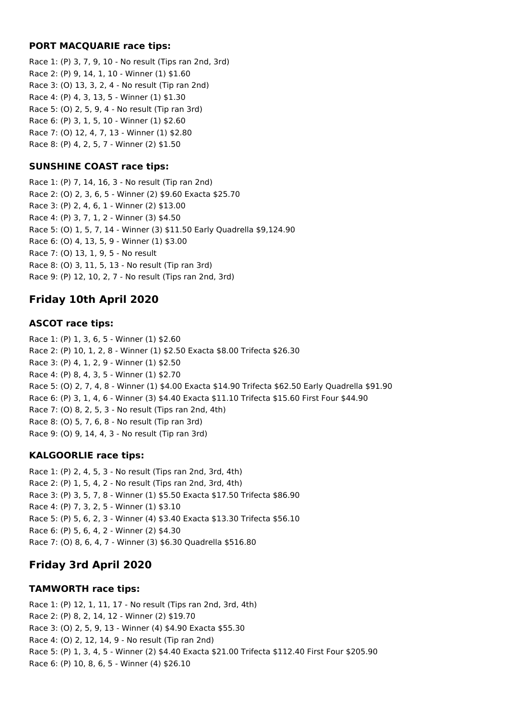## **PORT MACQUARIE race tips:**

Race 1: (P) 3, 7, 9, 10 - No result (Tips ran 2nd, 3rd) Race 2: (P) 9, 14, 1, 10 - Winner (1) \$1.60 Race 3: (O) 13, 3, 2, 4 - No result (Tip ran 2nd) Race 4: (P) 4, 3, 13, 5 - Winner (1) \$1.30 Race 5: (O) 2, 5, 9, 4 - No result (Tip ran 3rd) Race 6: (P) 3, 1, 5, 10 - Winner (1) \$2.60 Race 7: (O) 12, 4, 7, 13 - Winner (1) \$2.80 Race 8: (P) 4, 2, 5, 7 - Winner (2) \$1.50

## **SUNSHINE COAST race tips:**

Race 1: (P) 7, 14, 16, 3 - No result (Tip ran 2nd) Race 2: (O) 2, 3, 6, 5 - Winner (2) \$9.60 Exacta \$25.70 Race 3: (P) 2, 4, 6, 1 - Winner (2) \$13.00 Race 4: (P) 3, 7, 1, 2 - Winner (3) \$4.50 Race 5: (O) 1, 5, 7, 14 - Winner (3) \$11.50 Early Quadrella \$9,124.90 Race 6: (O) 4, 13, 5, 9 - Winner (1) \$3.00 Race 7: (O) 13, 1, 9, 5 - No result Race 8: (O) 3, 11, 5, 13 - No result (Tip ran 3rd) Race 9: (P) 12, 10, 2, 7 - No result (Tips ran 2nd, 3rd)

# **Friday 10th April 2020**

## **ASCOT race tips:**

Race 1: (P) 1, 3, 6, 5 - Winner (1) \$2.60 Race 2: (P) 10, 1, 2, 8 - Winner (1) \$2.50 Exacta \$8.00 Trifecta \$26.30 Race 3: (P) 4, 1, 2, 9 - Winner (1) \$2.50 Race 4: (P) 8, 4, 3, 5 - Winner (1) \$2.70 Race 5: (O) 2, 7, 4, 8 - Winner (1) \$4.00 Exacta \$14.90 Trifecta \$62.50 Early Quadrella \$91.90 Race 6: (P) 3, 1, 4, 6 - Winner (3) \$4.40 Exacta \$11.10 Trifecta \$15.60 First Four \$44.90 Race 7: (O) 8, 2, 5, 3 - No result (Tips ran 2nd, 4th) Race 8: (O) 5, 7, 6, 8 - No result (Tip ran 3rd) Race 9: (O) 9, 14, 4, 3 - No result (Tip ran 3rd)

# **KALGOORLIE race tips:**

Race 1: (P) 2, 4, 5, 3 - No result (Tips ran 2nd, 3rd, 4th) Race 2: (P) 1, 5, 4, 2 - No result (Tips ran 2nd, 3rd, 4th) Race 3: (P) 3, 5, 7, 8 - Winner (1) \$5.50 Exacta \$17.50 Trifecta \$86.90 Race 4: (P) 7, 3, 2, 5 - Winner (1) \$3.10 Race 5: (P) 5, 6, 2, 3 - Winner (4) \$3.40 Exacta \$13.30 Trifecta \$56.10 Race 6: (P) 5, 6, 4, 2 - Winner (2) \$4.30 Race 7: (O) 8, 6, 4, 7 - Winner (3) \$6.30 Quadrella \$516.80

# **Friday 3rd April 2020**

## **TAMWORTH race tips:**

Race 1: (P) 12, 1, 11, 17 - No result (Tips ran 2nd, 3rd, 4th) Race 2: (P) 8, 2, 14, 12 - Winner (2) \$19.70 Race 3: (O) 2, 5, 9, 13 - Winner (4) \$4.90 Exacta \$55.30 Race 4: (O) 2, 12, 14, 9 - No result (Tip ran 2nd) Race 5: (P) 1, 3, 4, 5 - Winner (2) \$4.40 Exacta \$21.00 Trifecta \$112.40 First Four \$205.90 Race 6: (P) 10, 8, 6, 5 - Winner (4) \$26.10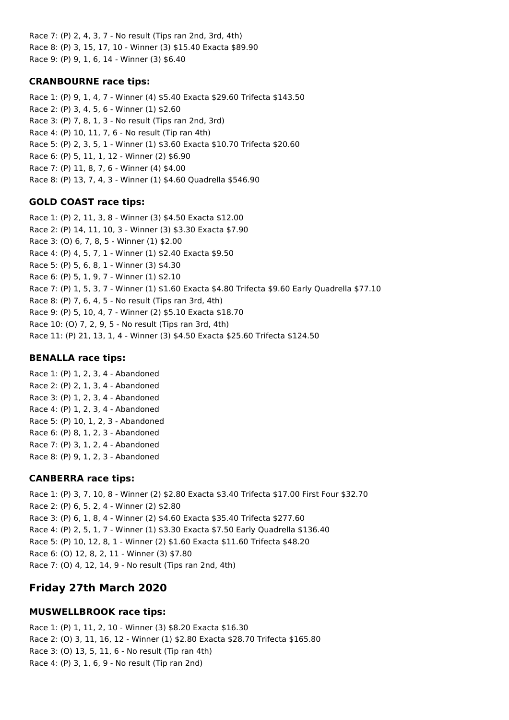Race 7: (P) 2, 4, 3, 7 - No result (Tips ran 2nd, 3rd, 4th) Race 8: (P) 3, 15, 17, 10 - Winner (3) \$15.40 Exacta \$89.90 Race 9: (P) 9, 1, 6, 14 - Winner (3) \$6.40

## **CRANBOURNE race tips:**

Race 1: (P) 9, 1, 4, 7 - Winner (4) \$5.40 Exacta \$29.60 Trifecta \$143.50 Race 2: (P) 3, 4, 5, 6 - Winner (1) \$2.60 Race 3: (P) 7, 8, 1, 3 - No result (Tips ran 2nd, 3rd) Race 4: (P) 10, 11, 7, 6 - No result (Tip ran 4th) Race 5: (P) 2, 3, 5, 1 - Winner (1) \$3.60 Exacta \$10.70 Trifecta \$20.60 Race 6: (P) 5, 11, 1, 12 - Winner (2) \$6.90 Race 7: (P) 11, 8, 7, 6 - Winner (4) \$4.00 Race 8: (P) 13, 7, 4, 3 - Winner (1) \$4.60 Quadrella \$546.90

# **GOLD COAST race tips:**

Race 1: (P) 2, 11, 3, 8 - Winner (3) \$4.50 Exacta \$12.00 Race 2: (P) 14, 11, 10, 3 - Winner (3) \$3.30 Exacta \$7.90 Race 3: (O) 6, 7, 8, 5 - Winner (1) \$2.00 Race 4: (P) 4, 5, 7, 1 - Winner (1) \$2.40 Exacta \$9.50 Race 5: (P) 5, 6, 8, 1 - Winner (3) \$4.30 Race 6: (P) 5, 1, 9, 7 - Winner (1) \$2.10 Race 7: (P) 1, 5, 3, 7 - Winner (1) \$1.60 Exacta \$4.80 Trifecta \$9.60 Early Quadrella \$77.10 Race 8: (P) 7, 6, 4, 5 - No result (Tips ran 3rd, 4th) Race 9: (P) 5, 10, 4, 7 - Winner (2) \$5.10 Exacta \$18.70 Race 10: (O) 7, 2, 9, 5 - No result (Tips ran 3rd, 4th) Race 11: (P) 21, 13, 1, 4 - Winner (3) \$4.50 Exacta \$25.60 Trifecta \$124.50

## **BENALLA race tips:**

Race 1: (P) 1, 2, 3, 4 - Abandoned Race 2: (P) 2, 1, 3, 4 - Abandoned Race 3: (P) 1, 2, 3, 4 - Abandoned Race 4: (P) 1, 2, 3, 4 - Abandoned Race 5: (P) 10, 1, 2, 3 - Abandoned Race 6: (P) 8, 1, 2, 3 - Abandoned Race 7: (P) 3, 1, 2, 4 - Abandoned Race 8: (P) 9, 1, 2, 3 - Abandoned

# **CANBERRA race tips:**

Race 1: (P) 3, 7, 10, 8 - Winner (2) \$2.80 Exacta \$3.40 Trifecta \$17.00 First Four \$32.70 Race 2: (P) 6, 5, 2, 4 - Winner (2) \$2.80 Race 3: (P) 6, 1, 8, 4 - Winner (2) \$4.60 Exacta \$35.40 Trifecta \$277.60 Race 4: (P) 2, 5, 1, 7 - Winner (1) \$3.30 Exacta \$7.50 Early Quadrella \$136.40 Race 5: (P) 10, 12, 8, 1 - Winner (2) \$1.60 Exacta \$11.60 Trifecta \$48.20 Race 6: (O) 12, 8, 2, 11 - Winner (3) \$7.80 Race 7: (O) 4, 12, 14, 9 - No result (Tips ran 2nd, 4th)

# **Friday 27th March 2020**

# **MUSWELLBROOK race tips:**

Race 1: (P) 1, 11, 2, 10 - Winner (3) \$8.20 Exacta \$16.30 Race 2: (O) 3, 11, 16, 12 - Winner (1) \$2.80 Exacta \$28.70 Trifecta \$165.80 Race 3: (O) 13, 5, 11, 6 - No result (Tip ran 4th) Race 4: (P) 3, 1, 6, 9 - No result (Tip ran 2nd)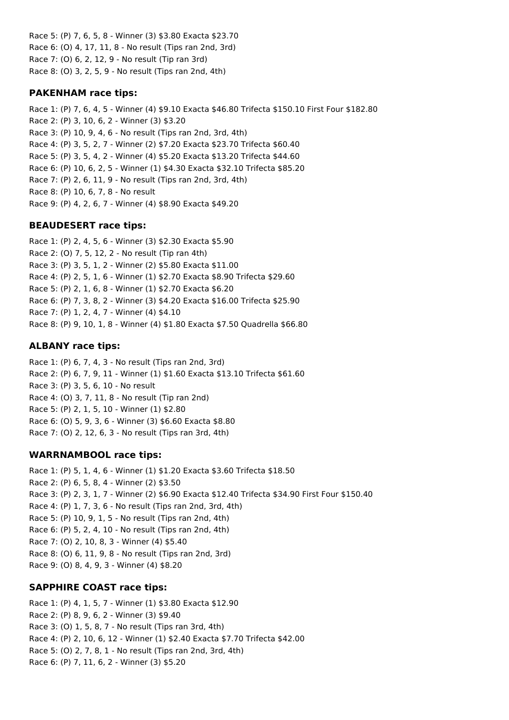Race 5: (P) 7, 6, 5, 8 - Winner (3) \$3.80 Exacta \$23.70 Race 6: (O) 4, 17, 11, 8 - No result (Tips ran 2nd, 3rd) Race 7: (O) 6, 2, 12, 9 - No result (Tip ran 3rd) Race 8: (O) 3, 2, 5, 9 - No result (Tips ran 2nd, 4th)

## **PAKENHAM race tips:**

Race 1: (P) 7, 6, 4, 5 - Winner (4) \$9.10 Exacta \$46.80 Trifecta \$150.10 First Four \$182.80 Race 2: (P) 3, 10, 6, 2 - Winner (3) \$3.20 Race 3: (P) 10, 9, 4, 6 - No result (Tips ran 2nd, 3rd, 4th) Race 4: (P) 3, 5, 2, 7 - Winner (2) \$7.20 Exacta \$23.70 Trifecta \$60.40 Race 5: (P) 3, 5, 4, 2 - Winner (4) \$5.20 Exacta \$13.20 Trifecta \$44.60 Race 6: (P) 10, 6, 2, 5 - Winner (1) \$4.30 Exacta \$32.10 Trifecta \$85.20 Race 7: (P) 2, 6, 11, 9 - No result (Tips ran 2nd, 3rd, 4th) Race 8: (P) 10, 6, 7, 8 - No result Race 9: (P) 4, 2, 6, 7 - Winner (4) \$8.90 Exacta \$49.20

### **BEAUDESERT race tips:**

Race 1: (P) 2, 4, 5, 6 - Winner (3) \$2.30 Exacta \$5.90 Race 2: (O) 7, 5, 12, 2 - No result (Tip ran 4th) Race 3: (P) 3, 5, 1, 2 - Winner (2) \$5.80 Exacta \$11.00 Race 4: (P) 2, 5, 1, 6 - Winner (1) \$2.70 Exacta \$8.90 Trifecta \$29.60 Race 5: (P) 2, 1, 6, 8 - Winner (1) \$2.70 Exacta \$6.20 Race 6: (P) 7, 3, 8, 2 - Winner (3) \$4.20 Exacta \$16.00 Trifecta \$25.90 Race 7: (P) 1, 2, 4, 7 - Winner (4) \$4.10 Race 8: (P) 9, 10, 1, 8 - Winner (4) \$1.80 Exacta \$7.50 Quadrella \$66.80

### **ALBANY race tips:**

Race 1: (P) 6, 7, 4, 3 - No result (Tips ran 2nd, 3rd) Race 2: (P) 6, 7, 9, 11 - Winner (1) \$1.60 Exacta \$13.10 Trifecta \$61.60 Race 3: (P) 3, 5, 6, 10 - No result Race 4: (O) 3, 7, 11, 8 - No result (Tip ran 2nd) Race 5: (P) 2, 1, 5, 10 - Winner (1) \$2.80 Race 6: (O) 5, 9, 3, 6 - Winner (3) \$6.60 Exacta \$8.80 Race 7: (O) 2, 12, 6, 3 - No result (Tips ran 3rd, 4th)

## **WARRNAMBOOL race tips:**

Race 1: (P) 5, 1, 4, 6 - Winner (1) \$1.20 Exacta \$3.60 Trifecta \$18.50 Race 2: (P) 6, 5, 8, 4 - Winner (2) \$3.50 Race 3: (P) 2, 3, 1, 7 - Winner (2) \$6.90 Exacta \$12.40 Trifecta \$34.90 First Four \$150.40 Race 4: (P) 1, 7, 3, 6 - No result (Tips ran 2nd, 3rd, 4th) Race 5: (P) 10, 9, 1, 5 - No result (Tips ran 2nd, 4th) Race 6: (P) 5, 2, 4, 10 - No result (Tips ran 2nd, 4th) Race 7: (O) 2, 10, 8, 3 - Winner (4) \$5.40 Race 8: (O) 6, 11, 9, 8 - No result (Tips ran 2nd, 3rd) Race 9: (O) 8, 4, 9, 3 - Winner (4) \$8.20

## **SAPPHIRE COAST race tips:**

Race 1: (P) 4, 1, 5, 7 - Winner (1) \$3.80 Exacta \$12.90 Race 2: (P) 8, 9, 6, 2 - Winner (3) \$9.40 Race 3: (O) 1, 5, 8, 7 - No result (Tips ran 3rd, 4th) Race 4: (P) 2, 10, 6, 12 - Winner (1) \$2.40 Exacta \$7.70 Trifecta \$42.00 Race 5: (O) 2, 7, 8, 1 - No result (Tips ran 2nd, 3rd, 4th) Race 6: (P) 7, 11, 6, 2 - Winner (3) \$5.20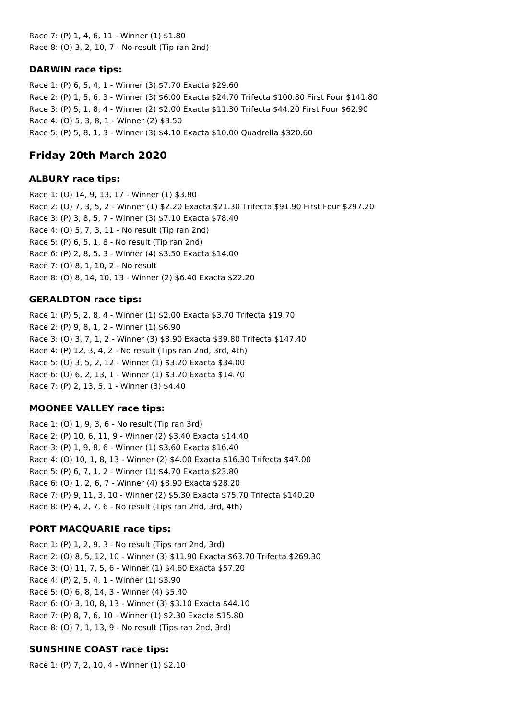Race 7: (P) 1, 4, 6, 11 - Winner (1) \$1.80 Race 8: (O) 3, 2, 10, 7 - No result (Tip ran 2nd)

#### **DARWIN race tips:**

Race 1: (P) 6, 5, 4, 1 - Winner (3) \$7.70 Exacta \$29.60 Race 2: (P) 1, 5, 6, 3 - Winner (3) \$6.00 Exacta \$24.70 Trifecta \$100.80 First Four \$141.80 Race 3: (P) 5, 1, 8, 4 - Winner (2) \$2.00 Exacta \$11.30 Trifecta \$44.20 First Four \$62.90 Race 4: (O) 5, 3, 8, 1 - Winner (2) \$3.50 Race 5: (P) 5, 8, 1, 3 - Winner (3) \$4.10 Exacta \$10.00 Quadrella \$320.60

# **Friday 20th March 2020**

## **ALBURY race tips:**

Race 1: (O) 14, 9, 13, 17 - Winner (1) \$3.80 Race 2: (O) 7, 3, 5, 2 - Winner (1) \$2.20 Exacta \$21.30 Trifecta \$91.90 First Four \$297.20 Race 3: (P) 3, 8, 5, 7 - Winner (3) \$7.10 Exacta \$78.40 Race 4: (O) 5, 7, 3, 11 - No result (Tip ran 2nd) Race 5: (P) 6, 5, 1, 8 - No result (Tip ran 2nd) Race 6: (P) 2, 8, 5, 3 - Winner (4) \$3.50 Exacta \$14.00 Race 7: (O) 8, 1, 10, 2 - No result Race 8: (O) 8, 14, 10, 13 - Winner (2) \$6.40 Exacta \$22.20

## **GERALDTON race tips:**

Race 1: (P) 5, 2, 8, 4 - Winner (1) \$2.00 Exacta \$3.70 Trifecta \$19.70 Race 2: (P) 9, 8, 1, 2 - Winner (1) \$6.90 Race 3: (O) 3, 7, 1, 2 - Winner (3) \$3.90 Exacta \$39.80 Trifecta \$147.40 Race 4: (P) 12, 3, 4, 2 - No result (Tips ran 2nd, 3rd, 4th) Race 5: (O) 3, 5, 2, 12 - Winner (1) \$3.20 Exacta \$34.00 Race 6: (O) 6, 2, 13, 1 - Winner (1) \$3.20 Exacta \$14.70 Race 7: (P) 2, 13, 5, 1 - Winner (3) \$4.40

## **MOONEE VALLEY race tips:**

Race 1: (O) 1, 9, 3, 6 - No result (Tip ran 3rd) Race 2: (P) 10, 6, 11, 9 - Winner (2) \$3.40 Exacta \$14.40 Race 3: (P) 1, 9, 8, 6 - Winner (1) \$3.60 Exacta \$16.40 Race 4: (O) 10, 1, 8, 13 - Winner (2) \$4.00 Exacta \$16.30 Trifecta \$47.00 Race 5: (P) 6, 7, 1, 2 - Winner (1) \$4.70 Exacta \$23.80 Race 6: (O) 1, 2, 6, 7 - Winner (4) \$3.90 Exacta \$28.20 Race 7: (P) 9, 11, 3, 10 - Winner (2) \$5.30 Exacta \$75.70 Trifecta \$140.20 Race 8: (P) 4, 2, 7, 6 - No result (Tips ran 2nd, 3rd, 4th)

# **PORT MACQUARIE race tips:**

Race 1: (P) 1, 2, 9, 3 - No result (Tips ran 2nd, 3rd) Race 2: (O) 8, 5, 12, 10 - Winner (3) \$11.90 Exacta \$63.70 Trifecta \$269.30 Race 3: (O) 11, 7, 5, 6 - Winner (1) \$4.60 Exacta \$57.20 Race 4: (P) 2, 5, 4, 1 - Winner (1) \$3.90 Race 5: (O) 6, 8, 14, 3 - Winner (4) \$5.40 Race 6: (O) 3, 10, 8, 13 - Winner (3) \$3.10 Exacta \$44.10 Race 7: (P) 8, 7, 6, 10 - Winner (1) \$2.30 Exacta \$15.80 Race 8: (O) 7, 1, 13, 9 - No result (Tips ran 2nd, 3rd)

# **SUNSHINE COAST race tips:**

Race 1: (P) 7, 2, 10, 4 - Winner (1) \$2.10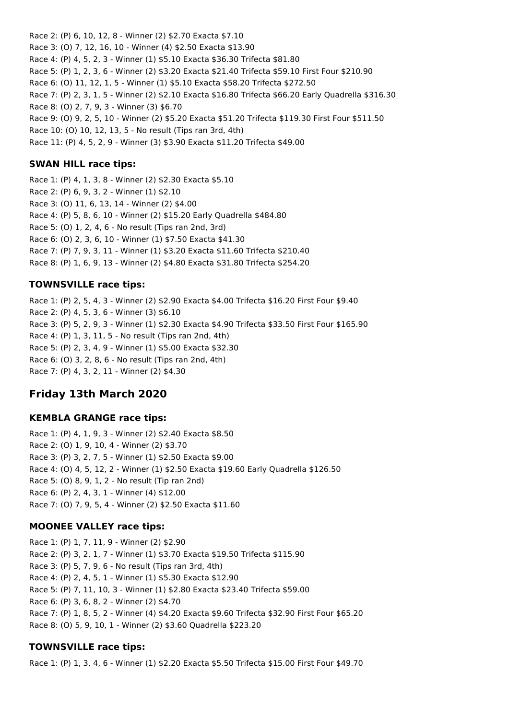Race 2: (P) 6, 10, 12, 8 - Winner (2) \$2.70 Exacta \$7.10 Race 3: (O) 7, 12, 16, 10 - Winner (4) \$2.50 Exacta \$13.90 Race 4: (P) 4, 5, 2, 3 - Winner (1) \$5.10 Exacta \$36.30 Trifecta \$81.80 Race 5: (P) 1, 2, 3, 6 - Winner (2) \$3.20 Exacta \$21.40 Trifecta \$59.10 First Four \$210.90 Race 6: (O) 11, 12, 1, 5 - Winner (1) \$5.10 Exacta \$58.20 Trifecta \$272.50 Race 7: (P) 2, 3, 1, 5 - Winner (2) \$2.10 Exacta \$16.80 Trifecta \$66.20 Early Quadrella \$316.30 Race 8: (O) 2, 7, 9, 3 - Winner (3) \$6.70 Race 9: (O) 9, 2, 5, 10 - Winner (2) \$5.20 Exacta \$51.20 Trifecta \$119.30 First Four \$511.50 Race 10: (O) 10, 12, 13, 5 - No result (Tips ran 3rd, 4th) Race 11: (P) 4, 5, 2, 9 - Winner (3) \$3.90 Exacta \$11.20 Trifecta \$49.00

## **SWAN HILL race tips:**

Race 1: (P) 4, 1, 3, 8 - Winner (2) \$2.30 Exacta \$5.10 Race 2: (P) 6, 9, 3, 2 - Winner (1) \$2.10 Race 3: (O) 11, 6, 13, 14 - Winner (2) \$4.00 Race 4: (P) 5, 8, 6, 10 - Winner (2) \$15.20 Early Quadrella \$484.80 Race 5: (O) 1, 2, 4, 6 - No result (Tips ran 2nd, 3rd) Race 6: (O) 2, 3, 6, 10 - Winner (1) \$7.50 Exacta \$41.30 Race 7: (P) 7, 9, 3, 11 - Winner (1) \$3.20 Exacta \$11.60 Trifecta \$210.40 Race 8: (P) 1, 6, 9, 13 - Winner (2) \$4.80 Exacta \$31.80 Trifecta \$254.20

## **TOWNSVILLE race tips:**

Race 1: (P) 2, 5, 4, 3 - Winner (2) \$2.90 Exacta \$4.00 Trifecta \$16.20 First Four \$9.40 Race 2: (P) 4, 5, 3, 6 - Winner (3) \$6.10 Race 3: (P) 5, 2, 9, 3 - Winner (1) \$2.30 Exacta \$4.90 Trifecta \$33.50 First Four \$165.90 Race 4: (P) 1, 3, 11, 5 - No result (Tips ran 2nd, 4th) Race 5: (P) 2, 3, 4, 9 - Winner (1) \$5.00 Exacta \$32.30 Race 6: (O) 3, 2, 8, 6 - No result (Tips ran 2nd, 4th) Race 7: (P) 4, 3, 2, 11 - Winner (2) \$4.30

# **Friday 13th March 2020**

#### **KEMBLA GRANGE race tips:**

Race 1: (P) 4, 1, 9, 3 - Winner (2) \$2.40 Exacta \$8.50 Race 2: (O) 1, 9, 10, 4 - Winner (2) \$3.70 Race 3: (P) 3, 2, 7, 5 - Winner (1) \$2.50 Exacta \$9.00 Race 4: (O) 4, 5, 12, 2 - Winner (1) \$2.50 Exacta \$19.60 Early Quadrella \$126.50 Race 5: (O) 8, 9, 1, 2 - No result (Tip ran 2nd) Race 6: (P) 2, 4, 3, 1 - Winner (4) \$12.00 Race 7: (O) 7, 9, 5, 4 - Winner (2) \$2.50 Exacta \$11.60

## **MOONEE VALLEY race tips:**

Race 1: (P) 1, 7, 11, 9 - Winner (2) \$2.90 Race 2: (P) 3, 2, 1, 7 - Winner (1) \$3.70 Exacta \$19.50 Trifecta \$115.90 Race 3: (P) 5, 7, 9, 6 - No result (Tips ran 3rd, 4th) Race 4: (P) 2, 4, 5, 1 - Winner (1) \$5.30 Exacta \$12.90 Race 5: (P) 7, 11, 10, 3 - Winner (1) \$2.80 Exacta \$23.40 Trifecta \$59.00 Race 6: (P) 3, 6, 8, 2 - Winner (2) \$4.70 Race 7: (P) 1, 8, 5, 2 - Winner (4) \$4.20 Exacta \$9.60 Trifecta \$32.90 First Four \$65.20 Race 8: (O) 5, 9, 10, 1 - Winner (2) \$3.60 Quadrella \$223.20

## **TOWNSVILLE race tips:**

Race 1: (P) 1, 3, 4, 6 - Winner (1) \$2.20 Exacta \$5.50 Trifecta \$15.00 First Four \$49.70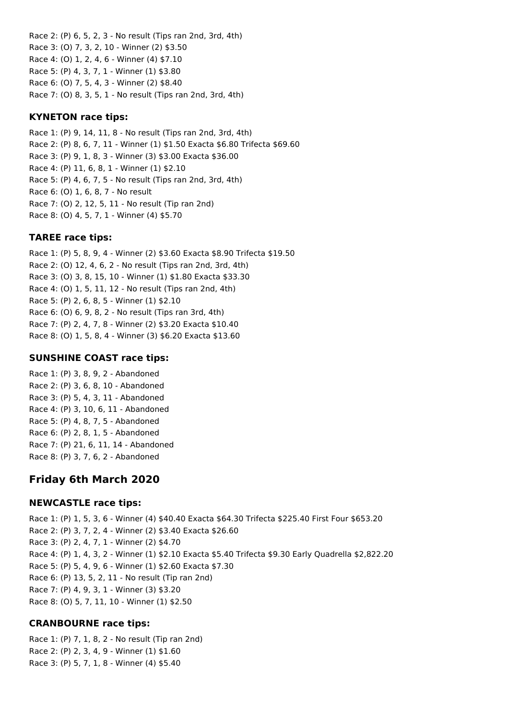Race 2: (P) 6, 5, 2, 3 - No result (Tips ran 2nd, 3rd, 4th) Race 3: (O) 7, 3, 2, 10 - Winner (2) \$3.50 Race 4: (O) 1, 2, 4, 6 - Winner (4) \$7.10 Race 5: (P) 4, 3, 7, 1 - Winner (1) \$3.80 Race 6: (O) 7, 5, 4, 3 - Winner (2) \$8.40 Race 7: (O) 8, 3, 5, 1 - No result (Tips ran 2nd, 3rd, 4th)

## **KYNETON race tips:**

Race 1: (P) 9, 14, 11, 8 - No result (Tips ran 2nd, 3rd, 4th) Race 2: (P) 8, 6, 7, 11 - Winner (1) \$1.50 Exacta \$6.80 Trifecta \$69.60 Race 3: (P) 9, 1, 8, 3 - Winner (3) \$3.00 Exacta \$36.00 Race 4: (P) 11, 6, 8, 1 - Winner (1) \$2.10 Race 5: (P) 4, 6, 7, 5 - No result (Tips ran 2nd, 3rd, 4th) Race 6: (O) 1, 6, 8, 7 - No result Race 7: (O) 2, 12, 5, 11 - No result (Tip ran 2nd) Race 8: (O) 4, 5, 7, 1 - Winner (4) \$5.70

### **TAREE race tips:**

Race 1: (P) 5, 8, 9, 4 - Winner (2) \$3.60 Exacta \$8.90 Trifecta \$19.50 Race 2: (O) 12, 4, 6, 2 - No result (Tips ran 2nd, 3rd, 4th) Race 3: (O) 3, 8, 15, 10 - Winner (1) \$1.80 Exacta \$33.30 Race 4: (O) 1, 5, 11, 12 - No result (Tips ran 2nd, 4th) Race 5: (P) 2, 6, 8, 5 - Winner (1) \$2.10 Race 6: (O) 6, 9, 8, 2 - No result (Tips ran 3rd, 4th) Race 7: (P) 2, 4, 7, 8 - Winner (2) \$3.20 Exacta \$10.40 Race 8: (O) 1, 5, 8, 4 - Winner (3) \$6.20 Exacta \$13.60

## **SUNSHINE COAST race tips:**

Race 1: (P) 3, 8, 9, 2 - Abandoned Race 2: (P) 3, 6, 8, 10 - Abandoned Race 3: (P) 5, 4, 3, 11 - Abandoned Race 4: (P) 3, 10, 6, 11 - Abandoned Race 5: (P) 4, 8, 7, 5 - Abandoned Race 6: (P) 2, 8, 1, 5 - Abandoned Race 7: (P) 21, 6, 11, 14 - Abandoned Race 8: (P) 3, 7, 6, 2 - Abandoned

# **Friday 6th March 2020**

## **NEWCASTLE race tips:**

Race 1: (P) 1, 5, 3, 6 - Winner (4) \$40.40 Exacta \$64.30 Trifecta \$225.40 First Four \$653.20 Race 2: (P) 3, 7, 2, 4 - Winner (2) \$3.40 Exacta \$26.60 Race 3: (P) 2, 4, 7, 1 - Winner (2) \$4.70 Race 4: (P) 1, 4, 3, 2 - Winner (1) \$2.10 Exacta \$5.40 Trifecta \$9.30 Early Quadrella \$2,822.20 Race 5: (P) 5, 4, 9, 6 - Winner (1) \$2.60 Exacta \$7.30 Race 6: (P) 13, 5, 2, 11 - No result (Tip ran 2nd) Race 7: (P) 4, 9, 3, 1 - Winner (3) \$3.20 Race 8: (O) 5, 7, 11, 10 - Winner (1) \$2.50

## **CRANBOURNE race tips:**

Race 1: (P) 7, 1, 8, 2 - No result (Tip ran 2nd) Race 2: (P) 2, 3, 4, 9 - Winner (1) \$1.60 Race 3: (P) 5, 7, 1, 8 - Winner (4) \$5.40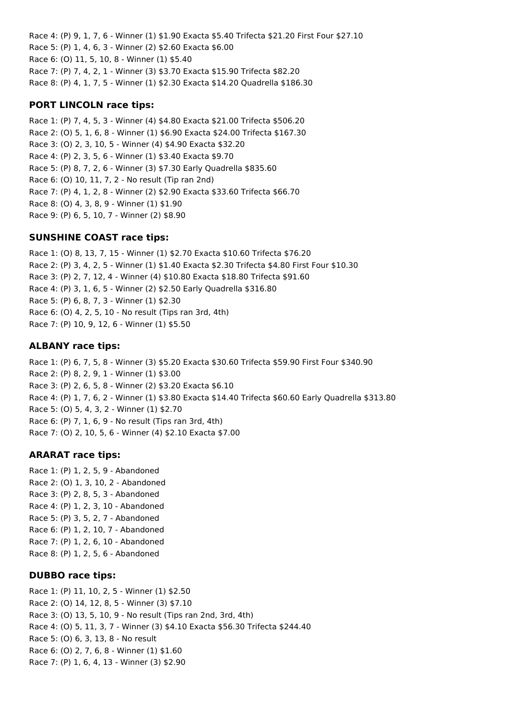Race 4: (P) 9, 1, 7, 6 - Winner (1) \$1.90 Exacta \$5.40 Trifecta \$21.20 First Four \$27.10 Race 5: (P) 1, 4, 6, 3 - Winner (2) \$2.60 Exacta \$6.00 Race 6: (O) 11, 5, 10, 8 - Winner (1) \$5.40 Race 7: (P) 7, 4, 2, 1 - Winner (3) \$3.70 Exacta \$15.90 Trifecta \$82.20 Race 8: (P) 4, 1, 7, 5 - Winner (1) \$2.30 Exacta \$14.20 Quadrella \$186.30

## **PORT LINCOLN race tips:**

Race 1: (P) 7, 4, 5, 3 - Winner (4) \$4.80 Exacta \$21.00 Trifecta \$506.20 Race 2: (O) 5, 1, 6, 8 - Winner (1) \$6.90 Exacta \$24.00 Trifecta \$167.30 Race 3: (O) 2, 3, 10, 5 - Winner (4) \$4.90 Exacta \$32.20 Race 4: (P) 2, 3, 5, 6 - Winner (1) \$3.40 Exacta \$9.70 Race 5: (P) 8, 7, 2, 6 - Winner (3) \$7.30 Early Quadrella \$835.60 Race 6: (O) 10, 11, 7, 2 - No result (Tip ran 2nd) Race 7: (P) 4, 1, 2, 8 - Winner (2) \$2.90 Exacta \$33.60 Trifecta \$66.70 Race 8: (O) 4, 3, 8, 9 - Winner (1) \$1.90 Race 9: (P) 6, 5, 10, 7 - Winner (2) \$8.90

### **SUNSHINE COAST race tips:**

Race 1: (O) 8, 13, 7, 15 - Winner (1) \$2.70 Exacta \$10.60 Trifecta \$76.20 Race 2: (P) 3, 4, 2, 5 - Winner (1) \$1.40 Exacta \$2.30 Trifecta \$4.80 First Four \$10.30 Race 3: (P) 2, 7, 12, 4 - Winner (4) \$10.80 Exacta \$18.80 Trifecta \$91.60 Race 4: (P) 3, 1, 6, 5 - Winner (2) \$2.50 Early Quadrella \$316.80 Race 5: (P) 6, 8, 7, 3 - Winner (1) \$2.30 Race 6: (O) 4, 2, 5, 10 - No result (Tips ran 3rd, 4th) Race 7: (P) 10, 9, 12, 6 - Winner (1) \$5.50

### **ALBANY race tips:**

Race 1: (P) 6, 7, 5, 8 - Winner (3) \$5.20 Exacta \$30.60 Trifecta \$59.90 First Four \$340.90 Race 2: (P) 8, 2, 9, 1 - Winner (1) \$3.00 Race 3: (P) 2, 6, 5, 8 - Winner (2) \$3.20 Exacta \$6.10 Race 4: (P) 1, 7, 6, 2 - Winner (1) \$3.80 Exacta \$14.40 Trifecta \$60.60 Early Quadrella \$313.80 Race 5: (O) 5, 4, 3, 2 - Winner (1) \$2.70 Race 6: (P) 7, 1, 6, 9 - No result (Tips ran 3rd, 4th) Race 7: (O) 2, 10, 5, 6 - Winner (4) \$2.10 Exacta \$7.00

## **ARARAT race tips:**

Race 1: (P) 1, 2, 5, 9 - Abandoned Race 2: (O) 1, 3, 10, 2 - Abandoned Race 3: (P) 2, 8, 5, 3 - Abandoned Race 4: (P) 1, 2, 3, 10 - Abandoned Race 5: (P) 3, 5, 2, 7 - Abandoned Race 6: (P) 1, 2, 10, 7 - Abandoned Race 7: (P) 1, 2, 6, 10 - Abandoned Race 8: (P) 1, 2, 5, 6 - Abandoned

## **DUBBO race tips:**

Race 1: (P) 11, 10, 2, 5 - Winner (1) \$2.50 Race 2: (O) 14, 12, 8, 5 - Winner (3) \$7.10 Race 3: (O) 13, 5, 10, 9 - No result (Tips ran 2nd, 3rd, 4th) Race 4: (O) 5, 11, 3, 7 - Winner (3) \$4.10 Exacta \$56.30 Trifecta \$244.40 Race 5: (O) 6, 3, 13, 8 - No result Race 6: (O) 2, 7, 6, 8 - Winner (1) \$1.60 Race 7: (P) 1, 6, 4, 13 - Winner (3) \$2.90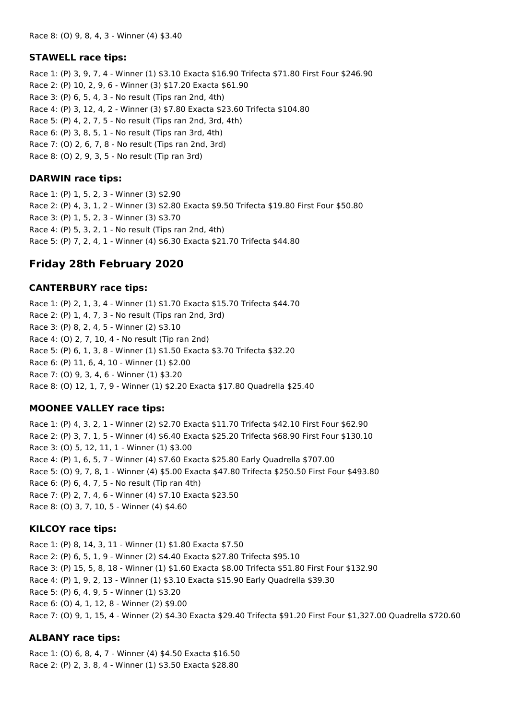#### **STAWELL race tips:**

Race 1: (P) 3, 9, 7, 4 - Winner (1) \$3.10 Exacta \$16.90 Trifecta \$71.80 First Four \$246.90 Race 2: (P) 10, 2, 9, 6 - Winner (3) \$17.20 Exacta \$61.90 Race 3: (P) 6, 5, 4, 3 - No result (Tips ran 2nd, 4th) Race 4: (P) 3, 12, 4, 2 - Winner (3) \$7.80 Exacta \$23.60 Trifecta \$104.80 Race 5: (P) 4, 2, 7, 5 - No result (Tips ran 2nd, 3rd, 4th) Race 6: (P) 3, 8, 5, 1 - No result (Tips ran 3rd, 4th) Race 7: (O) 2, 6, 7, 8 - No result (Tips ran 2nd, 3rd) Race 8: (O) 2, 9, 3, 5 - No result (Tip ran 3rd)

## **DARWIN race tips:**

Race 1: (P) 1, 5, 2, 3 - Winner (3) \$2.90 Race 2: (P) 4, 3, 1, 2 - Winner (3) \$2.80 Exacta \$9.50 Trifecta \$19.80 First Four \$50.80 Race 3: (P) 1, 5, 2, 3 - Winner (3) \$3.70 Race 4: (P) 5, 3, 2, 1 - No result (Tips ran 2nd, 4th) Race 5: (P) 7, 2, 4, 1 - Winner (4) \$6.30 Exacta \$21.70 Trifecta \$44.80

# **Friday 28th February 2020**

### **CANTERBURY race tips:**

Race 1: (P) 2, 1, 3, 4 - Winner (1) \$1.70 Exacta \$15.70 Trifecta \$44.70 Race 2: (P) 1, 4, 7, 3 - No result (Tips ran 2nd, 3rd) Race 3: (P) 8, 2, 4, 5 - Winner (2) \$3.10 Race 4: (O) 2, 7, 10, 4 - No result (Tip ran 2nd) Race 5: (P) 6, 1, 3, 8 - Winner (1) \$1.50 Exacta \$3.70 Trifecta \$32.20 Race 6: (P) 11, 6, 4, 10 - Winner (1) \$2.00 Race 7: (O) 9, 3, 4, 6 - Winner (1) \$3.20 Race 8: (O) 12, 1, 7, 9 - Winner (1) \$2.20 Exacta \$17.80 Quadrella \$25.40

## **MOONEE VALLEY race tips:**

Race 1: (P) 4, 3, 2, 1 - Winner (2) \$2.70 Exacta \$11.70 Trifecta \$42.10 First Four \$62.90 Race 2: (P) 3, 7, 1, 5 - Winner (4) \$6.40 Exacta \$25.20 Trifecta \$68.90 First Four \$130.10 Race 3: (O) 5, 12, 11, 1 - Winner (1) \$3.00 Race 4: (P) 1, 6, 5, 7 - Winner (4) \$7.60 Exacta \$25.80 Early Quadrella \$707.00 Race 5: (O) 9, 7, 8, 1 - Winner (4) \$5.00 Exacta \$47.80 Trifecta \$250.50 First Four \$493.80 Race 6: (P) 6, 4, 7, 5 - No result (Tip ran 4th) Race 7: (P) 2, 7, 4, 6 - Winner (4) \$7.10 Exacta \$23.50 Race 8: (O) 3, 7, 10, 5 - Winner (4) \$4.60

## **KILCOY race tips:**

Race 1: (P) 8, 14, 3, 11 - Winner (1) \$1.80 Exacta \$7.50 Race 2: (P) 6, 5, 1, 9 - Winner (2) \$4.40 Exacta \$27.80 Trifecta \$95.10 Race 3: (P) 15, 5, 8, 18 - Winner (1) \$1.60 Exacta \$8.00 Trifecta \$51.80 First Four \$132.90 Race 4: (P) 1, 9, 2, 13 - Winner (1) \$3.10 Exacta \$15.90 Early Quadrella \$39.30 Race 5: (P) 6, 4, 9, 5 - Winner (1) \$3.20 Race 6: (O) 4, 1, 12, 8 - Winner (2) \$9.00 Race 7: (O) 9, 1, 15, 4 - Winner (2) \$4.30 Exacta \$29.40 Trifecta \$91.20 First Four \$1,327.00 Quadrella \$720.60

## **ALBANY race tips:**

Race 1: (O) 6, 8, 4, 7 - Winner (4) \$4.50 Exacta \$16.50 Race 2: (P) 2, 3, 8, 4 - Winner (1) \$3.50 Exacta \$28.80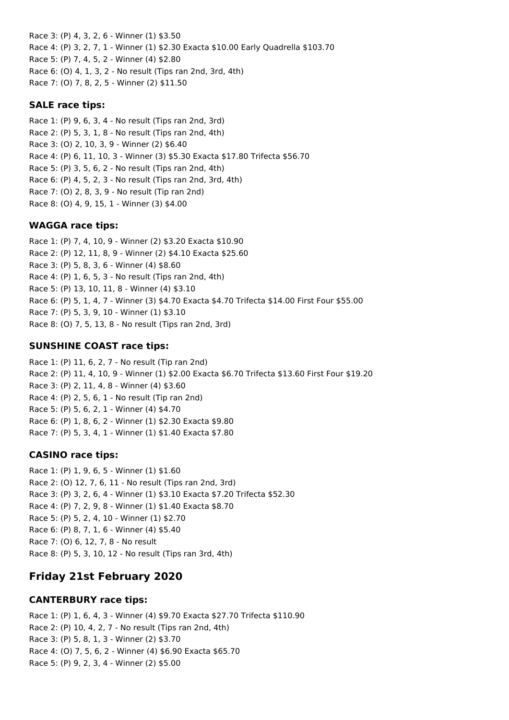Race 3: (P) 4, 3, 2, 6 - Winner (1) \$3.50 Race 4: (P) 3, 2, 7, 1 - Winner (1) \$2.30 Exacta \$10.00 Early Quadrella \$103.70 Race 5: (P) 7, 4, 5, 2 - Winner (4) \$2.80 Race 6: (O) 4, 1, 3, 2 - No result (Tips ran 2nd, 3rd, 4th) Race 7: (O) 7, 8, 2, 5 - Winner (2) \$11.50

#### **SALE race tips:**

Race 1: (P) 9, 6, 3, 4 - No result (Tips ran 2nd, 3rd) Race 2: (P) 5, 3, 1, 8 - No result (Tips ran 2nd, 4th) Race 3: (O) 2, 10, 3, 9 - Winner (2) \$6.40 Race 4: (P) 6, 11, 10, 3 - Winner (3) \$5.30 Exacta \$17.80 Trifecta \$56.70 Race 5: (P) 3, 5, 6, 2 - No result (Tips ran 2nd, 4th) Race 6: (P) 4, 5, 2, 3 - No result (Tips ran 2nd, 3rd, 4th) Race 7: (O) 2, 8, 3, 9 - No result (Tip ran 2nd) Race 8: (O) 4, 9, 15, 1 - Winner (3) \$4.00

#### **WAGGA race tips:**

Race 1: (P) 7, 4, 10, 9 - Winner (2) \$3.20 Exacta \$10.90 Race 2: (P) 12, 11, 8, 9 - Winner (2) \$4.10 Exacta \$25.60 Race 3: (P) 5, 8, 3, 6 - Winner (4) \$8.60 Race 4: (P) 1, 6, 5, 3 - No result (Tips ran 2nd, 4th) Race 5: (P) 13, 10, 11, 8 - Winner (4) \$3.10 Race 6: (P) 5, 1, 4, 7 - Winner (3) \$4.70 Exacta \$4.70 Trifecta \$14.00 First Four \$55.00 Race 7: (P) 5, 3, 9, 10 - Winner (1) \$3.10 Race 8: (O) 7, 5, 13, 8 - No result (Tips ran 2nd, 3rd)

#### **SUNSHINE COAST race tips:**

Race 1: (P) 11, 6, 2, 7 - No result (Tip ran 2nd) Race 2: (P) 11, 4, 10, 9 - Winner (1) \$2.00 Exacta \$6.70 Trifecta \$13.60 First Four \$19.20 Race 3: (P) 2, 11, 4, 8 - Winner (4) \$3.60 Race 4: (P) 2, 5, 6, 1 - No result (Tip ran 2nd) Race 5: (P) 5, 6, 2, 1 - Winner (4) \$4.70 Race 6: (P) 1, 8, 6, 2 - Winner (1) \$2.30 Exacta \$9.80 Race 7: (P) 5, 3, 4, 1 - Winner (1) \$1.40 Exacta \$7.80

#### **CASINO race tips:**

Race 1: (P) 1, 9, 6, 5 - Winner (1) \$1.60 Race 2: (O) 12, 7, 6, 11 - No result (Tips ran 2nd, 3rd) Race 3: (P) 3, 2, 6, 4 - Winner (1) \$3.10 Exacta \$7.20 Trifecta \$52.30 Race 4: (P) 7, 2, 9, 8 - Winner (1) \$1.40 Exacta \$8.70 Race 5: (P) 5, 2, 4, 10 - Winner (1) \$2.70 Race 6: (P) 8, 7, 1, 6 - Winner (4) \$5.40 Race 7: (O) 6, 12, 7, 8 - No result Race 8: (P) 5, 3, 10, 12 - No result (Tips ran 3rd, 4th)

# **Friday 21st February 2020**

#### **CANTERBURY race tips:**

Race 1: (P) 1, 6, 4, 3 - Winner (4) \$9.70 Exacta \$27.70 Trifecta \$110.90 Race 2: (P) 10, 4, 2, 7 - No result (Tips ran 2nd, 4th) Race 3: (P) 5, 8, 1, 3 - Winner (2) \$3.70 Race 4: (O) 7, 5, 6, 2 - Winner (4) \$6.90 Exacta \$65.70 Race 5: (P) 9, 2, 3, 4 - Winner (2) \$5.00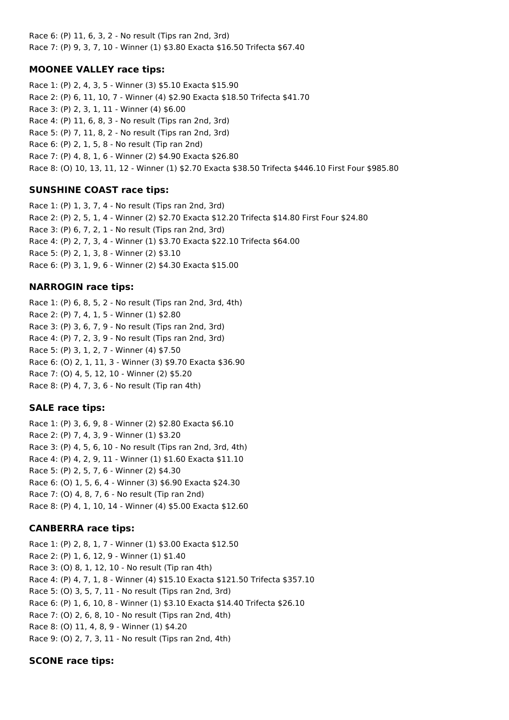Race 6: (P) 11, 6, 3, 2 - No result (Tips ran 2nd, 3rd) Race 7: (P) 9, 3, 7, 10 - Winner (1) \$3.80 Exacta \$16.50 Trifecta \$67.40

## **MOONEE VALLEY race tips:**

Race 1: (P) 2, 4, 3, 5 - Winner (3) \$5.10 Exacta \$15.90 Race 2: (P) 6, 11, 10, 7 - Winner (4) \$2.90 Exacta \$18.50 Trifecta \$41.70 Race 3: (P) 2, 3, 1, 11 - Winner (4) \$6.00 Race 4: (P) 11, 6, 8, 3 - No result (Tips ran 2nd, 3rd) Race 5: (P) 7, 11, 8, 2 - No result (Tips ran 2nd, 3rd) Race 6: (P) 2, 1, 5, 8 - No result (Tip ran 2nd) Race 7: (P) 4, 8, 1, 6 - Winner (2) \$4.90 Exacta \$26.80 Race 8: (O) 10, 13, 11, 12 - Winner (1) \$2.70 Exacta \$38.50 Trifecta \$446.10 First Four \$985.80

# **SUNSHINE COAST race tips:**

Race 1: (P) 1, 3, 7, 4 - No result (Tips ran 2nd, 3rd) Race 2: (P) 2, 5, 1, 4 - Winner (2) \$2.70 Exacta \$12.20 Trifecta \$14.80 First Four \$24.80 Race 3: (P) 6, 7, 2, 1 - No result (Tips ran 2nd, 3rd) Race 4: (P) 2, 7, 3, 4 - Winner (1) \$3.70 Exacta \$22.10 Trifecta \$64.00 Race 5: (P) 2, 1, 3, 8 - Winner (2) \$3.10 Race 6: (P) 3, 1, 9, 6 - Winner (2) \$4.30 Exacta \$15.00

## **NARROGIN race tips:**

Race 1: (P) 6, 8, 5, 2 - No result (Tips ran 2nd, 3rd, 4th) Race 2: (P) 7, 4, 1, 5 - Winner (1) \$2.80 Race 3: (P) 3, 6, 7, 9 - No result (Tips ran 2nd, 3rd) Race 4: (P) 7, 2, 3, 9 - No result (Tips ran 2nd, 3rd) Race 5: (P) 3, 1, 2, 7 - Winner (4) \$7.50 Race 6: (O) 2, 1, 11, 3 - Winner (3) \$9.70 Exacta \$36.90 Race 7: (O) 4, 5, 12, 10 - Winner (2) \$5.20 Race 8: (P) 4, 7, 3, 6 - No result (Tip ran 4th)

## **SALE race tips:**

Race 1: (P) 3, 6, 9, 8 - Winner (2) \$2.80 Exacta \$6.10 Race 2: (P) 7, 4, 3, 9 - Winner (1) \$3.20 Race 3: (P) 4, 5, 6, 10 - No result (Tips ran 2nd, 3rd, 4th) Race 4: (P) 4, 2, 9, 11 - Winner (1) \$1.60 Exacta \$11.10 Race 5: (P) 2, 5, 7, 6 - Winner (2) \$4.30 Race 6: (O) 1, 5, 6, 4 - Winner (3) \$6.90 Exacta \$24.30 Race 7: (O) 4, 8, 7, 6 - No result (Tip ran 2nd) Race 8: (P) 4, 1, 10, 14 - Winner (4) \$5.00 Exacta \$12.60

# **CANBERRA race tips:**

Race 1: (P) 2, 8, 1, 7 - Winner (1) \$3.00 Exacta \$12.50 Race 2: (P) 1, 6, 12, 9 - Winner (1) \$1.40 Race 3: (O) 8, 1, 12, 10 - No result (Tip ran 4th) Race 4: (P) 4, 7, 1, 8 - Winner (4) \$15.10 Exacta \$121.50 Trifecta \$357.10 Race 5: (O) 3, 5, 7, 11 - No result (Tips ran 2nd, 3rd) Race 6: (P) 1, 6, 10, 8 - Winner (1) \$3.10 Exacta \$14.40 Trifecta \$26.10 Race 7: (O) 2, 6, 8, 10 - No result (Tips ran 2nd, 4th) Race 8: (O) 11, 4, 8, 9 - Winner (1) \$4.20 Race 9: (O) 2, 7, 3, 11 - No result (Tips ran 2nd, 4th)

# **SCONE race tips:**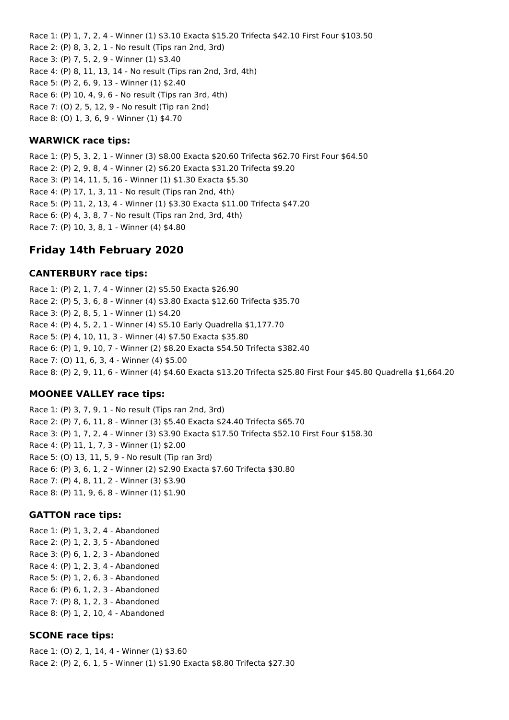Race 1: (P) 1, 7, 2, 4 - Winner (1) \$3.10 Exacta \$15.20 Trifecta \$42.10 First Four \$103.50 Race 2: (P) 8, 3, 2, 1 - No result (Tips ran 2nd, 3rd) Race 3: (P) 7, 5, 2, 9 - Winner (1) \$3.40 Race 4: (P) 8, 11, 13, 14 - No result (Tips ran 2nd, 3rd, 4th) Race 5: (P) 2, 6, 9, 13 - Winner (1) \$2.40 Race 6: (P) 10, 4, 9, 6 - No result (Tips ran 3rd, 4th) Race 7: (O) 2, 5, 12, 9 - No result (Tip ran 2nd) Race 8: (O) 1, 3, 6, 9 - Winner (1) \$4.70

### **WARWICK race tips:**

Race 1: (P) 5, 3, 2, 1 - Winner (3) \$8.00 Exacta \$20.60 Trifecta \$62.70 First Four \$64.50 Race 2: (P) 2, 9, 8, 4 - Winner (2) \$6.20 Exacta \$31.20 Trifecta \$9.20 Race 3: (P) 14, 11, 5, 16 - Winner (1) \$1.30 Exacta \$5.30 Race 4: (P) 17, 1, 3, 11 - No result (Tips ran 2nd, 4th) Race 5: (P) 11, 2, 13, 4 - Winner (1) \$3.30 Exacta \$11.00 Trifecta \$47.20 Race 6: (P) 4, 3, 8, 7 - No result (Tips ran 2nd, 3rd, 4th) Race 7: (P) 10, 3, 8, 1 - Winner (4) \$4.80

# **Friday 14th February 2020**

### **CANTERBURY race tips:**

Race 1: (P) 2, 1, 7, 4 - Winner (2) \$5.50 Exacta \$26.90 Race 2: (P) 5, 3, 6, 8 - Winner (4) \$3.80 Exacta \$12.60 Trifecta \$35.70 Race 3: (P) 2, 8, 5, 1 - Winner (1) \$4.20 Race 4: (P) 4, 5, 2, 1 - Winner (4) \$5.10 Early Quadrella \$1,177.70 Race 5: (P) 4, 10, 11, 3 - Winner (4) \$7.50 Exacta \$35.80 Race 6: (P) 1, 9, 10, 7 - Winner (2) \$8.20 Exacta \$54.50 Trifecta \$382.40 Race 7: (O) 11, 6, 3, 4 - Winner (4) \$5.00 Race 8: (P) 2, 9, 11, 6 - Winner (4) \$4.60 Exacta \$13.20 Trifecta \$25.80 First Four \$45.80 Quadrella \$1,664.20

## **MOONEE VALLEY race tips:**

Race 1: (P) 3, 7, 9, 1 - No result (Tips ran 2nd, 3rd) Race 2: (P) 7, 6, 11, 8 - Winner (3) \$5.40 Exacta \$24.40 Trifecta \$65.70 Race 3: (P) 1, 7, 2, 4 - Winner (3) \$3.90 Exacta \$17.50 Trifecta \$52.10 First Four \$158.30 Race 4: (P) 11, 1, 7, 3 - Winner (1) \$2.00 Race 5: (O) 13, 11, 5, 9 - No result (Tip ran 3rd) Race 6: (P) 3, 6, 1, 2 - Winner (2) \$2.90 Exacta \$7.60 Trifecta \$30.80 Race 7: (P) 4, 8, 11, 2 - Winner (3) \$3.90 Race 8: (P) 11, 9, 6, 8 - Winner (1) \$1.90

## **GATTON race tips:**

Race 1: (P) 1, 3, 2, 4 - Abandoned Race 2: (P) 1, 2, 3, 5 - Abandoned Race 3: (P) 6, 1, 2, 3 - Abandoned Race 4: (P) 1, 2, 3, 4 - Abandoned Race 5: (P) 1, 2, 6, 3 - Abandoned Race 6: (P) 6, 1, 2, 3 - Abandoned Race 7: (P) 8, 1, 2, 3 - Abandoned Race 8: (P) 1, 2, 10, 4 - Abandoned

## **SCONE race tips:**

Race 1: (O) 2, 1, 14, 4 - Winner (1) \$3.60 Race 2: (P) 2, 6, 1, 5 - Winner (1) \$1.90 Exacta \$8.80 Trifecta \$27.30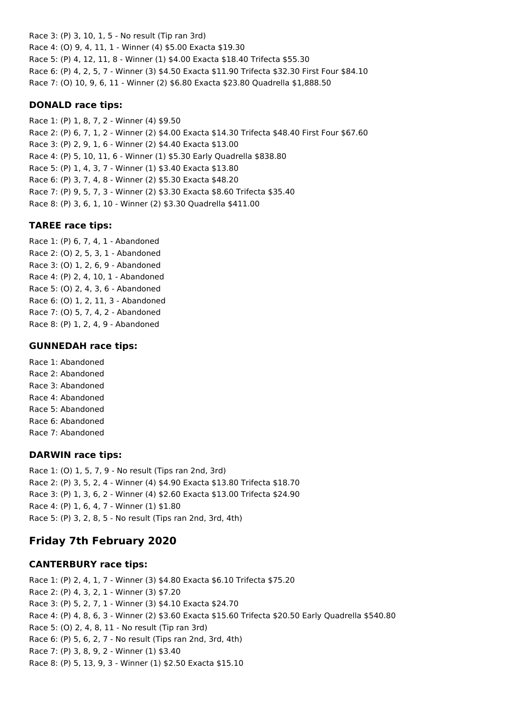Race 3: (P) 3, 10, 1, 5 - No result (Tip ran 3rd) Race 4: (O) 9, 4, 11, 1 - Winner (4) \$5.00 Exacta \$19.30 Race 5: (P) 4, 12, 11, 8 - Winner (1) \$4.00 Exacta \$18.40 Trifecta \$55.30 Race 6: (P) 4, 2, 5, 7 - Winner (3) \$4.50 Exacta \$11.90 Trifecta \$32.30 First Four \$84.10 Race 7: (O) 10, 9, 6, 11 - Winner (2) \$6.80 Exacta \$23.80 Quadrella \$1,888.50

### **DONALD race tips:**

Race 1: (P) 1, 8, 7, 2 - Winner (4) \$9.50 Race 2: (P) 6, 7, 1, 2 - Winner (2) \$4.00 Exacta \$14.30 Trifecta \$48.40 First Four \$67.60 Race 3: (P) 2, 9, 1, 6 - Winner (2) \$4.40 Exacta \$13.00 Race 4: (P) 5, 10, 11, 6 - Winner (1) \$5.30 Early Quadrella \$838.80 Race 5: (P) 1, 4, 3, 7 - Winner (1) \$3.40 Exacta \$13.80 Race 6: (P) 3, 7, 4, 8 - Winner (2) \$5.30 Exacta \$48.20 Race 7: (P) 9, 5, 7, 3 - Winner (2) \$3.30 Exacta \$8.60 Trifecta \$35.40 Race 8: (P) 3, 6, 1, 10 - Winner (2) \$3.30 Quadrella \$411.00

## **TAREE race tips:**

Race 1: (P) 6, 7, 4, 1 - Abandoned Race 2: (O) 2, 5, 3, 1 - Abandoned Race 3: (O) 1, 2, 6, 9 - Abandoned Race 4: (P) 2, 4, 10, 1 - Abandoned Race 5: (O) 2, 4, 3, 6 - Abandoned Race 6: (O) 1, 2, 11, 3 - Abandoned Race 7: (O) 5, 7, 4, 2 - Abandoned Race 8: (P) 1, 2, 4, 9 - Abandoned

## **GUNNEDAH race tips:**

Race 1: Abandoned Race 2: Abandoned Race 3: Abandoned Race 4: Abandoned Race 5: Abandoned Race 6: Abandoned Race 7: Abandoned

# **DARWIN race tips:**

Race 1: (O) 1, 5, 7, 9 - No result (Tips ran 2nd, 3rd) Race 2: (P) 3, 5, 2, 4 - Winner (4) \$4.90 Exacta \$13.80 Trifecta \$18.70 Race 3: (P) 1, 3, 6, 2 - Winner (4) \$2.60 Exacta \$13.00 Trifecta \$24.90 Race 4: (P) 1, 6, 4, 7 - Winner (1) \$1.80 Race 5: (P) 3, 2, 8, 5 - No result (Tips ran 2nd, 3rd, 4th)

# **Friday 7th February 2020**

# **CANTERBURY race tips:**

Race 1: (P) 2, 4, 1, 7 - Winner (3) \$4.80 Exacta \$6.10 Trifecta \$75.20 Race 2: (P) 4, 3, 2, 1 - Winner (3) \$7.20 Race 3: (P) 5, 2, 7, 1 - Winner (3) \$4.10 Exacta \$24.70 Race 4: (P) 4, 8, 6, 3 - Winner (2) \$3.60 Exacta \$15.60 Trifecta \$20.50 Early Quadrella \$540.80 Race 5: (O) 2, 4, 8, 11 - No result (Tip ran 3rd) Race 6: (P) 5, 6, 2, 7 - No result (Tips ran 2nd, 3rd, 4th) Race 7: (P) 3, 8, 9, 2 - Winner (1) \$3.40 Race 8: (P) 5, 13, 9, 3 - Winner (1) \$2.50 Exacta \$15.10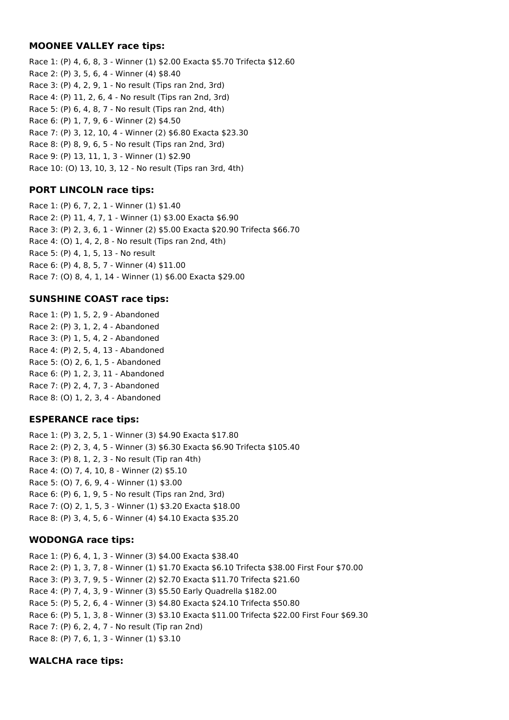### **MOONEE VALLEY race tips:**

Race 1: (P) 4, 6, 8, 3 - Winner (1) \$2.00 Exacta \$5.70 Trifecta \$12.60 Race 2: (P) 3, 5, 6, 4 - Winner (4) \$8.40 Race 3: (P) 4, 2, 9, 1 - No result (Tips ran 2nd, 3rd) Race 4: (P) 11, 2, 6, 4 - No result (Tips ran 2nd, 3rd) Race 5: (P) 6, 4, 8, 7 - No result (Tips ran 2nd, 4th) Race 6: (P) 1, 7, 9, 6 - Winner (2) \$4.50 Race 7: (P) 3, 12, 10, 4 - Winner (2) \$6.80 Exacta \$23.30 Race 8: (P) 8, 9, 6, 5 - No result (Tips ran 2nd, 3rd) Race 9: (P) 13, 11, 1, 3 - Winner (1) \$2.90 Race 10: (O) 13, 10, 3, 12 - No result (Tips ran 3rd, 4th)

## **PORT LINCOLN race tips:**

Race 1: (P) 6, 7, 2, 1 - Winner (1) \$1.40 Race 2: (P) 11, 4, 7, 1 - Winner (1) \$3.00 Exacta \$6.90 Race 3: (P) 2, 3, 6, 1 - Winner (2) \$5.00 Exacta \$20.90 Trifecta \$66.70 Race 4: (O) 1, 4, 2, 8 - No result (Tips ran 2nd, 4th) Race 5: (P) 4, 1, 5, 13 - No result Race 6: (P) 4, 8, 5, 7 - Winner (4) \$11.00 Race 7: (O) 8, 4, 1, 14 - Winner (1) \$6.00 Exacta \$29.00

## **SUNSHINE COAST race tips:**

Race 1: (P) 1, 5, 2, 9 - Abandoned Race 2: (P) 3, 1, 2, 4 - Abandoned Race 3: (P) 1, 5, 4, 2 - Abandoned Race 4: (P) 2, 5, 4, 13 - Abandoned Race 5: (O) 2, 6, 1, 5 - Abandoned Race 6: (P) 1, 2, 3, 11 - Abandoned Race 7: (P) 2, 4, 7, 3 - Abandoned Race 8: (O) 1, 2, 3, 4 - Abandoned

## **ESPERANCE race tips:**

Race 1: (P) 3, 2, 5, 1 - Winner (3) \$4.90 Exacta \$17.80 Race 2: (P) 2, 3, 4, 5 - Winner (3) \$6.30 Exacta \$6.90 Trifecta \$105.40 Race 3: (P) 8, 1, 2, 3 - No result (Tip ran 4th) Race 4: (O) 7, 4, 10, 8 - Winner (2) \$5.10 Race 5: (O) 7, 6, 9, 4 - Winner (1) \$3.00 Race 6: (P) 6, 1, 9, 5 - No result (Tips ran 2nd, 3rd) Race 7: (O) 2, 1, 5, 3 - Winner (1) \$3.20 Exacta \$18.00 Race 8: (P) 3, 4, 5, 6 - Winner (4) \$4.10 Exacta \$35.20

## **WODONGA race tips:**

Race 1: (P) 6, 4, 1, 3 - Winner (3) \$4.00 Exacta \$38.40 Race 2: (P) 1, 3, 7, 8 - Winner (1) \$1.70 Exacta \$6.10 Trifecta \$38.00 First Four \$70.00 Race 3: (P) 3, 7, 9, 5 - Winner (2) \$2.70 Exacta \$11.70 Trifecta \$21.60 Race 4: (P) 7, 4, 3, 9 - Winner (3) \$5.50 Early Quadrella \$182.00 Race 5: (P) 5, 2, 6, 4 - Winner (3) \$4.80 Exacta \$24.10 Trifecta \$50.80 Race 6: (P) 5, 1, 3, 8 - Winner (3) \$3.10 Exacta \$11.00 Trifecta \$22.00 First Four \$69.30 Race 7: (P) 6, 2, 4, 7 - No result (Tip ran 2nd) Race 8: (P) 7, 6, 1, 3 - Winner (1) \$3.10

## **WALCHA race tips:**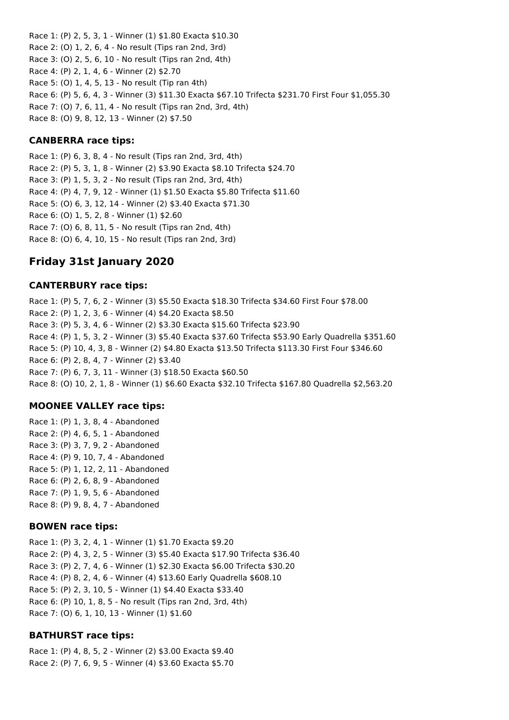Race 1: (P) 2, 5, 3, 1 - Winner (1) \$1.80 Exacta \$10.30 Race 2: (O) 1, 2, 6, 4 - No result (Tips ran 2nd, 3rd) Race 3: (O) 2, 5, 6, 10 - No result (Tips ran 2nd, 4th) Race 4: (P) 2, 1, 4, 6 - Winner (2) \$2.70 Race 5: (O) 1, 4, 5, 13 - No result (Tip ran 4th) Race 6: (P) 5, 6, 4, 3 - Winner (3) \$11.30 Exacta \$67.10 Trifecta \$231.70 First Four \$1,055.30 Race 7: (O) 7, 6, 11, 4 - No result (Tips ran 2nd, 3rd, 4th) Race 8: (O) 9, 8, 12, 13 - Winner (2) \$7.50

### **CANBERRA race tips:**

Race 1: (P) 6, 3, 8, 4 - No result (Tips ran 2nd, 3rd, 4th) Race 2: (P) 5, 3, 1, 8 - Winner (2) \$3.90 Exacta \$8.10 Trifecta \$24.70 Race 3: (P) 1, 5, 3, 2 - No result (Tips ran 2nd, 3rd, 4th) Race 4: (P) 4, 7, 9, 12 - Winner (1) \$1.50 Exacta \$5.80 Trifecta \$11.60 Race 5: (O) 6, 3, 12, 14 - Winner (2) \$3.40 Exacta \$71.30 Race 6: (O) 1, 5, 2, 8 - Winner (1) \$2.60 Race 7: (O) 6, 8, 11, 5 - No result (Tips ran 2nd, 4th) Race 8: (O) 6, 4, 10, 15 - No result (Tips ran 2nd, 3rd)

# **Friday 31st January 2020**

### **CANTERBURY race tips:**

Race 1: (P) 5, 7, 6, 2 - Winner (3) \$5.50 Exacta \$18.30 Trifecta \$34.60 First Four \$78.00 Race 2: (P) 1, 2, 3, 6 - Winner (4) \$4.20 Exacta \$8.50 Race 3: (P) 5, 3, 4, 6 - Winner (2) \$3.30 Exacta \$15.60 Trifecta \$23.90 Race 4: (P) 1, 5, 3, 2 - Winner (3) \$5.40 Exacta \$37.60 Trifecta \$53.90 Early Quadrella \$351.60 Race 5: (P) 10, 4, 3, 8 - Winner (2) \$4.80 Exacta \$13.50 Trifecta \$113.30 First Four \$346.60 Race 6: (P) 2, 8, 4, 7 - Winner (2) \$3.40 Race 7: (P) 6, 7, 3, 11 - Winner (3) \$18.50 Exacta \$60.50 Race 8: (O) 10, 2, 1, 8 - Winner (1) \$6.60 Exacta \$32.10 Trifecta \$167.80 Quadrella \$2,563.20

## **MOONEE VALLEY race tips:**

Race 1: (P) 1, 3, 8, 4 - Abandoned Race 2: (P) 4, 6, 5, 1 - Abandoned Race 3: (P) 3, 7, 9, 2 - Abandoned Race 4: (P) 9, 10, 7, 4 - Abandoned Race 5: (P) 1, 12, 2, 11 - Abandoned Race 6: (P) 2, 6, 8, 9 - Abandoned Race 7: (P) 1, 9, 5, 6 - Abandoned Race 8: (P) 9, 8, 4, 7 - Abandoned

## **BOWEN race tips:**

Race 1: (P) 3, 2, 4, 1 - Winner (1) \$1.70 Exacta \$9.20 Race 2: (P) 4, 3, 2, 5 - Winner (3) \$5.40 Exacta \$17.90 Trifecta \$36.40 Race 3: (P) 2, 7, 4, 6 - Winner (1) \$2.30 Exacta \$6.00 Trifecta \$30.20 Race 4: (P) 8, 2, 4, 6 - Winner (4) \$13.60 Early Quadrella \$608.10 Race 5: (P) 2, 3, 10, 5 - Winner (1) \$4.40 Exacta \$33.40 Race 6: (P) 10, 1, 8, 5 - No result (Tips ran 2nd, 3rd, 4th) Race 7: (O) 6, 1, 10, 13 - Winner (1) \$1.60

## **BATHURST race tips:**

Race 1: (P) 4, 8, 5, 2 - Winner (2) \$3.00 Exacta \$9.40 Race 2: (P) 7, 6, 9, 5 - Winner (4) \$3.60 Exacta \$5.70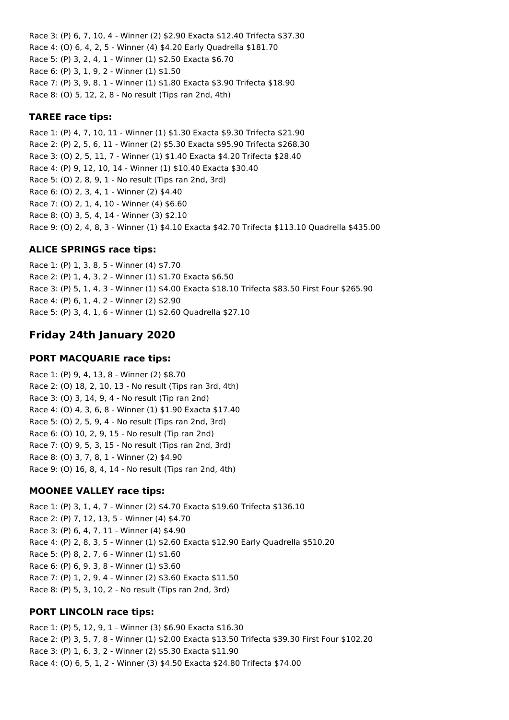Race 3: (P) 6, 7, 10, 4 - Winner (2) \$2.90 Exacta \$12.40 Trifecta \$37.30 Race 4: (O) 6, 4, 2, 5 - Winner (4) \$4.20 Early Quadrella \$181.70 Race 5: (P) 3, 2, 4, 1 - Winner (1) \$2.50 Exacta \$6.70 Race 6: (P) 3, 1, 9, 2 - Winner (1) \$1.50 Race 7: (P) 3, 9, 8, 1 - Winner (1) \$1.80 Exacta \$3.90 Trifecta \$18.90 Race 8: (O) 5, 12, 2, 8 - No result (Tips ran 2nd, 4th)

#### **TAREE race tips:**

Race 1: (P) 4, 7, 10, 11 - Winner (1) \$1.30 Exacta \$9.30 Trifecta \$21.90 Race 2: (P) 2, 5, 6, 11 - Winner (2) \$5.30 Exacta \$95.90 Trifecta \$268.30 Race 3: (O) 2, 5, 11, 7 - Winner (1) \$1.40 Exacta \$4.20 Trifecta \$28.40 Race 4: (P) 9, 12, 10, 14 - Winner (1) \$10.40 Exacta \$30.40 Race 5: (O) 2, 8, 9, 1 - No result (Tips ran 2nd, 3rd) Race 6: (O) 2, 3, 4, 1 - Winner (2) \$4.40 Race 7: (O) 2, 1, 4, 10 - Winner (4) \$6.60 Race 8: (O) 3, 5, 4, 14 - Winner (3) \$2.10 Race 9: (O) 2, 4, 8, 3 - Winner (1) \$4.10 Exacta \$42.70 Trifecta \$113.10 Quadrella \$435.00

#### **ALICE SPRINGS race tips:**

Race 1: (P) 1, 3, 8, 5 - Winner (4) \$7.70 Race 2: (P) 1, 4, 3, 2 - Winner (1) \$1.70 Exacta \$6.50 Race 3: (P) 5, 1, 4, 3 - Winner (1) \$4.00 Exacta \$18.10 Trifecta \$83.50 First Four \$265.90 Race 4: (P) 6, 1, 4, 2 - Winner (2) \$2.90 Race 5: (P) 3, 4, 1, 6 - Winner (1) \$2.60 Quadrella \$27.10

## **Friday 24th January 2020**

#### **PORT MACQUARIE race tips:**

Race 1: (P) 9, 4, 13, 8 - Winner (2) \$8.70 Race 2: (O) 18, 2, 10, 13 - No result (Tips ran 3rd, 4th) Race 3: (O) 3, 14, 9, 4 - No result (Tip ran 2nd) Race 4: (O) 4, 3, 6, 8 - Winner (1) \$1.90 Exacta \$17.40 Race 5: (O) 2, 5, 9, 4 - No result (Tips ran 2nd, 3rd) Race 6: (O) 10, 2, 9, 15 - No result (Tip ran 2nd) Race 7: (O) 9, 5, 3, 15 - No result (Tips ran 2nd, 3rd) Race 8: (O) 3, 7, 8, 1 - Winner (2) \$4.90 Race 9: (O) 16, 8, 4, 14 - No result (Tips ran 2nd, 4th)

#### **MOONEE VALLEY race tips:**

Race 1: (P) 3, 1, 4, 7 - Winner (2) \$4.70 Exacta \$19.60 Trifecta \$136.10 Race 2: (P) 7, 12, 13, 5 - Winner (4) \$4.70 Race 3: (P) 6, 4, 7, 11 - Winner (4) \$4.90 Race 4: (P) 2, 8, 3, 5 - Winner (1) \$2.60 Exacta \$12.90 Early Quadrella \$510.20 Race 5: (P) 8, 2, 7, 6 - Winner (1) \$1.60 Race 6: (P) 6, 9, 3, 8 - Winner (1) \$3.60 Race 7: (P) 1, 2, 9, 4 - Winner (2) \$3.60 Exacta \$11.50 Race 8: (P) 5, 3, 10, 2 - No result (Tips ran 2nd, 3rd)

#### **PORT LINCOLN race tips:**

Race 1: (P) 5, 12, 9, 1 - Winner (3) \$6.90 Exacta \$16.30 Race 2: (P) 3, 5, 7, 8 - Winner (1) \$2.00 Exacta \$13.50 Trifecta \$39.30 First Four \$102.20 Race 3: (P) 1, 6, 3, 2 - Winner (2) \$5.30 Exacta \$11.90 Race 4: (O) 6, 5, 1, 2 - Winner (3) \$4.50 Exacta \$24.80 Trifecta \$74.00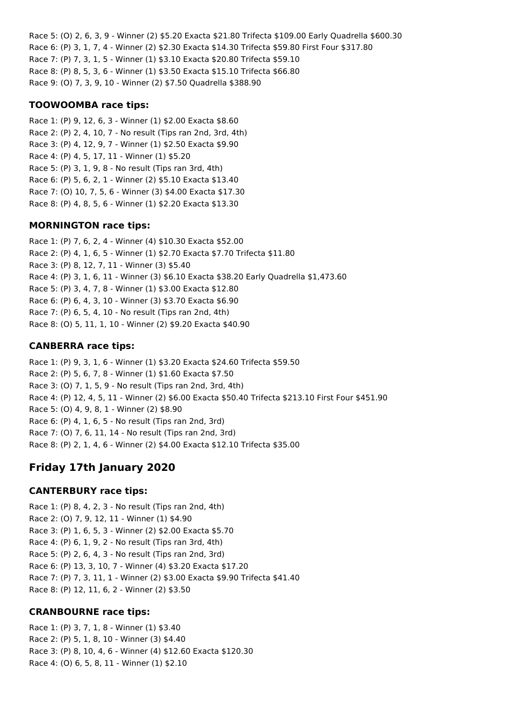Race 5: (O) 2, 6, 3, 9 - Winner (2) \$5.20 Exacta \$21.80 Trifecta \$109.00 Early Quadrella \$600.30 Race 6: (P) 3, 1, 7, 4 - Winner (2) \$2.30 Exacta \$14.30 Trifecta \$59.80 First Four \$317.80 Race 7: (P) 7, 3, 1, 5 - Winner (1) \$3.10 Exacta \$20.80 Trifecta \$59.10 Race 8: (P) 8, 5, 3, 6 - Winner (1) \$3.50 Exacta \$15.10 Trifecta \$66.80 Race 9: (O) 7, 3, 9, 10 - Winner (2) \$7.50 Quadrella \$388.90

## **TOOWOOMBA race tips:**

Race 1: (P) 9, 12, 6, 3 - Winner (1) \$2.00 Exacta \$8.60 Race 2: (P) 2, 4, 10, 7 - No result (Tips ran 2nd, 3rd, 4th) Race 3: (P) 4, 12, 9, 7 - Winner (1) \$2.50 Exacta \$9.90 Race 4: (P) 4, 5, 17, 11 - Winner (1) \$5.20 Race 5: (P) 3, 1, 9, 8 - No result (Tips ran 3rd, 4th) Race 6: (P) 5, 6, 2, 1 - Winner (2) \$5.10 Exacta \$13.40 Race 7: (O) 10, 7, 5, 6 - Winner (3) \$4.00 Exacta \$17.30 Race 8: (P) 4, 8, 5, 6 - Winner (1) \$2.20 Exacta \$13.30

## **MORNINGTON race tips:**

Race 1: (P) 7, 6, 2, 4 - Winner (4) \$10.30 Exacta \$52.00 Race 2: (P) 4, 1, 6, 5 - Winner (1) \$2.70 Exacta \$7.70 Trifecta \$11.80 Race 3: (P) 8, 12, 7, 11 - Winner (3) \$5.40 Race 4: (P) 3, 1, 6, 11 - Winner (3) \$6.10 Exacta \$38.20 Early Quadrella \$1,473.60 Race 5: (P) 3, 4, 7, 8 - Winner (1) \$3.00 Exacta \$12.80 Race 6: (P) 6, 4, 3, 10 - Winner (3) \$3.70 Exacta \$6.90 Race 7: (P) 6, 5, 4, 10 - No result (Tips ran 2nd, 4th) Race 8: (O) 5, 11, 1, 10 - Winner (2) \$9.20 Exacta \$40.90

# **CANBERRA race tips:**

Race 1: (P) 9, 3, 1, 6 - Winner (1) \$3.20 Exacta \$24.60 Trifecta \$59.50 Race 2: (P) 5, 6, 7, 8 - Winner (1) \$1.60 Exacta \$7.50 Race 3: (O) 7, 1, 5, 9 - No result (Tips ran 2nd, 3rd, 4th) Race 4: (P) 12, 4, 5, 11 - Winner (2) \$6.00 Exacta \$50.40 Trifecta \$213.10 First Four \$451.90 Race 5: (O) 4, 9, 8, 1 - Winner (2) \$8.90 Race 6: (P) 4, 1, 6, 5 - No result (Tips ran 2nd, 3rd) Race 7: (O) 7, 6, 11, 14 - No result (Tips ran 2nd, 3rd) Race 8: (P) 2, 1, 4, 6 - Winner (2) \$4.00 Exacta \$12.10 Trifecta \$35.00

# **Friday 17th January 2020**

# **CANTERBURY race tips:**

Race 1: (P) 8, 4, 2, 3 - No result (Tips ran 2nd, 4th) Race 2: (O) 7, 9, 12, 11 - Winner (1) \$4.90 Race 3: (P) 1, 6, 5, 3 - Winner (2) \$2.00 Exacta \$5.70 Race 4: (P) 6, 1, 9, 2 - No result (Tips ran 3rd, 4th) Race 5: (P) 2, 6, 4, 3 - No result (Tips ran 2nd, 3rd) Race 6: (P) 13, 3, 10, 7 - Winner (4) \$3.20 Exacta \$17.20 Race 7: (P) 7, 3, 11, 1 - Winner (2) \$3.00 Exacta \$9.90 Trifecta \$41.40 Race 8: (P) 12, 11, 6, 2 - Winner (2) \$3.50

# **CRANBOURNE race tips:**

Race 1: (P) 3, 7, 1, 8 - Winner (1) \$3.40 Race 2: (P) 5, 1, 8, 10 - Winner (3) \$4.40 Race 3: (P) 8, 10, 4, 6 - Winner (4) \$12.60 Exacta \$120.30 Race 4: (O) 6, 5, 8, 11 - Winner (1) \$2.10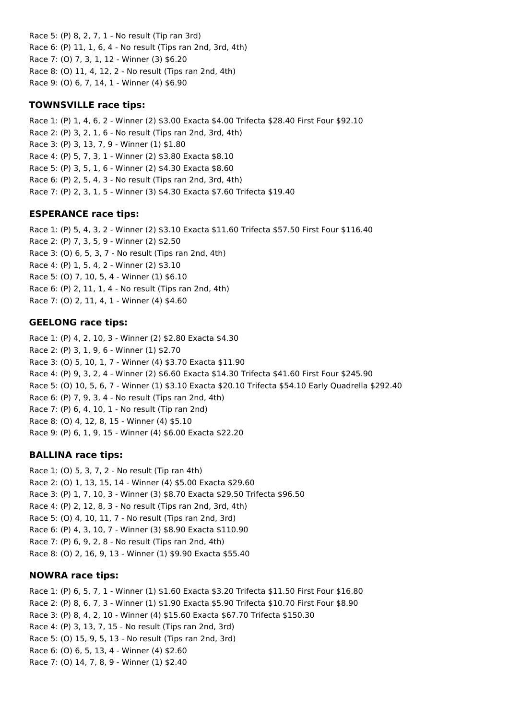Race 5: (P) 8, 2, 7, 1 - No result (Tip ran 3rd) Race 6: (P) 11, 1, 6, 4 - No result (Tips ran 2nd, 3rd, 4th) Race 7: (O) 7, 3, 1, 12 - Winner (3) \$6.20 Race 8: (O) 11, 4, 12, 2 - No result (Tips ran 2nd, 4th) Race 9: (O) 6, 7, 14, 1 - Winner (4) \$6.90

## **TOWNSVILLE race tips:**

Race 1: (P) 1, 4, 6, 2 - Winner (2) \$3.00 Exacta \$4.00 Trifecta \$28.40 First Four \$92.10 Race 2: (P) 3, 2, 1, 6 - No result (Tips ran 2nd, 3rd, 4th) Race 3: (P) 3, 13, 7, 9 - Winner (1) \$1.80 Race 4: (P) 5, 7, 3, 1 - Winner (2) \$3.80 Exacta \$8.10 Race 5: (P) 3, 5, 1, 6 - Winner (2) \$4.30 Exacta \$8.60 Race 6: (P) 2, 5, 4, 3 - No result (Tips ran 2nd, 3rd, 4th) Race 7: (P) 2, 3, 1, 5 - Winner (3) \$4.30 Exacta \$7.60 Trifecta \$19.40

### **ESPERANCE race tips:**

Race 1: (P) 5, 4, 3, 2 - Winner (2) \$3.10 Exacta \$11.60 Trifecta \$57.50 First Four \$116.40 Race 2: (P) 7, 3, 5, 9 - Winner (2) \$2.50 Race 3: (O) 6, 5, 3, 7 - No result (Tips ran 2nd, 4th) Race 4: (P) 1, 5, 4, 2 - Winner (2) \$3.10 Race 5: (O) 7, 10, 5, 4 - Winner (1) \$6.10 Race 6: (P) 2, 11, 1, 4 - No result (Tips ran 2nd, 4th) Race 7: (O) 2, 11, 4, 1 - Winner (4) \$4.60

### **GEELONG race tips:**

Race 1: (P) 4, 2, 10, 3 - Winner (2) \$2.80 Exacta \$4.30 Race 2: (P) 3, 1, 9, 6 - Winner (1) \$2.70 Race 3: (O) 5, 10, 1, 7 - Winner (4) \$3.70 Exacta \$11.90 Race 4: (P) 9, 3, 2, 4 - Winner (2) \$6.60 Exacta \$14.30 Trifecta \$41.60 First Four \$245.90 Race 5: (O) 10, 5, 6, 7 - Winner (1) \$3.10 Exacta \$20.10 Trifecta \$54.10 Early Quadrella \$292.40 Race 6: (P) 7, 9, 3, 4 - No result (Tips ran 2nd, 4th) Race 7: (P) 6, 4, 10, 1 - No result (Tip ran 2nd) Race 8: (O) 4, 12, 8, 15 - Winner (4) \$5.10 Race 9: (P) 6, 1, 9, 15 - Winner (4) \$6.00 Exacta \$22.20

#### **BALLINA race tips:**

Race 1: (O) 5, 3, 7, 2 - No result (Tip ran 4th) Race 2: (O) 1, 13, 15, 14 - Winner (4) \$5.00 Exacta \$29.60 Race 3: (P) 1, 7, 10, 3 - Winner (3) \$8.70 Exacta \$29.50 Trifecta \$96.50 Race 4: (P) 2, 12, 8, 3 - No result (Tips ran 2nd, 3rd, 4th) Race 5: (O) 4, 10, 11, 7 - No result (Tips ran 2nd, 3rd) Race 6: (P) 4, 3, 10, 7 - Winner (3) \$8.90 Exacta \$110.90 Race 7: (P) 6, 9, 2, 8 - No result (Tips ran 2nd, 4th) Race 8: (O) 2, 16, 9, 13 - Winner (1) \$9.90 Exacta \$55.40

#### **NOWRA race tips:**

Race 1: (P) 6, 5, 7, 1 - Winner (1) \$1.60 Exacta \$3.20 Trifecta \$11.50 First Four \$16.80 Race 2: (P) 8, 6, 7, 3 - Winner (1) \$1.90 Exacta \$5.90 Trifecta \$10.70 First Four \$8.90 Race 3: (P) 8, 4, 2, 10 - Winner (4) \$15.60 Exacta \$67.70 Trifecta \$150.30 Race 4: (P) 3, 13, 7, 15 - No result (Tips ran 2nd, 3rd) Race 5: (O) 15, 9, 5, 13 - No result (Tips ran 2nd, 3rd) Race 6: (O) 6, 5, 13, 4 - Winner (4) \$2.60 Race 7: (O) 14, 7, 8, 9 - Winner (1) \$2.40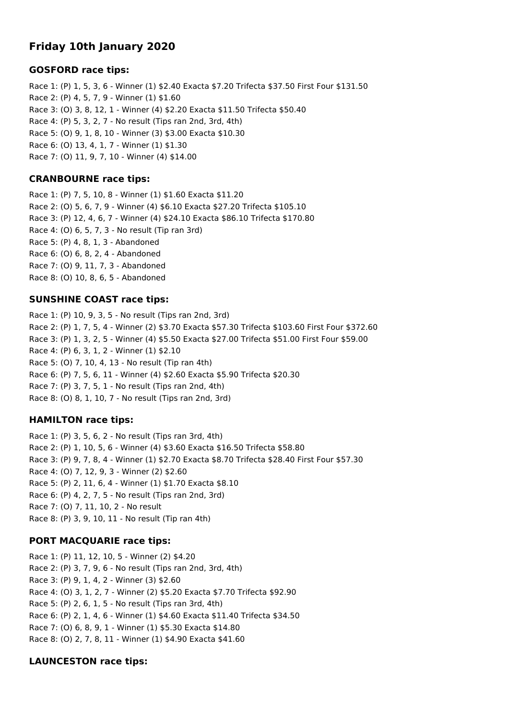# **Friday 10th January 2020**

## **GOSFORD race tips:**

Race 1: (P) 1, 5, 3, 6 - Winner (1) \$2.40 Exacta \$7.20 Trifecta \$37.50 First Four \$131.50 Race 2: (P) 4, 5, 7, 9 - Winner (1) \$1.60 Race 3: (O) 3, 8, 12, 1 - Winner (4) \$2.20 Exacta \$11.50 Trifecta \$50.40 Race 4: (P) 5, 3, 2, 7 - No result (Tips ran 2nd, 3rd, 4th) Race 5: (O) 9, 1, 8, 10 - Winner (3) \$3.00 Exacta \$10.30 Race 6: (O) 13, 4, 1, 7 - Winner (1) \$1.30 Race 7: (O) 11, 9, 7, 10 - Winner (4) \$14.00

## **CRANBOURNE race tips:**

Race 1: (P) 7, 5, 10, 8 - Winner (1) \$1.60 Exacta \$11.20 Race 2: (O) 5, 6, 7, 9 - Winner (4) \$6.10 Exacta \$27.20 Trifecta \$105.10 Race 3: (P) 12, 4, 6, 7 - Winner (4) \$24.10 Exacta \$86.10 Trifecta \$170.80 Race 4: (O) 6, 5, 7, 3 - No result (Tip ran 3rd) Race 5: (P) 4, 8, 1, 3 - Abandoned Race 6: (O) 6, 8, 2, 4 - Abandoned Race 7: (O) 9, 11, 7, 3 - Abandoned Race 8: (O) 10, 8, 6, 5 - Abandoned

### **SUNSHINE COAST race tips:**

Race 1: (P) 10, 9, 3, 5 - No result (Tips ran 2nd, 3rd) Race 2: (P) 1, 7, 5, 4 - Winner (2) \$3.70 Exacta \$57.30 Trifecta \$103.60 First Four \$372.60 Race 3: (P) 1, 3, 2, 5 - Winner (4) \$5.50 Exacta \$27.00 Trifecta \$51.00 First Four \$59.00 Race 4: (P) 6, 3, 1, 2 - Winner (1) \$2.10 Race 5: (O) 7, 10, 4, 13 - No result (Tip ran 4th) Race 6: (P) 7, 5, 6, 11 - Winner (4) \$2.60 Exacta \$5.90 Trifecta \$20.30 Race 7: (P) 3, 7, 5, 1 - No result (Tips ran 2nd, 4th) Race 8: (O) 8, 1, 10, 7 - No result (Tips ran 2nd, 3rd)

#### **HAMILTON race tips:**

Race 1: (P) 3, 5, 6, 2 - No result (Tips ran 3rd, 4th) Race 2: (P) 1, 10, 5, 6 - Winner (4) \$3.60 Exacta \$16.50 Trifecta \$58.80 Race 3: (P) 9, 7, 8, 4 - Winner (1) \$2.70 Exacta \$8.70 Trifecta \$28.40 First Four \$57.30 Race 4: (O) 7, 12, 9, 3 - Winner (2) \$2.60 Race 5: (P) 2, 11, 6, 4 - Winner (1) \$1.70 Exacta \$8.10 Race 6: (P) 4, 2, 7, 5 - No result (Tips ran 2nd, 3rd) Race 7: (O) 7, 11, 10, 2 - No result Race 8: (P) 3, 9, 10, 11 - No result (Tip ran 4th)

## **PORT MACQUARIE race tips:**

Race 1: (P) 11, 12, 10, 5 - Winner (2) \$4.20 Race 2: (P) 3, 7, 9, 6 - No result (Tips ran 2nd, 3rd, 4th) Race 3: (P) 9, 1, 4, 2 - Winner (3) \$2.60 Race 4: (O) 3, 1, 2, 7 - Winner (2) \$5.20 Exacta \$7.70 Trifecta \$92.90 Race 5: (P) 2, 6, 1, 5 - No result (Tips ran 3rd, 4th) Race 6: (P) 2, 1, 4, 6 - Winner (1) \$4.60 Exacta \$11.40 Trifecta \$34.50 Race 7: (O) 6, 8, 9, 1 - Winner (1) \$5.30 Exacta \$14.80 Race 8: (O) 2, 7, 8, 11 - Winner (1) \$4.90 Exacta \$41.60

## **LAUNCESTON race tips:**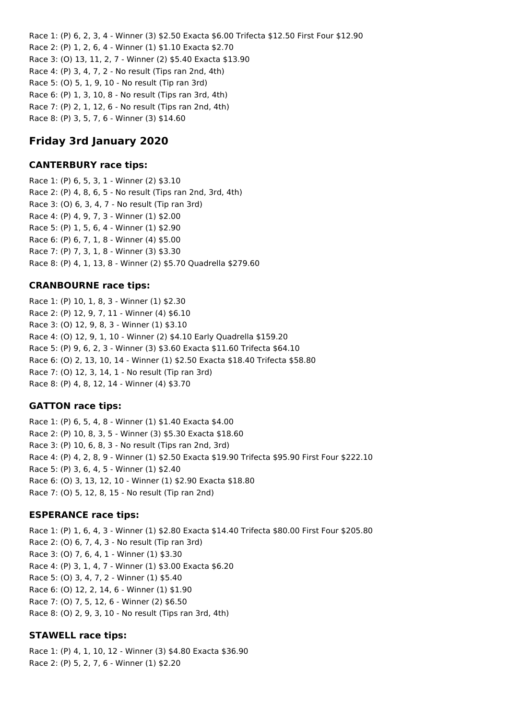Race 1: (P) 6, 2, 3, 4 - Winner (3) \$2.50 Exacta \$6.00 Trifecta \$12.50 First Four \$12.90 Race 2: (P) 1, 2, 6, 4 - Winner (1) \$1.10 Exacta \$2.70 Race 3: (O) 13, 11, 2, 7 - Winner (2) \$5.40 Exacta \$13.90 Race 4: (P) 3, 4, 7, 2 - No result (Tips ran 2nd, 4th) Race 5: (O) 5, 1, 9, 10 - No result (Tip ran 3rd) Race 6: (P) 1, 3, 10, 8 - No result (Tips ran 3rd, 4th) Race 7: (P) 2, 1, 12, 6 - No result (Tips ran 2nd, 4th) Race 8: (P) 3, 5, 7, 6 - Winner (3) \$14.60

# **Friday 3rd January 2020**

### **CANTERBURY race tips:**

Race 1: (P) 6, 5, 3, 1 - Winner (2) \$3.10 Race 2: (P) 4, 8, 6, 5 - No result (Tips ran 2nd, 3rd, 4th) Race 3: (O) 6, 3, 4, 7 - No result (Tip ran 3rd) Race 4: (P) 4, 9, 7, 3 - Winner (1) \$2.00 Race 5: (P) 1, 5, 6, 4 - Winner (1) \$2.90 Race 6: (P) 6, 7, 1, 8 - Winner (4) \$5.00 Race 7: (P) 7, 3, 1, 8 - Winner (3) \$3.30 Race 8: (P) 4, 1, 13, 8 - Winner (2) \$5.70 Quadrella \$279.60

## **CRANBOURNE race tips:**

Race 1: (P) 10, 1, 8, 3 - Winner (1) \$2.30 Race 2: (P) 12, 9, 7, 11 - Winner (4) \$6.10 Race 3: (O) 12, 9, 8, 3 - Winner (1) \$3.10 Race 4: (O) 12, 9, 1, 10 - Winner (2) \$4.10 Early Quadrella \$159.20 Race 5: (P) 9, 6, 2, 3 - Winner (3) \$3.60 Exacta \$11.60 Trifecta \$64.10 Race 6: (O) 2, 13, 10, 14 - Winner (1) \$2.50 Exacta \$18.40 Trifecta \$58.80 Race 7: (O) 12, 3, 14, 1 - No result (Tip ran 3rd) Race 8: (P) 4, 8, 12, 14 - Winner (4) \$3.70

#### **GATTON race tips:**

Race 1: (P) 6, 5, 4, 8 - Winner (1) \$1.40 Exacta \$4.00 Race 2: (P) 10, 8, 3, 5 - Winner (3) \$5.30 Exacta \$18.60 Race 3: (P) 10, 6, 8, 3 - No result (Tips ran 2nd, 3rd) Race 4: (P) 4, 2, 8, 9 - Winner (1) \$2.50 Exacta \$19.90 Trifecta \$95.90 First Four \$222.10 Race 5: (P) 3, 6, 4, 5 - Winner (1) \$2.40 Race 6: (O) 3, 13, 12, 10 - Winner (1) \$2.90 Exacta \$18.80 Race 7: (O) 5, 12, 8, 15 - No result (Tip ran 2nd)

#### **ESPERANCE race tips:**

Race 1: (P) 1, 6, 4, 3 - Winner (1) \$2.80 Exacta \$14.40 Trifecta \$80.00 First Four \$205.80 Race 2: (O) 6, 7, 4, 3 - No result (Tip ran 3rd) Race 3: (O) 7, 6, 4, 1 - Winner (1) \$3.30 Race 4: (P) 3, 1, 4, 7 - Winner (1) \$3.00 Exacta \$6.20 Race 5: (O) 3, 4, 7, 2 - Winner (1) \$5.40 Race 6: (O) 12, 2, 14, 6 - Winner (1) \$1.90 Race 7: (O) 7, 5, 12, 6 - Winner (2) \$6.50 Race 8: (O) 2, 9, 3, 10 - No result (Tips ran 3rd, 4th)

## **STAWELL race tips:**

Race 1: (P) 4, 1, 10, 12 - Winner (3) \$4.80 Exacta \$36.90 Race 2: (P) 5, 2, 7, 6 - Winner (1) \$2.20